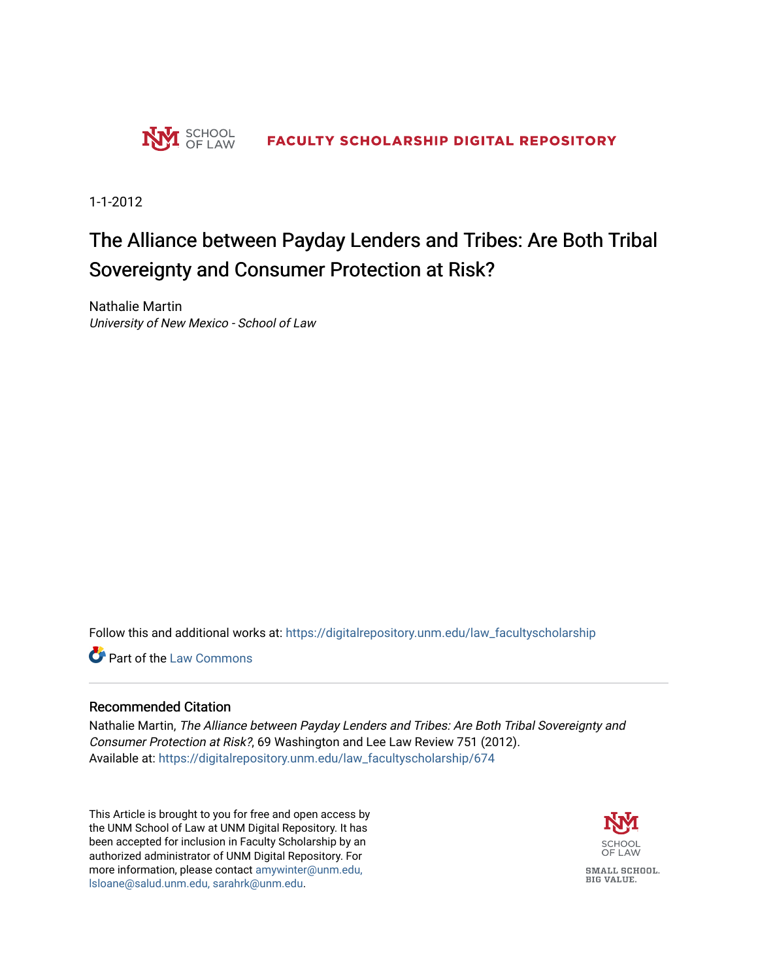

1-1-2012

# The Alliance between Payday Lenders and Tribes: Are Both Tribal Sovereignty and Consumer Protection at Risk?

Nathalie Martin University of New Mexico - School of Law

Follow this and additional works at: [https://digitalrepository.unm.edu/law\\_facultyscholarship](https://digitalrepository.unm.edu/law_facultyscholarship?utm_source=digitalrepository.unm.edu%2Flaw_facultyscholarship%2F674&utm_medium=PDF&utm_campaign=PDFCoverPages) 

**Part of the [Law Commons](http://network.bepress.com/hgg/discipline/578?utm_source=digitalrepository.unm.edu%2Flaw_facultyscholarship%2F674&utm_medium=PDF&utm_campaign=PDFCoverPages)** 

# Recommended Citation

Nathalie Martin, The Alliance between Payday Lenders and Tribes: Are Both Tribal Sovereignty and Consumer Protection at Risk?, 69 Washington and Lee Law Review 751 (2012). Available at: [https://digitalrepository.unm.edu/law\\_facultyscholarship/674](https://digitalrepository.unm.edu/law_facultyscholarship/674?utm_source=digitalrepository.unm.edu%2Flaw_facultyscholarship%2F674&utm_medium=PDF&utm_campaign=PDFCoverPages) 

This Article is brought to you for free and open access by the UNM School of Law at UNM Digital Repository. It has been accepted for inclusion in Faculty Scholarship by an authorized administrator of UNM Digital Repository. For more information, please contact [amywinter@unm.edu,](mailto:amywinter@unm.edu,%20lsloane@salud.unm.edu,%20sarahrk@unm.edu)  [lsloane@salud.unm.edu, sarahrk@unm.edu.](mailto:amywinter@unm.edu,%20lsloane@salud.unm.edu,%20sarahrk@unm.edu)

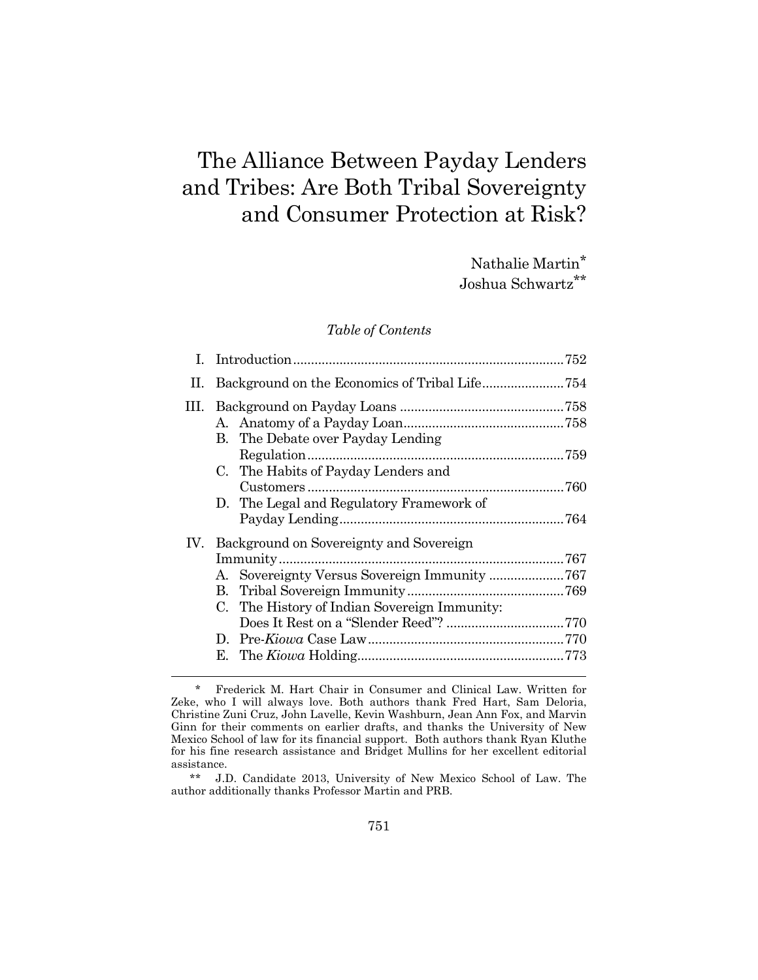# The Alliance Between Payday Lenders and Tribes: Are Both Tribal Sovereignty and Consumer Protection at Risk?

Nathalie Martin\* Joshua Schwartz\*\*

# *Table of Contents*

| П. | Background on the Economics of Tribal Life754                                                                                               |  |
|----|---------------------------------------------------------------------------------------------------------------------------------------------|--|
|    | B. The Debate over Payday Lending<br>C. The Habits of Payday Lenders and<br>D. The Legal and Regulatory Framework of                        |  |
|    | IV. Background on Sovereignty and Sovereign<br>A. Sovereignty Versus Sovereign Immunity 767<br>C. The History of Indian Sovereign Immunity: |  |

l

 \*\* J.D. Candidate 2013, University of New Mexico School of Law. The author additionally thanks Professor Martin and PRB.

 <sup>\*</sup> Frederick M. Hart Chair in Consumer and Clinical Law. Written for Zeke, who I will always love. Both authors thank Fred Hart, Sam Deloria, Christine Zuni Cruz, John Lavelle, Kevin Washburn, Jean Ann Fox, and Marvin Ginn for their comments on earlier drafts, and thanks the University of New Mexico School of law for its financial support. Both authors thank Ryan Kluthe for his fine research assistance and Bridget Mullins for her excellent editorial assistance.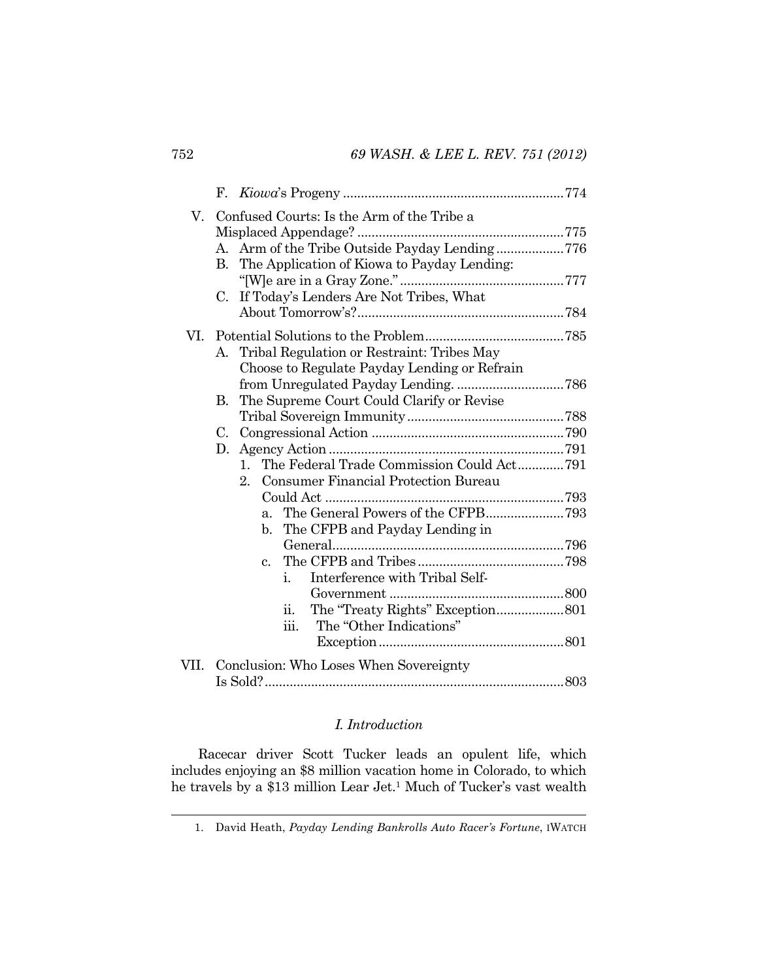| V.   | Confused Courts: Is the Arm of the Tribe a             |  |
|------|--------------------------------------------------------|--|
|      |                                                        |  |
|      | Arm of the Tribe Outside Payday Lending776<br>A.       |  |
|      | The Application of Kiowa to Payday Lending:<br>B.      |  |
|      |                                                        |  |
|      | C. If Today's Lenders Are Not Tribes, What             |  |
|      |                                                        |  |
| VI.  |                                                        |  |
|      | A. Tribal Regulation or Restraint: Tribes May          |  |
|      | Choose to Regulate Payday Lending or Refrain           |  |
|      |                                                        |  |
|      | The Supreme Court Could Clarify or Revise<br>В.        |  |
|      |                                                        |  |
|      |                                                        |  |
|      | D.                                                     |  |
|      | The Federal Trade Commission Could Act791<br>$1_{-}$   |  |
|      | <b>Consumer Financial Protection Bureau</b><br>$2_{-}$ |  |
|      |                                                        |  |
|      | $a_{\cdot}$                                            |  |
|      | The CFPB and Payday Lending in<br>b.                   |  |
|      |                                                        |  |
|      | $c_{\cdot}$                                            |  |
|      | Interference with Tribal Self-<br>$\mathbf{1}$ .       |  |
|      |                                                        |  |
|      | 11.                                                    |  |
|      | The "Other Indications"<br>iii.                        |  |
|      |                                                        |  |
| VII. | Conclusion: Who Loses When Sovereignty                 |  |
|      |                                                        |  |

# *I. Introduction*

Racecar driver Scott Tucker leads an opulent life, which includes enjoying an \$8 million vacation home in Colorado, to which he travels by a \$13 million Lear Jet.1 Much of Tucker's vast wealth

 <sup>1.</sup> David Heath, *Payday Lending Bankrolls Auto Racer's Fortune*, IWATCH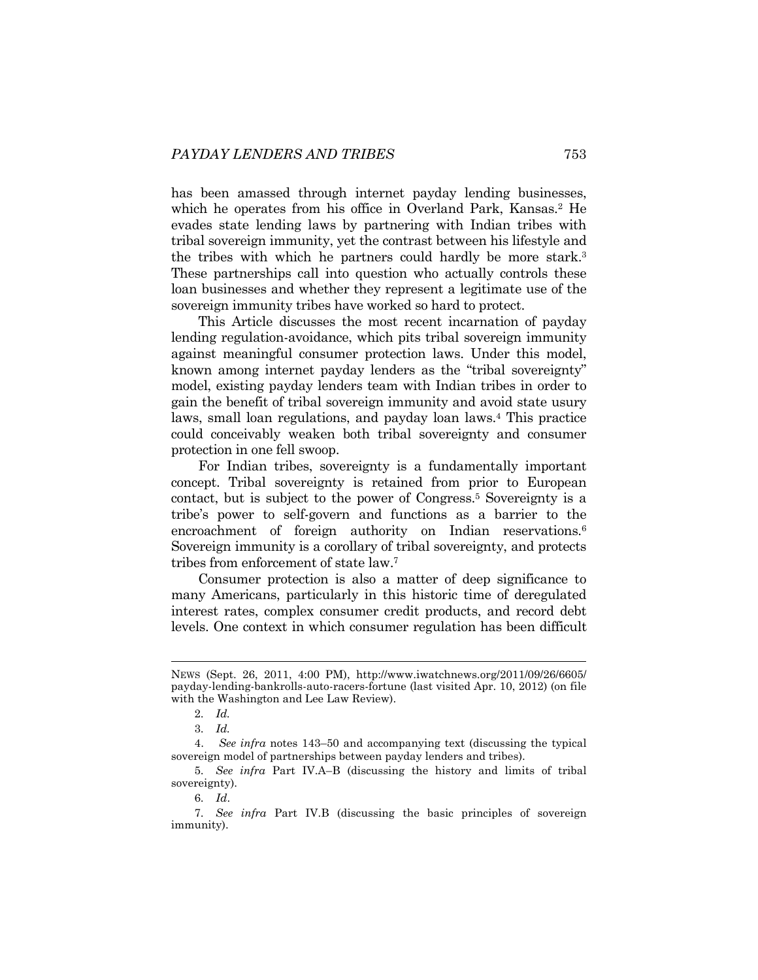has been amassed through internet payday lending businesses, which he operates from his office in Overland Park, Kansas.<sup>2</sup> He evades state lending laws by partnering with Indian tribes with tribal sovereign immunity, yet the contrast between his lifestyle and the tribes with which he partners could hardly be more stark.3 These partnerships call into question who actually controls these loan businesses and whether they represent a legitimate use of the sovereign immunity tribes have worked so hard to protect.

This Article discusses the most recent incarnation of payday lending regulation-avoidance, which pits tribal sovereign immunity against meaningful consumer protection laws. Under this model, known among internet payday lenders as the "tribal sovereignty" model, existing payday lenders team with Indian tribes in order to gain the benefit of tribal sovereign immunity and avoid state usury laws, small loan regulations, and payday loan laws.4 This practice could conceivably weaken both tribal sovereignty and consumer protection in one fell swoop.

For Indian tribes, sovereignty is a fundamentally important concept. Tribal sovereignty is retained from prior to European contact, but is subject to the power of Congress.5 Sovereignty is a tribe's power to self-govern and functions as a barrier to the encroachment of foreign authority on Indian reservations.<sup>6</sup> Sovereign immunity is a corollary of tribal sovereignty, and protects tribes from enforcement of state law.7

Consumer protection is also a matter of deep significance to many Americans, particularly in this historic time of deregulated interest rates, complex consumer credit products, and record debt levels. One context in which consumer regulation has been difficult

l

6*. Id*.

NEWS (Sept. 26, 2011, 4:00 PM), http://www.iwatchnews.org/2011/09/26/6605/ payday-lending-bankrolls-auto-racers-fortune (last visited Apr. 10, 2012) (on file with the Washington and Lee Law Review).

<sup>2</sup>*. Id.*

<sup>3</sup>*. Id.*

 <sup>4.</sup> *See infra* notes 143–50 and accompanying text (discussing the typical sovereign model of partnerships between payday lenders and tribes).

<sup>5</sup>*. See infra* Part IV.A–B (discussing the history and limits of tribal sovereignty).

<sup>7</sup>*. See infra* Part IV.B (discussing the basic principles of sovereign immunity).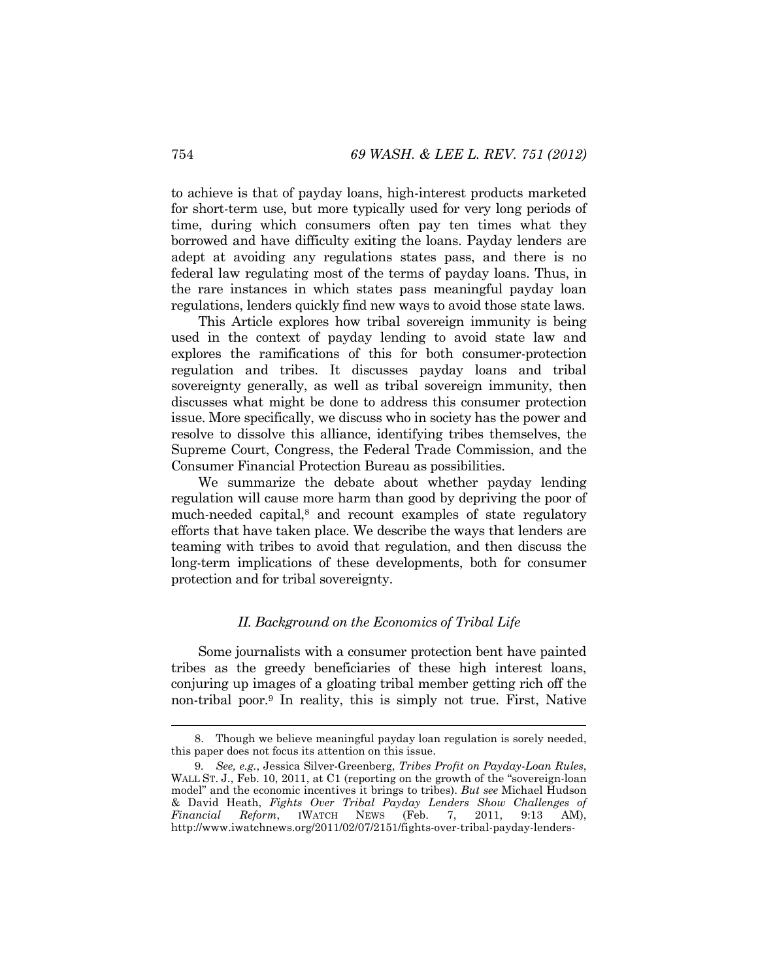to achieve is that of payday loans, high-interest products marketed for short-term use, but more typically used for very long periods of time, during which consumers often pay ten times what they borrowed and have difficulty exiting the loans. Payday lenders are adept at avoiding any regulations states pass, and there is no federal law regulating most of the terms of payday loans. Thus, in the rare instances in which states pass meaningful payday loan regulations, lenders quickly find new ways to avoid those state laws.

This Article explores how tribal sovereign immunity is being used in the context of payday lending to avoid state law and explores the ramifications of this for both consumer-protection regulation and tribes. It discusses payday loans and tribal sovereignty generally, as well as tribal sovereign immunity, then discusses what might be done to address this consumer protection issue. More specifically, we discuss who in society has the power and resolve to dissolve this alliance, identifying tribes themselves, the Supreme Court, Congress, the Federal Trade Commission, and the Consumer Financial Protection Bureau as possibilities.

We summarize the debate about whether payday lending regulation will cause more harm than good by depriving the poor of much-needed capital,<sup>8</sup> and recount examples of state regulatory efforts that have taken place. We describe the ways that lenders are teaming with tribes to avoid that regulation, and then discuss the long-term implications of these developments, both for consumer protection and for tribal sovereignty.

# *II. Background on the Economics of Tribal Life*

Some journalists with a consumer protection bent have painted tribes as the greedy beneficiaries of these high interest loans, conjuring up images of a gloating tribal member getting rich off the non-tribal poor.9 In reality, this is simply not true. First, Native

 <sup>8.</sup> Though we believe meaningful payday loan regulation is sorely needed, this paper does not focus its attention on this issue.

<sup>9</sup>*. See, e.g.*, Jessica Silver-Greenberg, *Tribes Profit on Payday-Loan Rules*, WALL ST. J., Feb. 10, 2011, at C1 (reporting on the growth of the "sovereign-loan" model" and the economic incentives it brings to tribes). *But see* Michael Hudson & David Heath, *Fights Over Tribal Payday Lenders Show Challenges of Financial Reform*, IWATCH NEWS (Feb. 7, 2011, 9:13 AM), http://www.iwatchnews.org/2011/02/07/2151/fights-over-tribal-payday-lenders-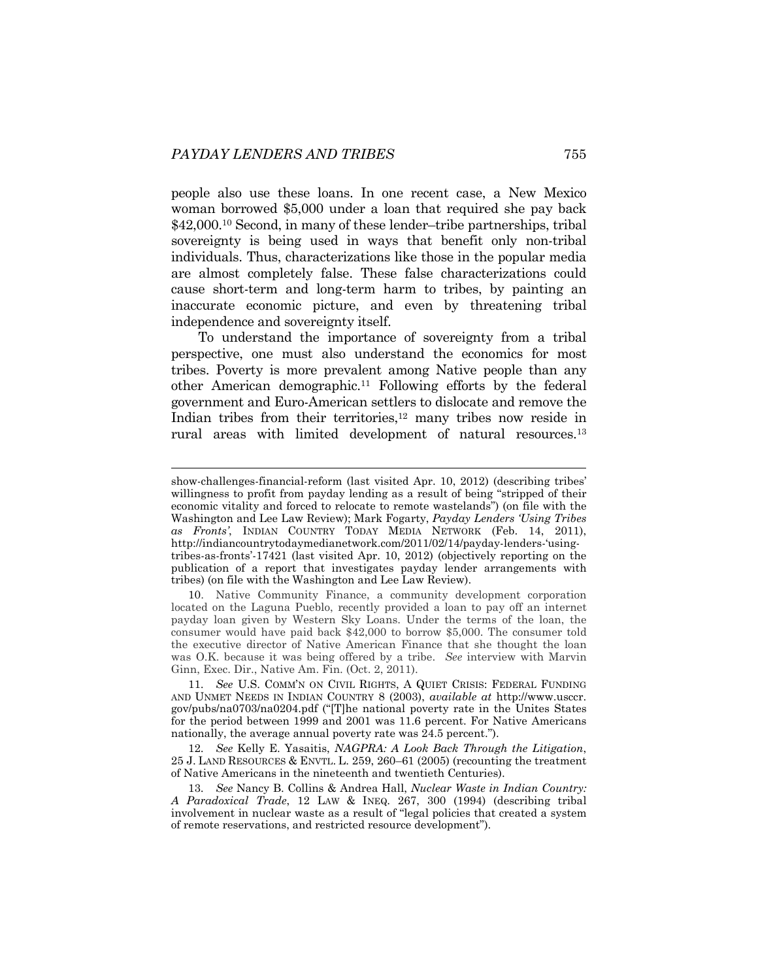l

people also use these loans. In one recent case, a New Mexico woman borrowed \$5,000 under a loan that required she pay back \$42,000.10 Second, in many of these lender–tribe partnerships, tribal sovereignty is being used in ways that benefit only non-tribal individuals. Thus, characterizations like those in the popular media are almost completely false. These false characterizations could cause short-term and long-term harm to tribes, by painting an inaccurate economic picture, and even by threatening tribal independence and sovereignty itself.

To understand the importance of sovereignty from a tribal perspective, one must also understand the economics for most tribes. Poverty is more prevalent among Native people than any other American demographic.11 Following efforts by the federal government and Euro-American settlers to dislocate and remove the Indian tribes from their territories,<sup>12</sup> many tribes now reside in rural areas with limited development of natural resources.<sup>13</sup>

10. Native Community Finance, a community development corporation located on the Laguna Pueblo, recently provided a loan to pay off an internet payday loan given by Western Sky Loans. Under the terms of the loan, the consumer would have paid back \$42,000 to borrow \$5,000. The consumer told the executive director of Native American Finance that she thought the loan was O.K. because it was being offered by a tribe. *See* interview with Marvin Ginn, Exec. Dir., Native Am. Fin. (Oct. 2, 2011).

11*. See* U.S. COMM'N ON CIVIL RIGHTS, A QUIET CRISIS: FEDERAL FUNDING AND UNMET NEEDS IN INDIAN COUNTRY 8 (2003), *available at* http://www.usccr. gov/pubs/na0703/na0204.pdf ("[T]he national poverty rate in the Unites States for the period between 1999 and 2001 was 11.6 percent. For Native Americans nationally, the average annual poverty rate was 24.5 percent.").

12*. See* Kelly E. Yasaitis, *NAGPRA: A Look Back Through the Litigation*, 25 J. LAND RESOURCES & ENVTL. L. 259, 260–61 (2005) (recounting the treatment of Native Americans in the nineteenth and twentieth Centuries).

13*. See* Nancy B. Collins & Andrea Hall, *Nuclear Waste in Indian Country: A Paradoxical Trade*, 12 LAW & INEQ. 267, 300 (1994) (describing tribal involvement in nuclear waste as a result of "legal policies that created a system of remote reservations, and restricted resource development").

show-challenges-financial-reform (last visited Apr. 10, 2012) (describing tribes' willingness to profit from payday lending as a result of being "stripped of their economic vitality and forced to relocate to remote wastelands") (on file with the Washington and Lee Law Review); Mark Fogarty, *Payday Lenders 'Using Tribes as Fronts'*, INDIAN COUNTRY TODAY MEDIA NETWORK (Feb. 14, 2011), http://indiancountrytodaymedianetwork.com/2011/02/14/payday-lenders-'usingtribes-as-fronts'-17421 (last visited Apr. 10, 2012) (objectively reporting on the publication of a report that investigates payday lender arrangements with tribes) (on file with the Washington and Lee Law Review).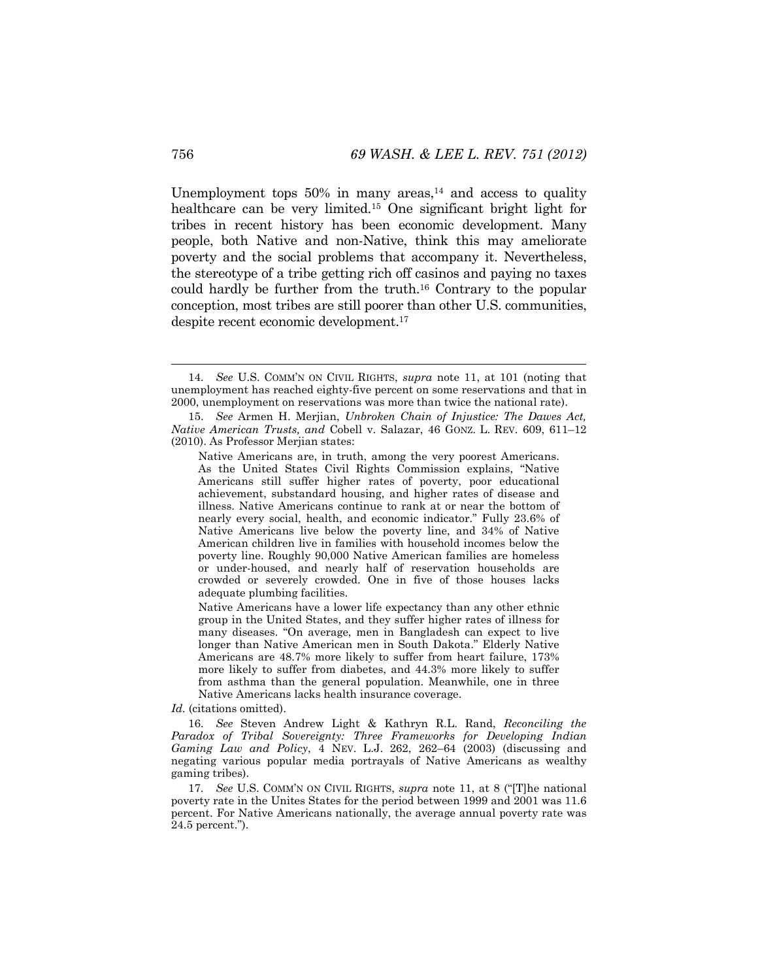Unemployment tops  $50\%$  in many areas,<sup>14</sup> and access to quality healthcare can be very limited.15 One significant bright light for tribes in recent history has been economic development. Many people, both Native and non-Native, think this may ameliorate poverty and the social problems that accompany it. Nevertheless, the stereotype of a tribe getting rich off casinos and paying no taxes could hardly be further from the truth.16 Contrary to the popular conception, most tribes are still poorer than other U.S. communities, despite recent economic development.17

*Id.* (citations omitted).

 <sup>14</sup>*. See* U.S. COMM'N ON CIVIL RIGHTS, *supra* note 11, at 101 (noting that unemployment has reached eighty-five percent on some reservations and that in 2000, unemployment on reservations was more than twice the national rate).

 <sup>15.</sup> *See* Armen H. Merjian, *Unbroken Chain of Injustice: The Dawes Act, Native American Trusts, and* Cobell v. Salazar, 46 GONZ. L. REV. 609, 611–12 (2010). As Professor Merjian states:

Native Americans are, in truth, among the very poorest Americans. As the United States Civil Rights Commission explains, "Native Americans still suffer higher rates of poverty, poor educational achievement, substandard housing, and higher rates of disease and illness. Native Americans continue to rank at or near the bottom of nearly every social, health, and economic indicator." Fully 23.6% of Native Americans live below the poverty line, and 34% of Native American children live in families with household incomes below the poverty line. Roughly 90,000 Native American families are homeless or under-housed, and nearly half of reservation households are crowded or severely crowded. One in five of those houses lacks adequate plumbing facilities.

Native Americans have a lower life expectancy than any other ethnic group in the United States, and they suffer higher rates of illness for many diseases. "On average, men in Bangladesh can expect to live longer than Native American men in South Dakota." Elderly Native Americans are 48.7% more likely to suffer from heart failure, 173% more likely to suffer from diabetes, and 44.3% more likely to suffer from asthma than the general population. Meanwhile, one in three Native Americans lacks health insurance coverage.

<sup>16</sup>*. See* Steven Andrew Light & Kathryn R.L. Rand, *Reconciling the Paradox of Tribal Sovereignty: Three Frameworks for Developing Indian Gaming Law and Policy*, 4 NEV. L.J. 262, 262–64 (2003) (discussing and negating various popular media portrayals of Native Americans as wealthy gaming tribes).

<sup>17</sup>*. See* U.S. COMM'N ON CIVIL RIGHTS, *supra* note 11, at 8 ("[T]he national poverty rate in the Unites States for the period between 1999 and 2001 was 11.6 percent. For Native Americans nationally, the average annual poverty rate was 24.5 percent.").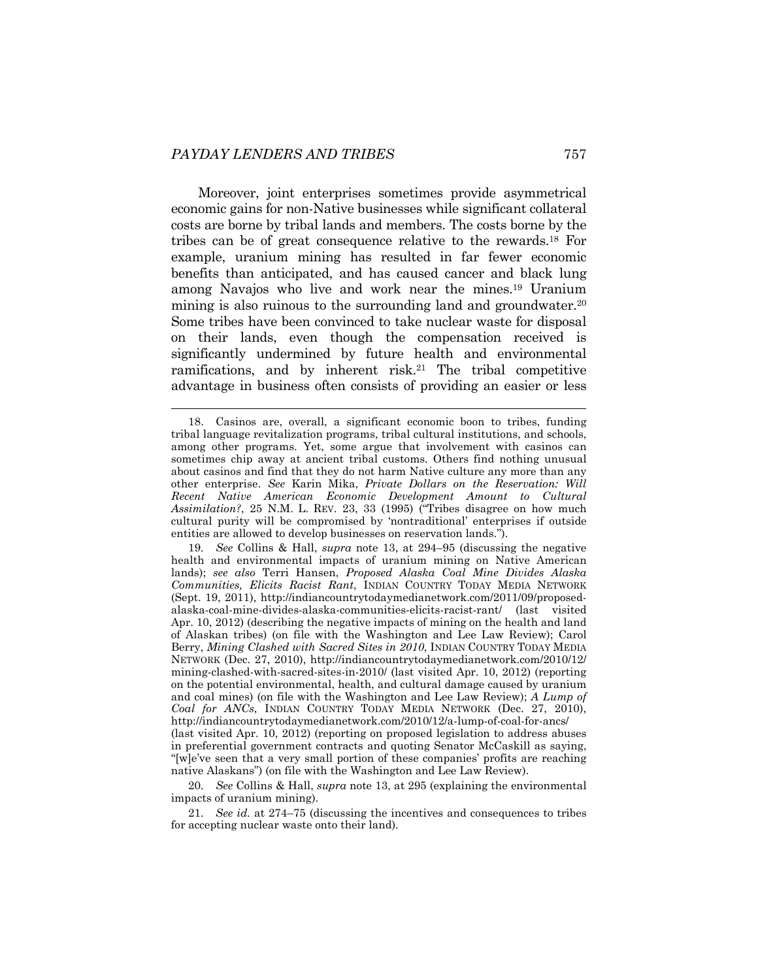l

Moreover, joint enterprises sometimes provide asymmetrical economic gains for non-Native businesses while significant collateral costs are borne by tribal lands and members. The costs borne by the tribes can be of great consequence relative to the rewards.18 For example, uranium mining has resulted in far fewer economic benefits than anticipated, and has caused cancer and black lung among Navajos who live and work near the mines.19 Uranium mining is also ruinous to the surrounding land and groundwater.<sup>20</sup> Some tribes have been convinced to take nuclear waste for disposal on their lands, even though the compensation received is significantly undermined by future health and environmental ramifications, and by inherent risk.<sup>21</sup> The tribal competitive advantage in business often consists of providing an easier or less

19*. See* Collins & Hall, *supra* note 13, at 294–95 (discussing the negative health and environmental impacts of uranium mining on Native American lands); *see also* Terri Hansen, *Proposed Alaska Coal Mine Divides Alaska Communities, Elicits Racist Rant*, INDIAN COUNTRY TODAY MEDIA NETWORK (Sept. 19, 2011), http://indiancountrytodaymedianetwork.com/2011/09/proposedalaska-coal-mine-divides-alaska-communities-elicits-racist-rant/ (last visited Apr. 10, 2012) (describing the negative impacts of mining on the health and land of Alaskan tribes) (on file with the Washington and Lee Law Review); Carol Berry, *Mining Clashed with Sacred Sites in 2010*, INDIAN COUNTRY TODAY MEDIA NETWORK (Dec. 27, 2010), http://indiancountrytodaymedianetwork.com/2010/12/ mining-clashed-with-sacred-sites-in-2010/ (last visited Apr. 10, 2012) (reporting on the potential environmental, health, and cultural damage caused by uranium and coal mines) (on file with the Washington and Lee Law Review); *A Lump of Coal for ANCs*, INDIAN COUNTRY TODAY MEDIA NETWORK (Dec. 27, 2010), http://indiancountrytodaymedianetwork.com/2010/12/a-lump-of-coal-for-ancs/ (last visited Apr. 10, 2012) (reporting on proposed legislation to address abuses in preferential government contracts and quoting Senator McCaskill as saying, "[w]e've seen that a very small portion of these companies' profits are reaching native Alaskans") (on file with the Washington and Lee Law Review).

20*. See* Collins & Hall, *supra* note 13, at 295 (explaining the environmental impacts of uranium mining).

21*. See id.* at 274–75 (discussing the incentives and consequences to tribes for accepting nuclear waste onto their land).

 <sup>18.</sup> Casinos are, overall, a significant economic boon to tribes, funding tribal language revitalization programs, tribal cultural institutions, and schools, among other programs. Yet, some argue that involvement with casinos can sometimes chip away at ancient tribal customs. Others find nothing unusual about casinos and find that they do not harm Native culture any more than any other enterprise. *See* Karin Mika, *Private Dollars on the Reservation: Will Recent Native American Economic Development Amount to Cultural Assimilation?*, 25 N.M. L. REV. 23, 33 (1995) ("Tribes disagree on how much cultural purity will be compromised by 'nontraditional' enterprises if outside entities are allowed to develop businesses on reservation lands.").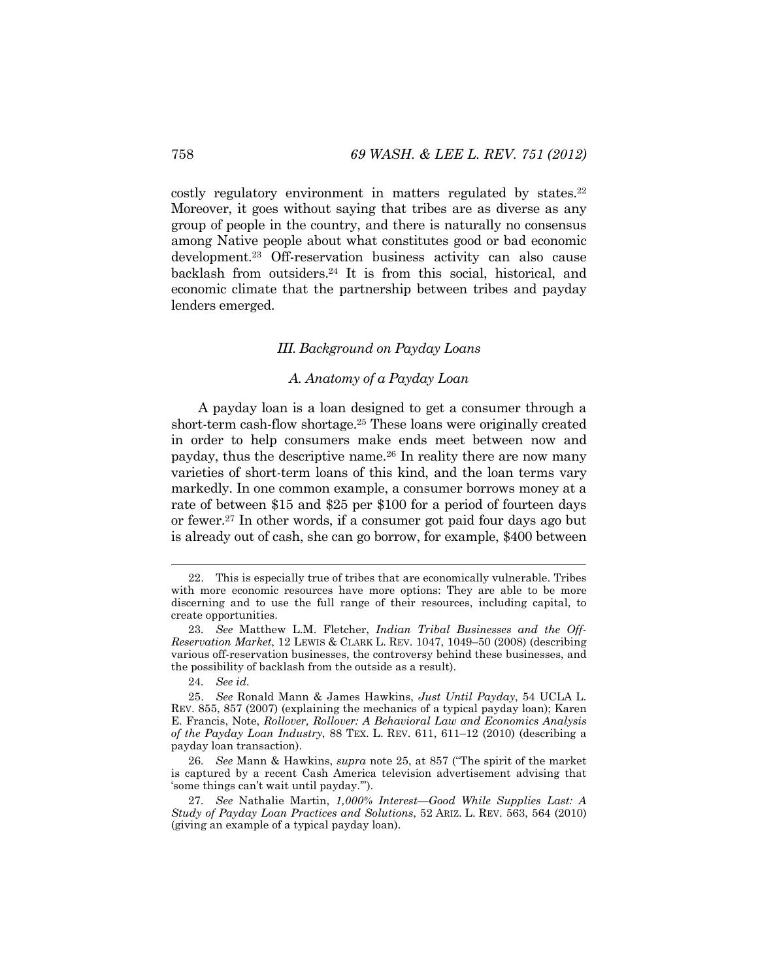costly regulatory environment in matters regulated by states.<sup>22</sup> Moreover, it goes without saying that tribes are as diverse as any group of people in the country, and there is naturally no consensus among Native people about what constitutes good or bad economic development.23 Off-reservation business activity can also cause backlash from outsiders.24 It is from this social, historical, and economic climate that the partnership between tribes and payday lenders emerged.

## *III. Background on Payday Loans*

### *A. Anatomy of a Payday Loan*

A payday loan is a loan designed to get a consumer through a short-term cash-flow shortage.25 These loans were originally created in order to help consumers make ends meet between now and payday, thus the descriptive name.26 In reality there are now many varieties of short-term loans of this kind, and the loan terms vary markedly. In one common example, a consumer borrows money at a rate of between \$15 and \$25 per \$100 for a period of fourteen days or fewer.27 In other words, if a consumer got paid four days ago but is already out of cash, she can go borrow, for example, \$400 between

 <sup>22.</sup> This is especially true of tribes that are economically vulnerable. Tribes with more economic resources have more options: They are able to be more discerning and to use the full range of their resources, including capital, to create opportunities.

<sup>23</sup>*. See* Matthew L.M. Fletcher, *Indian Tribal Businesses and the Off-Reservation Market*, 12 LEWIS & CLARK L. REV. 1047, 1049–50 (2008) (describing various off-reservation businesses, the controversy behind these businesses, and the possibility of backlash from the outside as a result).

<sup>24</sup>*. See id.*

 <sup>25.</sup> *See* Ronald Mann & James Hawkins, *Just Until Payday*, 54 UCLA L. REV. 855, 857 (2007) (explaining the mechanics of a typical payday loan); Karen E. Francis, Note, *Rollover, Rollover: A Behavioral Law and Economics Analysis of the Payday Loan Industry*, 88 TEX. L. REV. 611, 611–12 (2010) (describing a payday loan transaction).

<sup>26</sup>*. See* Mann & Hawkins, *supra* note 25, at 857 ("The spirit of the market is captured by a recent Cash America television advertisement advising that 'some things can't wait until payday.'").

<sup>27</sup>*. See* Nathalie Martin, *1,000% Interest—Good While Supplies Last: A Study of Payday Loan Practices and Solutions*, 52 ARIZ. L. REV. 563, 564 (2010) (giving an example of a typical payday loan).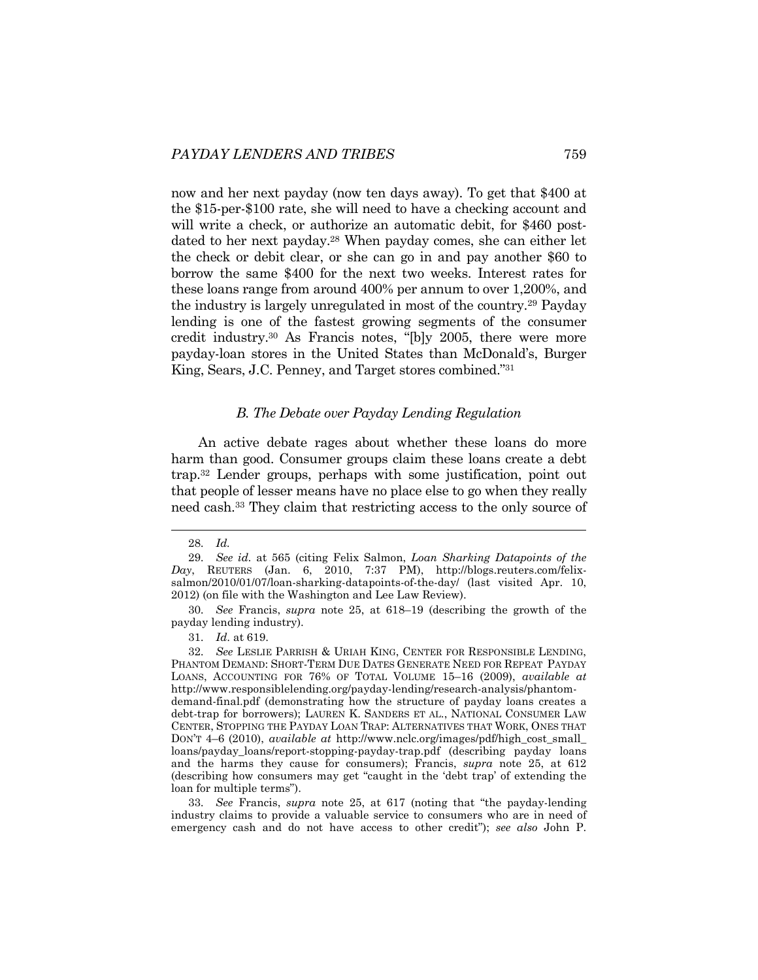now and her next payday (now ten days away). To get that \$400 at the \$15-per-\$100 rate, she will need to have a checking account and will write a check, or authorize an automatic debit, for \$460 postdated to her next payday.28 When payday comes, she can either let the check or debit clear, or she can go in and pay another \$60 to borrow the same \$400 for the next two weeks. Interest rates for these loans range from around 400% per annum to over 1,200%, and the industry is largely unregulated in most of the country.29 Payday lending is one of the fastest growing segments of the consumer credit industry.30 As Francis notes, "[b]y 2005, there were more payday-loan stores in the United States than McDonald's, Burger King, Sears, J.C. Penney, and Target stores combined."31

#### *B. The Debate over Payday Lending Regulation*

An active debate rages about whether these loans do more harm than good. Consumer groups claim these loans create a debt trap.32 Lender groups, perhaps with some justification, point out that people of lesser means have no place else to go when they really need cash.33 They claim that restricting access to the only source of

30*. See* Francis, *supra* note 25, at 618–19 (describing the growth of the payday lending industry).

31*. Id*. at 619.

32*. See* LESLIE PARRISH & URIAH KING, CENTER FOR RESPONSIBLE LENDING, PHANTOM DEMAND: SHORT-TERM DUE DATES GENERATE NEED FOR REPEAT PAYDAY LOANS, ACCOUNTING FOR 76% OF TOTAL VOLUME 15–16 (2009), *available at* http://www.responsiblelending.org/payday-lending/research-analysis/phantomdemand-final.pdf (demonstrating how the structure of payday loans creates a debt-trap for borrowers); LAUREN K. SANDERS ET AL., NATIONAL CONSUMER LAW CENTER, STOPPING THE PAYDAY LOAN TRAP: ALTERNATIVES THAT WORK, ONES THAT DON'T 4–6 (2010), *available at* http://www.nclc.org/images/pdf/high\_cost\_small\_ loans/payday\_loans/report-stopping-payday-trap.pdf (describing payday loans and the harms they cause for consumers); Francis, *supra* note 25, at 612 (describing how consumers may get "caught in the 'debt trap' of extending the loan for multiple terms").

33*. See* Francis, *supra* note 25, at 617 (noting that "the payday-lending industry claims to provide a valuable service to consumers who are in need of emergency cash and do not have access to other credit"); *see also* John P.

 <sup>28</sup>*. Id.*

<sup>29</sup>*. See id.* at 565 (citing Felix Salmon, *Loan Sharking Datapoints of the Day*, REUTERS (Jan. 6, 2010, 7:37 PM), http://blogs.reuters.com/felixsalmon/2010/01/07/loan-sharking-datapoints-of-the-day/ (last visited Apr. 10, 2012) (on file with the Washington and Lee Law Review).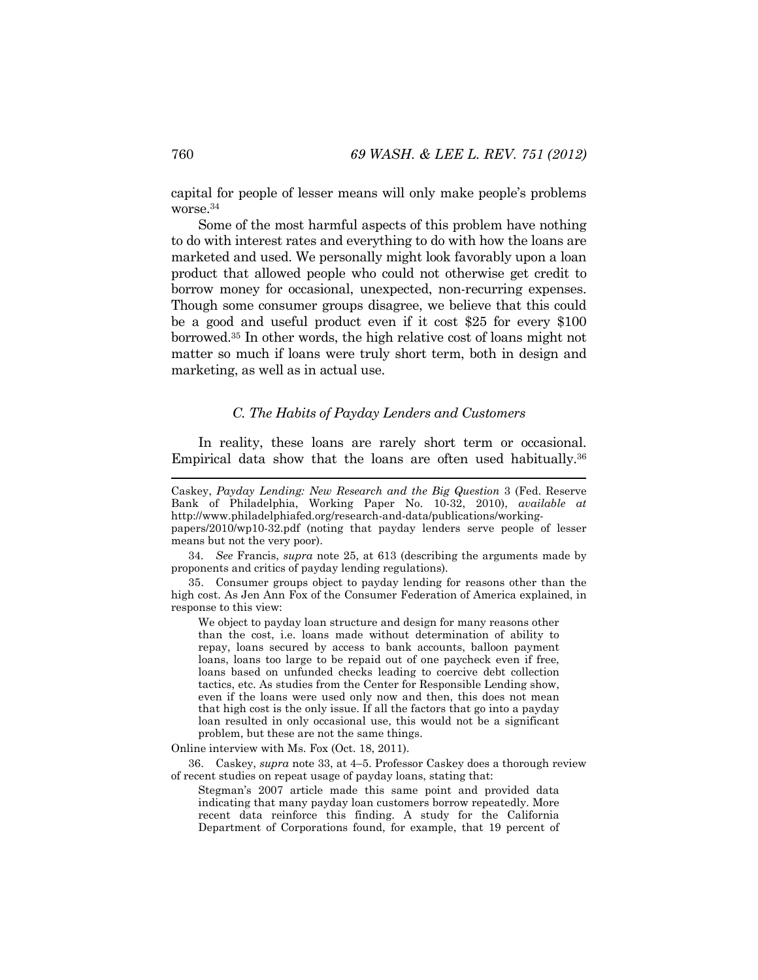capital for people of lesser means will only make people's problems worse.34

Some of the most harmful aspects of this problem have nothing to do with interest rates and everything to do with how the loans are marketed and used. We personally might look favorably upon a loan product that allowed people who could not otherwise get credit to borrow money for occasional, unexpected, non-recurring expenses. Though some consumer groups disagree, we believe that this could be a good and useful product even if it cost \$25 for every \$100 borrowed.35 In other words, the high relative cost of loans might not matter so much if loans were truly short term, both in design and marketing, as well as in actual use.

### *C. The Habits of Payday Lenders and Customers*

In reality, these loans are rarely short term or occasional. Empirical data show that the loans are often used habitually.<sup>36</sup>

34*. See* Francis, *supra* note 25, at 613 (describing the arguments made by proponents and critics of payday lending regulations).

 35. Consumer groups object to payday lending for reasons other than the high cost. As Jen Ann Fox of the Consumer Federation of America explained, in response to this view:

We object to payday loan structure and design for many reasons other than the cost, i.e. loans made without determination of ability to repay, loans secured by access to bank accounts, balloon payment loans, loans too large to be repaid out of one paycheck even if free, loans based on unfunded checks leading to coercive debt collection tactics, etc. As studies from the Center for Responsible Lending show, even if the loans were used only now and then, this does not mean that high cost is the only issue. If all the factors that go into a payday loan resulted in only occasional use, this would not be a significant problem, but these are not the same things.

Online interview with Ms. Fox (Oct. 18, 2011).

 36. Caskey, *supra* note 33, at 4–5. Professor Caskey does a thorough review of recent studies on repeat usage of payday loans, stating that:

Stegman's 2007 article made this same point and provided data indicating that many payday loan customers borrow repeatedly. More recent data reinforce this finding. A study for the California Department of Corporations found, for example, that 19 percent of

Caskey, *Payday Lending: New Research and the Big Question* 3 (Fed. Reserve Bank of Philadelphia, Working Paper No. 10-32, 2010), *available at*  http://www.philadelphiafed.org/research-and-data/publications/working-

papers/2010/wp10-32.pdf (noting that payday lenders serve people of lesser means but not the very poor).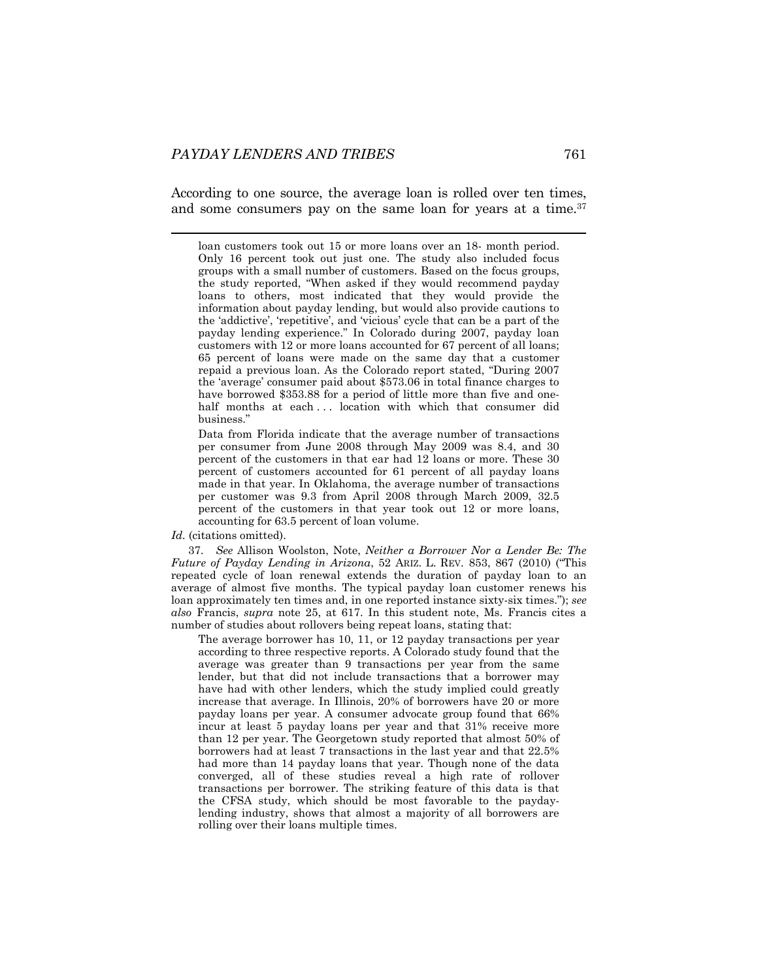According to one source, the average loan is rolled over ten times, and some consumers pay on the same loan for years at a time.<sup>37</sup>

 loan customers took out 15 or more loans over an 18- month period. Only 16 percent took out just one. The study also included focus groups with a small number of customers. Based on the focus groups, the study reported, "When asked if they would recommend payday loans to others, most indicated that they would provide the information about payday lending, but would also provide cautions to the 'addictive', 'repetitive', and 'vicious' cycle that can be a part of the payday lending experience." In Colorado during 2007, payday loan customers with 12 or more loans accounted for 67 percent of all loans; 65 percent of loans were made on the same day that a customer repaid a previous loan. As the Colorado report stated, "During 2007 the 'average' consumer paid about \$573.06 in total finance charges to have borrowed \$353.88 for a period of little more than five and onehalf months at each ... location with which that consumer did business."

Data from Florida indicate that the average number of transactions per consumer from June 2008 through May 2009 was 8.4, and 30 percent of the customers in that ear had 12 loans or more. These 30 percent of customers accounted for 61 percent of all payday loans made in that year. In Oklahoma, the average number of transactions per customer was 9.3 from April 2008 through March 2009, 32.5 percent of the customers in that year took out 12 or more loans, accounting for 63.5 percent of loan volume.

#### *Id.* (citations omitted).

37*. See* Allison Woolston, Note, *Neither a Borrower Nor a Lender Be: The Future of Payday Lending in Arizona*, 52 ARIZ. L. REV. 853, 867 (2010) ("This repeated cycle of loan renewal extends the duration of payday loan to an average of almost five months. The typical payday loan customer renews his loan approximately ten times and, in one reported instance sixty-six times."); *see also* Francis, *supra* note 25, at 617. In this student note, Ms. Francis cites a number of studies about rollovers being repeat loans, stating that:

The average borrower has 10, 11, or 12 payday transactions per year according to three respective reports. A Colorado study found that the average was greater than 9 transactions per year from the same lender, but that did not include transactions that a borrower may have had with other lenders, which the study implied could greatly increase that average. In Illinois, 20% of borrowers have 20 or more payday loans per year. A consumer advocate group found that 66% incur at least 5 payday loans per year and that 31% receive more than 12 per year. The Georgetown study reported that almost 50% of borrowers had at least 7 transactions in the last year and that 22.5% had more than 14 payday loans that year. Though none of the data converged, all of these studies reveal a high rate of rollover transactions per borrower. The striking feature of this data is that the CFSA study, which should be most favorable to the paydaylending industry, shows that almost a majority of all borrowers are rolling over their loans multiple times.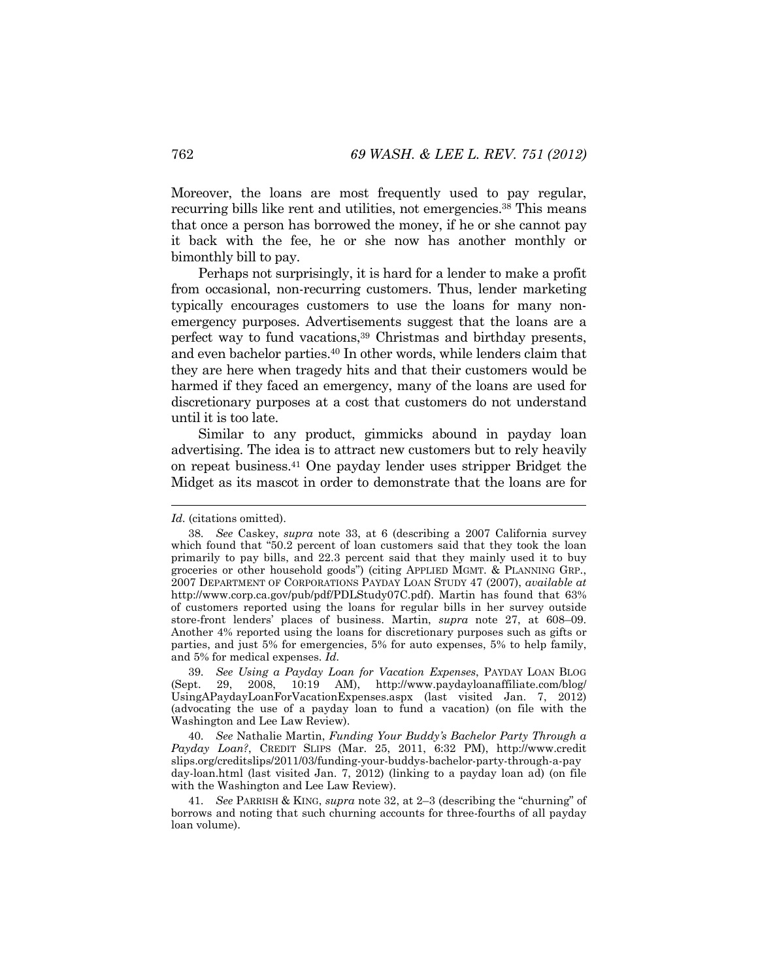Moreover, the loans are most frequently used to pay regular, recurring bills like rent and utilities, not emergencies.38 This means that once a person has borrowed the money, if he or she cannot pay it back with the fee, he or she now has another monthly or bimonthly bill to pay.

Perhaps not surprisingly, it is hard for a lender to make a profit from occasional, non-recurring customers. Thus, lender marketing typically encourages customers to use the loans for many nonemergency purposes. Advertisements suggest that the loans are a perfect way to fund vacations,39 Christmas and birthday presents, and even bachelor parties.40 In other words, while lenders claim that they are here when tragedy hits and that their customers would be harmed if they faced an emergency, many of the loans are used for discretionary purposes at a cost that customers do not understand until it is too late.

Similar to any product, gimmicks abound in payday loan advertising. The idea is to attract new customers but to rely heavily on repeat business.41 One payday lender uses stripper Bridget the Midget as its mascot in order to demonstrate that the loans are for

*Id.* (citations omitted).

<sup>38</sup>*. See* Caskey, *supra* note 33, at 6 (describing a 2007 California survey which found that "50.2 percent of loan customers said that they took the loan primarily to pay bills, and 22.3 percent said that they mainly used it to buy groceries or other household goods") (citing APPLIED MGMT. & PLANNING GRP., 2007 DEPARTMENT OF CORPORATIONS PAYDAY LOAN STUDY 47 (2007), *available at*  http://www.corp.ca.gov/pub/pdf/PDLStudy07C.pdf). Martin has found that 63% of customers reported using the loans for regular bills in her survey outside store-front lenders' places of business. Martin, *supra* note 27, at 608–09. Another 4% reported using the loans for discretionary purposes such as gifts or parties, and just 5% for emergencies, 5% for auto expenses, 5% to help family, and 5% for medical expenses. *Id.*

<sup>39</sup>*. See Using a Payday Loan for Vacation Expenses*, PAYDAY LOAN BLOG 29, 2008, 10:19 AM), http://www.paydayloanaffiliate.com/blog/ UsingAPaydayLoanForVacationExpenses.aspx (last visited Jan. 7, 2012) (advocating the use of a payday loan to fund a vacation) (on file with the Washington and Lee Law Review).

<sup>40</sup>*. See* Nathalie Martin, *Funding Your Buddy's Bachelor Party Through a Payday Loan?*, CREDIT SLIPS (Mar. 25, 2011, 6:32 PM), http://www.credit slips.org/creditslips/2011/03/funding-your-buddys-bachelor-party-through-a-pay day-loan.html (last visited Jan. 7, 2012) (linking to a payday loan ad) (on file with the Washington and Lee Law Review).

<sup>41</sup>*. See* PARRISH & KING, *supra* note 32, at 2–3 (describing the "churning" of borrows and noting that such churning accounts for three-fourths of all payday loan volume).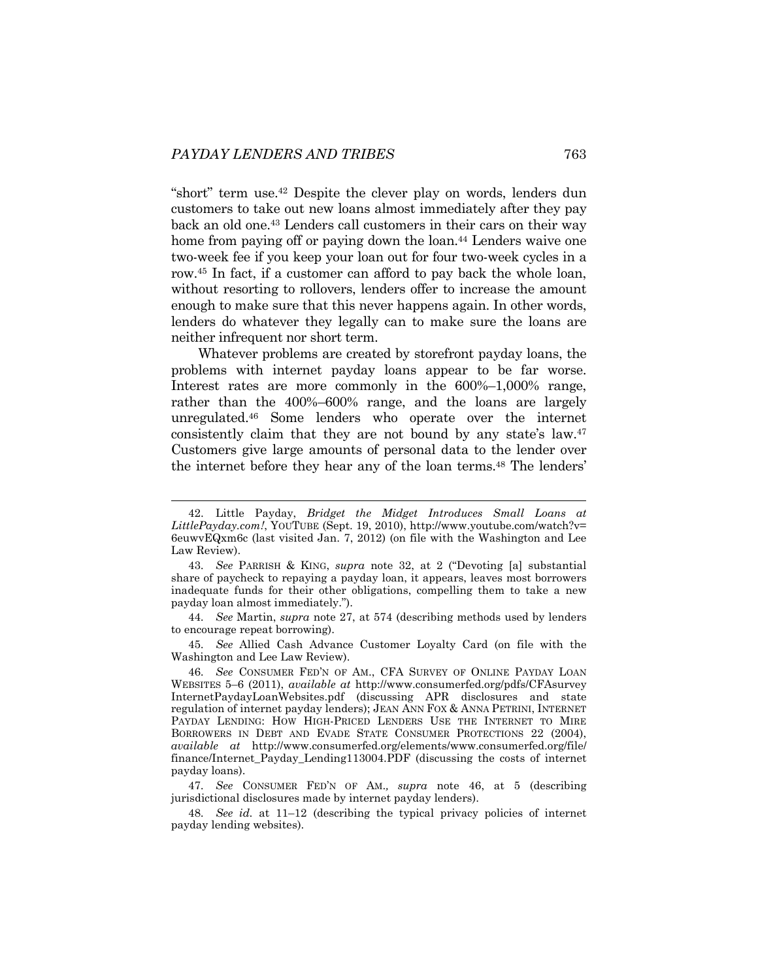"short" term use.42 Despite the clever play on words, lenders dun customers to take out new loans almost immediately after they pay back an old one.43 Lenders call customers in their cars on their way home from paying off or paying down the loan.<sup>44</sup> Lenders waive one two-week fee if you keep your loan out for four two-week cycles in a row.45 In fact, if a customer can afford to pay back the whole loan, without resorting to rollovers, lenders offer to increase the amount enough to make sure that this never happens again. In other words, lenders do whatever they legally can to make sure the loans are neither infrequent nor short term.

Whatever problems are created by storefront payday loans, the problems with internet payday loans appear to be far worse. Interest rates are more commonly in the 600%–1,000% range, rather than the 400%–600% range, and the loans are largely unregulated.46 Some lenders who operate over the internet consistently claim that they are not bound by any state's law.47 Customers give large amounts of personal data to the lender over the internet before they hear any of the loan terms.48 The lenders'

45*. See* Allied Cash Advance Customer Loyalty Card (on file with the Washington and Lee Law Review).

 <sup>42.</sup> Little Payday, *Bridget the Midget Introduces Small Loans at LittlePayday.com!*, YOUTUBE (Sept. 19, 2010), http://www.youtube.com/watch?v= 6euwvEQxm6c (last visited Jan. 7, 2012) (on file with the Washington and Lee Law Review).

<sup>43</sup>*. See* PARRISH & KING, *supra* note 32, at 2 ("Devoting [a] substantial share of paycheck to repaying a payday loan, it appears, leaves most borrowers inadequate funds for their other obligations, compelling them to take a new payday loan almost immediately.").

<sup>44</sup>*. See* Martin, *supra* note 27, at 574 (describing methods used by lenders to encourage repeat borrowing).

<sup>46</sup>*. See* CONSUMER FED'N OF AM., CFA SURVEY OF ONLINE PAYDAY LOAN WEBSITES 5–6 (2011), *available at* http://www.consumerfed.org/pdfs/CFAsurvey InternetPaydayLoanWebsites.pdf (discussing APR disclosures and state regulation of internet payday lenders); JEAN ANN FOX & ANNA PETRINI, INTERNET PAYDAY LENDING: HOW HIGH-PRICED LENDERS USE THE INTERNET TO MIRE BORROWERS IN DEBT AND EVADE STATE CONSUMER PROTECTIONS 22 (2004), *available at* http://www.consumerfed.org/elements/www.consumerfed.org/file/ finance/Internet\_Payday\_Lending113004.PDF (discussing the costs of internet payday loans).

<sup>47</sup>*. See* CONSUMER FED'N OF AM.*, supra* note 46, at 5 (describing jurisdictional disclosures made by internet payday lenders).

<sup>48</sup>*. See id.* at 11–12 (describing the typical privacy policies of internet payday lending websites).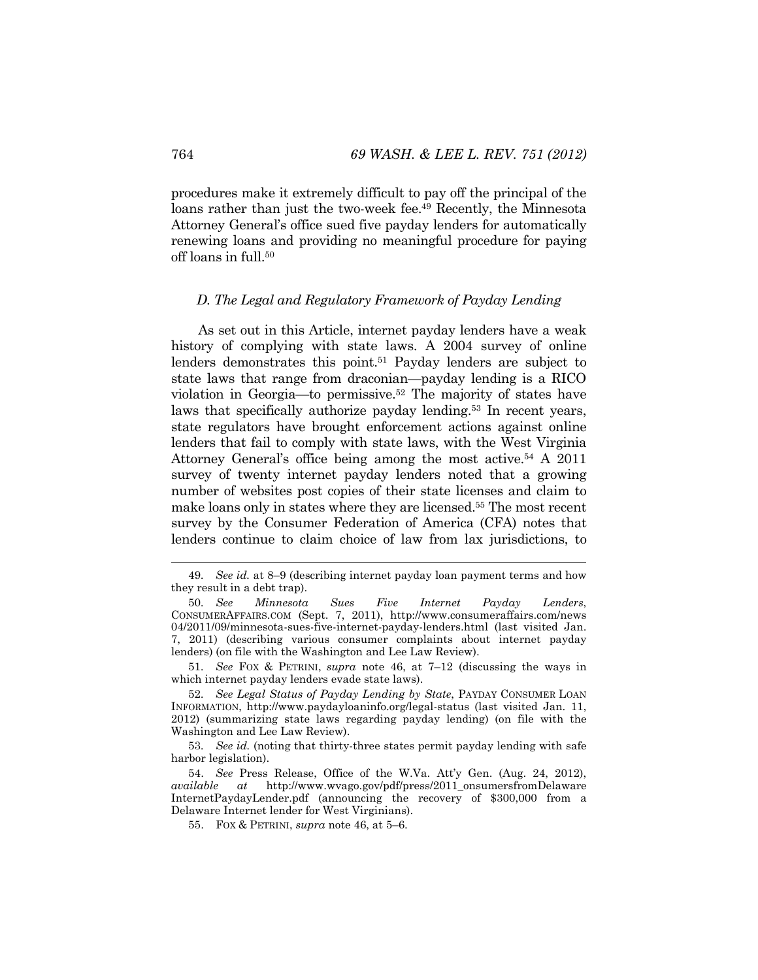procedures make it extremely difficult to pay off the principal of the loans rather than just the two-week fee.<sup>49</sup> Recently, the Minnesota Attorney General's office sued five payday lenders for automatically renewing loans and providing no meaningful procedure for paying off loans in full.<sup>50</sup>

#### *D. The Legal and Regulatory Framework of Payday Lending*

As set out in this Article, internet payday lenders have a weak history of complying with state laws. A 2004 survey of online lenders demonstrates this point.<sup>51</sup> Payday lenders are subject to state laws that range from draconian—payday lending is a RICO violation in Georgia—to permissive.52 The majority of states have laws that specifically authorize payday lending.<sup>53</sup> In recent years, state regulators have brought enforcement actions against online lenders that fail to comply with state laws, with the West Virginia Attorney General's office being among the most active.<sup>54</sup> A 2011 survey of twenty internet payday lenders noted that a growing number of websites post copies of their state licenses and claim to make loans only in states where they are licensed.55 The most recent survey by the Consumer Federation of America (CFA) notes that lenders continue to claim choice of law from lax jurisdictions, to

51*. See* FOX & PETRINI, *supra* note 46, at 7–12 (discussing the ways in which internet payday lenders evade state laws).

 <sup>49</sup>*. See id.* at 8–9 (describing internet payday loan payment terms and how they result in a debt trap).

<sup>50</sup>*. See Minnesota Sues Five Internet Payday Lenders*, CONSUMERAFFAIRS.COM (Sept. 7, 2011), http://www.consumeraffairs.com/news 04/2011/09/minnesota-sues-five-internet-payday-lenders.html (last visited Jan. 7, 2011) (describing various consumer complaints about internet payday lenders) (on file with the Washington and Lee Law Review).

<sup>52</sup>*. See Legal Status of Payday Lending by State*, PAYDAY CONSUMER LOAN INFORMATION, http://www.paydayloaninfo.org/legal-status (last visited Jan. 11, 2012) (summarizing state laws regarding payday lending) (on file with the Washington and Lee Law Review).

<sup>53</sup>*. See id.* (noting that thirty-three states permit payday lending with safe harbor legislation).

 <sup>54.</sup> *See* Press Release, Office of the W.Va. Att'y Gen. (Aug. 24, 2012), *available at* http://www.wvago.gov/pdf/press/2011\_onsumersfromDelaware InternetPaydayLender.pdf (announcing the recovery of \$300,000 from a Delaware Internet lender for West Virginians).

 <sup>55.</sup> FOX & PETRINI, *supra* note 46, at 5–6.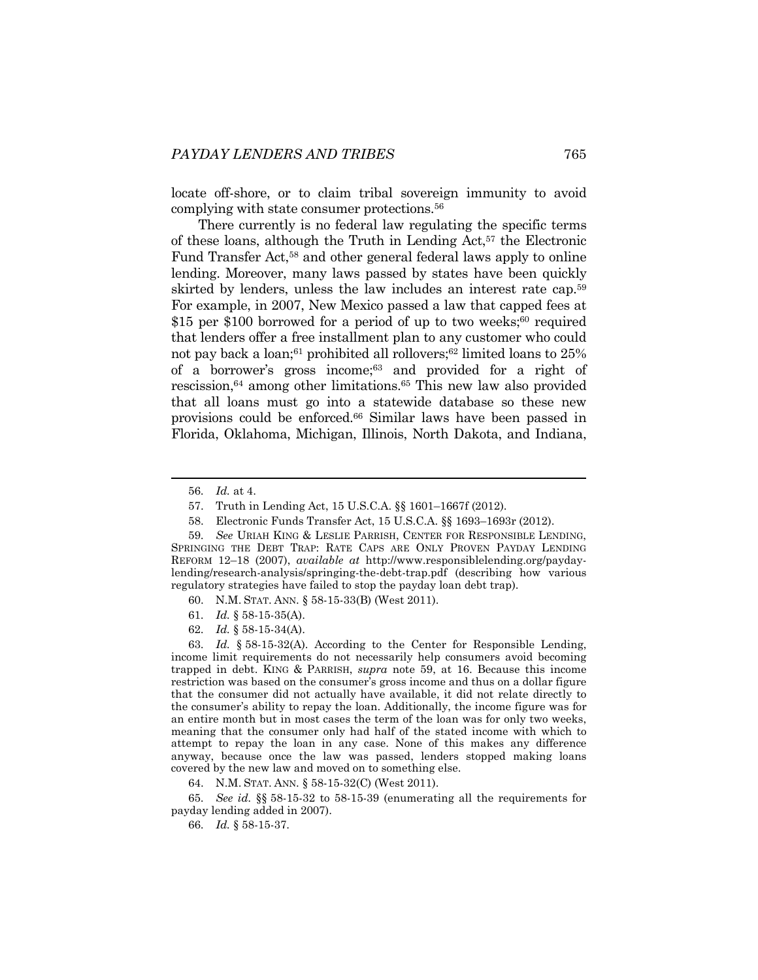locate off-shore, or to claim tribal sovereign immunity to avoid complying with state consumer protections.56

There currently is no federal law regulating the specific terms of these loans, although the Truth in Lending Act,<sup>57</sup> the Electronic Fund Transfer Act,<sup>58</sup> and other general federal laws apply to online lending. Moreover, many laws passed by states have been quickly skirted by lenders, unless the law includes an interest rate cap.59 For example, in 2007, New Mexico passed a law that capped fees at \$15 per \$100 borrowed for a period of up to two weeks;<sup>60</sup> required that lenders offer a free installment plan to any customer who could not pay back a loan; $61$  prohibited all rollovers; $62$  limited loans to  $25\%$ of a borrower's gross income;63 and provided for a right of rescission,64 among other limitations.65 This new law also provided that all loans must go into a statewide database so these new provisions could be enforced.66 Similar laws have been passed in Florida, Oklahoma, Michigan, Illinois, North Dakota, and Indiana,

62*. Id.* § 58-15-34(A).

63*. Id.* § 58-15-32(A). According to the Center for Responsible Lending, income limit requirements do not necessarily help consumers avoid becoming trapped in debt. KING & PARRISH, *supra* note 59, at 16. Because this income restriction was based on the consumer's gross income and thus on a dollar figure that the consumer did not actually have available, it did not relate directly to the consumer's ability to repay the loan. Additionally, the income figure was for an entire month but in most cases the term of the loan was for only two weeks, meaning that the consumer only had half of the stated income with which to attempt to repay the loan in any case. None of this makes any difference anyway, because once the law was passed, lenders stopped making loans covered by the new law and moved on to something else.

64. N.M. STAT. ANN. § 58-15-32(C) (West 2011).

65*. See id.* §§ 58-15-32 to 58-15-39 (enumerating all the requirements for payday lending added in 2007).

66*. Id.* § 58-15-37.

 <sup>56</sup>*. Id.* at 4.

 <sup>57.</sup> Truth in Lending Act, 15 U.S.C.A. §§ 1601–1667f (2012).

 <sup>58.</sup> Electronic Funds Transfer Act, 15 U.S.C.A. §§ 1693–1693r (2012).

<sup>59</sup>*. See* URIAH KING & LESLIE PARRISH, CENTER FOR RESPONSIBLE LENDING, SPRINGING THE DEBT TRAP: RATE CAPS ARE ONLY PROVEN PAYDAY LENDING REFORM 12–18 (2007), *available at* http://www.responsiblelending.org/paydaylending/research-analysis/springing-the-debt-trap.pdf (describing how various regulatory strategies have failed to stop the payday loan debt trap).

 <sup>60.</sup> N.M. STAT. ANN. § 58-15-33(B) (West 2011).

<sup>61</sup>*. Id.* § 58-15-35(A).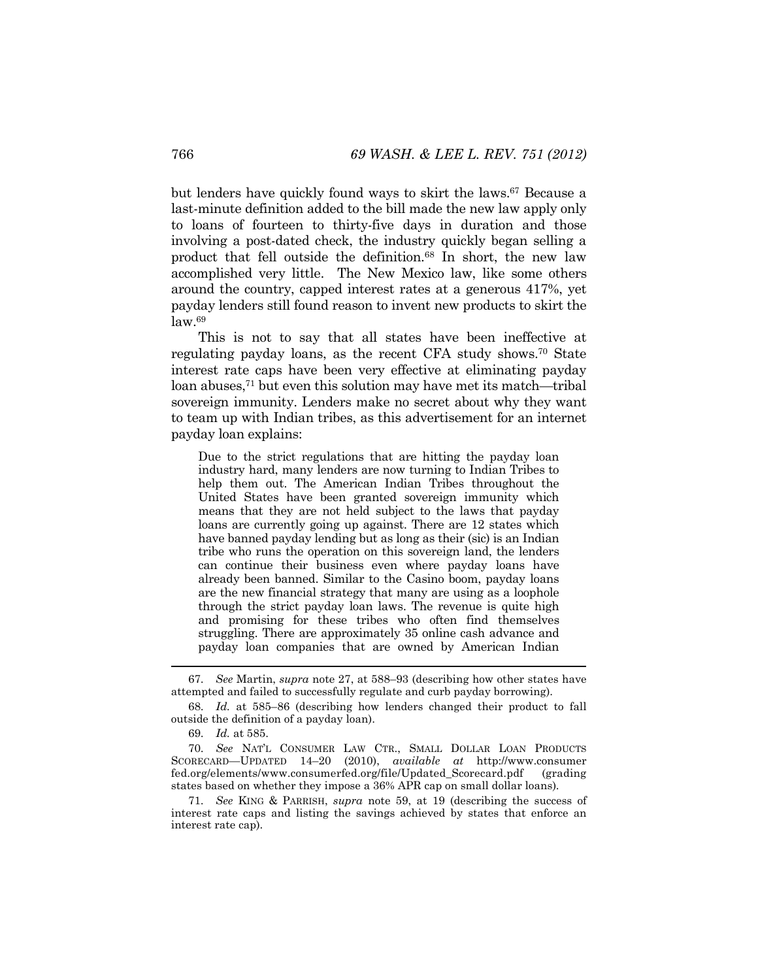but lenders have quickly found ways to skirt the laws.<sup>67</sup> Because a last-minute definition added to the bill made the new law apply only to loans of fourteen to thirty-five days in duration and those involving a post-dated check, the industry quickly began selling a product that fell outside the definition.68 In short, the new law accomplished very little. The New Mexico law, like some others around the country, capped interest rates at a generous 417%, yet payday lenders still found reason to invent new products to skirt the  $law<sup>69</sup>$ 

This is not to say that all states have been ineffective at regulating payday loans, as the recent CFA study shows.70 State interest rate caps have been very effective at eliminating payday loan abuses,71 but even this solution may have met its match—tribal sovereign immunity. Lenders make no secret about why they want to team up with Indian tribes, as this advertisement for an internet payday loan explains:

Due to the strict regulations that are hitting the payday loan industry hard, many lenders are now turning to Indian Tribes to help them out. The American Indian Tribes throughout the United States have been granted sovereign immunity which means that they are not held subject to the laws that payday loans are currently going up against. There are 12 states which have banned payday lending but as long as their (sic) is an Indian tribe who runs the operation on this sovereign land, the lenders can continue their business even where payday loans have already been banned. Similar to the Casino boom, payday loans are the new financial strategy that many are using as a loophole through the strict payday loan laws. The revenue is quite high and promising for these tribes who often find themselves struggling. There are approximately 35 online cash advance and payday loan companies that are owned by American Indian

 <sup>67</sup>*. See* Martin, *supra* note 27, at 588–93 (describing how other states have attempted and failed to successfully regulate and curb payday borrowing).

<sup>68</sup>*. Id.* at 585–86 (describing how lenders changed their product to fall outside the definition of a payday loan).

<sup>69</sup>*. Id.* at 585.

<sup>70</sup>*. See* NAT'L CONSUMER LAW CTR., SMALL DOLLAR LOAN PRODUCTS SCORECARD—UPDATED 14–20 (2010), *available at* http://www.consumer fed.org/elements/www.consumerfed.org/file/Updated\_Scorecard.pdf (grading states based on whether they impose a 36% APR cap on small dollar loans).

<sup>71</sup>*. See* KING & PARRISH, *supra* note 59, at 19 (describing the success of interest rate caps and listing the savings achieved by states that enforce an interest rate cap).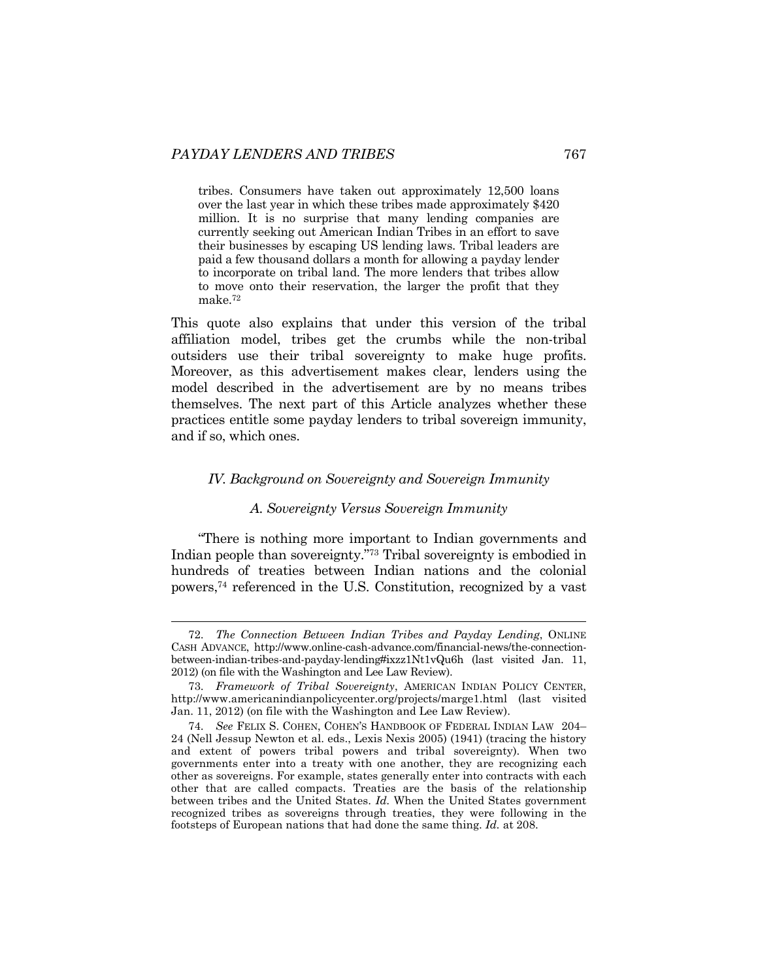tribes. Consumers have taken out approximately 12,500 loans over the last year in which these tribes made approximately \$420 million. It is no surprise that many lending companies are currently seeking out American Indian Tribes in an effort to save their businesses by escaping US lending laws. Tribal leaders are paid a few thousand dollars a month for allowing a payday lender to incorporate on tribal land. The more lenders that tribes allow to move onto their reservation, the larger the profit that they make.72

This quote also explains that under this version of the tribal affiliation model, tribes get the crumbs while the non-tribal outsiders use their tribal sovereignty to make huge profits. Moreover, as this advertisement makes clear, lenders using the model described in the advertisement are by no means tribes themselves. The next part of this Article analyzes whether these practices entitle some payday lenders to tribal sovereign immunity, and if so, which ones.

## *IV. Background on Sovereignty and Sovereign Immunity*

## *A. Sovereignty Versus Sovereign Immunity*

"There is nothing more important to Indian governments and Indian people than sovereignty."73 Tribal sovereignty is embodied in hundreds of treaties between Indian nations and the colonial powers,74 referenced in the U.S. Constitution, recognized by a vast

 <sup>72</sup>*. The Connection Between Indian Tribes and Payday Lending*, ONLINE CASH ADVANCE, http://www.online-cash-advance.com/financial-news/the-connectionbetween-indian-tribes-and-payday-lending#ixzz1Nt1vQu6h (last visited Jan. 11, 2012) (on file with the Washington and Lee Law Review).

<sup>73</sup>*. Framework of Tribal Sovereignty*, AMERICAN INDIAN POLICY CENTER, http://www.americanindianpolicycenter.org/projects/marge1.html (last visited Jan. 11, 2012) (on file with the Washington and Lee Law Review).

<sup>74</sup>*. See* FELIX S. COHEN, COHEN'S HANDBOOK OF FEDERAL INDIAN LAW 204– 24 (Nell Jessup Newton et al. eds., Lexis Nexis 2005) (1941) (tracing the history and extent of powers tribal powers and tribal sovereignty). When two governments enter into a treaty with one another, they are recognizing each other as sovereigns. For example, states generally enter into contracts with each other that are called compacts. Treaties are the basis of the relationship between tribes and the United States. *Id.* When the United States government recognized tribes as sovereigns through treaties, they were following in the footsteps of European nations that had done the same thing. *Id.* at 208.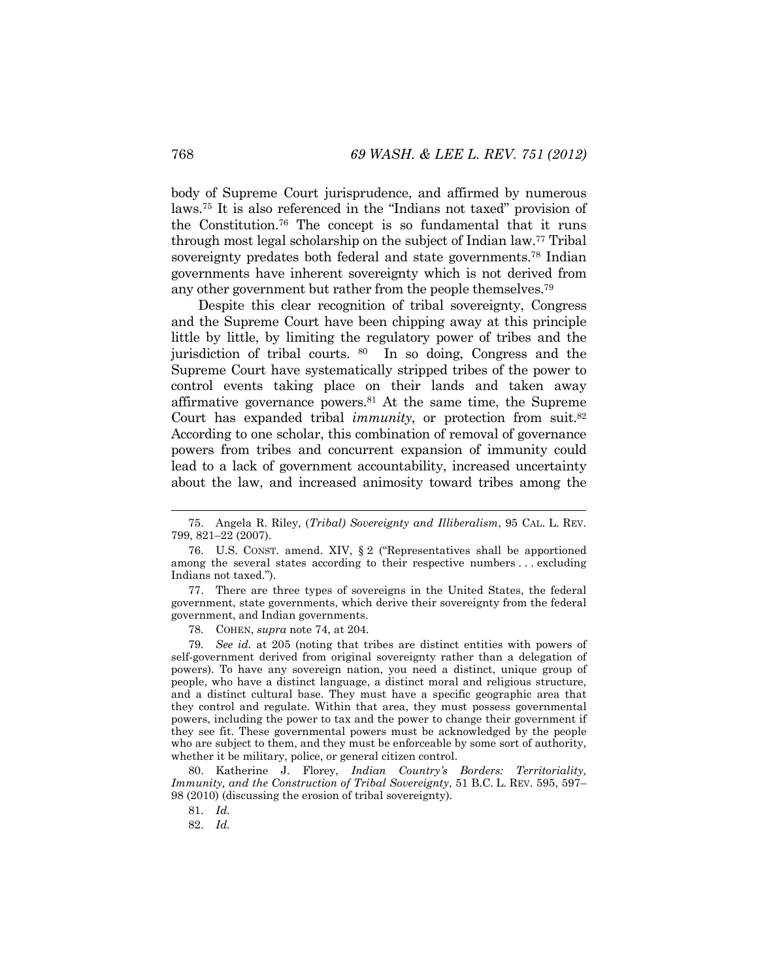body of Supreme Court jurisprudence, and affirmed by numerous laws.75 It is also referenced in the "Indians not taxed" provision of the Constitution.76 The concept is so fundamental that it runs through most legal scholarship on the subject of Indian law.77 Tribal sovereignty predates both federal and state governments.<sup>78</sup> Indian governments have inherent sovereignty which is not derived from any other government but rather from the people themselves.79

Despite this clear recognition of tribal sovereignty, Congress and the Supreme Court have been chipping away at this principle little by little, by limiting the regulatory power of tribes and the jurisdiction of tribal courts. <sup>80</sup> In so doing, Congress and the Supreme Court have systematically stripped tribes of the power to control events taking place on their lands and taken away affirmative governance powers.81 At the same time, the Supreme Court has expanded tribal *immunity*, or protection from suit.<sup>82</sup> According to one scholar, this combination of removal of governance powers from tribes and concurrent expansion of immunity could lead to a lack of government accountability, increased uncertainty about the law, and increased animosity toward tribes among the

78. COHEN, *supra* note 74, at 204.

79*. See id.* at 205 (noting that tribes are distinct entities with powers of self-government derived from original sovereignty rather than a delegation of powers). To have any sovereign nation, you need a distinct, unique group of people, who have a distinct language, a distinct moral and religious structure, and a distinct cultural base. They must have a specific geographic area that they control and regulate. Within that area, they must possess governmental powers, including the power to tax and the power to change their government if they see fit. These governmental powers must be acknowledged by the people who are subject to them, and they must be enforceable by some sort of authority, whether it be military, police, or general citizen control.

 80. Katherine J. Florey, *Indian Country's Borders: Territoriality, Immunity, and the Construction of Tribal Sovereignty*, 51 B.C. L. REV. 595, 597– 98 (2010) (discussing the erosion of tribal sovereignty).

81. *Id.*

82. *Id.*

 <sup>75.</sup> Angela R. Riley, (*Tribal) Sovereignty and Illiberalism*, 95 CAL. L. REV. 799, 821–22 (2007).

 <sup>76.</sup> U.S. CONST. amend. XIV, § 2 ("Representatives shall be apportioned among the several states according to their respective numbers . . . excluding Indians not taxed.").

 <sup>77.</sup> There are three types of sovereigns in the United States, the federal government, state governments, which derive their sovereignty from the federal government, and Indian governments.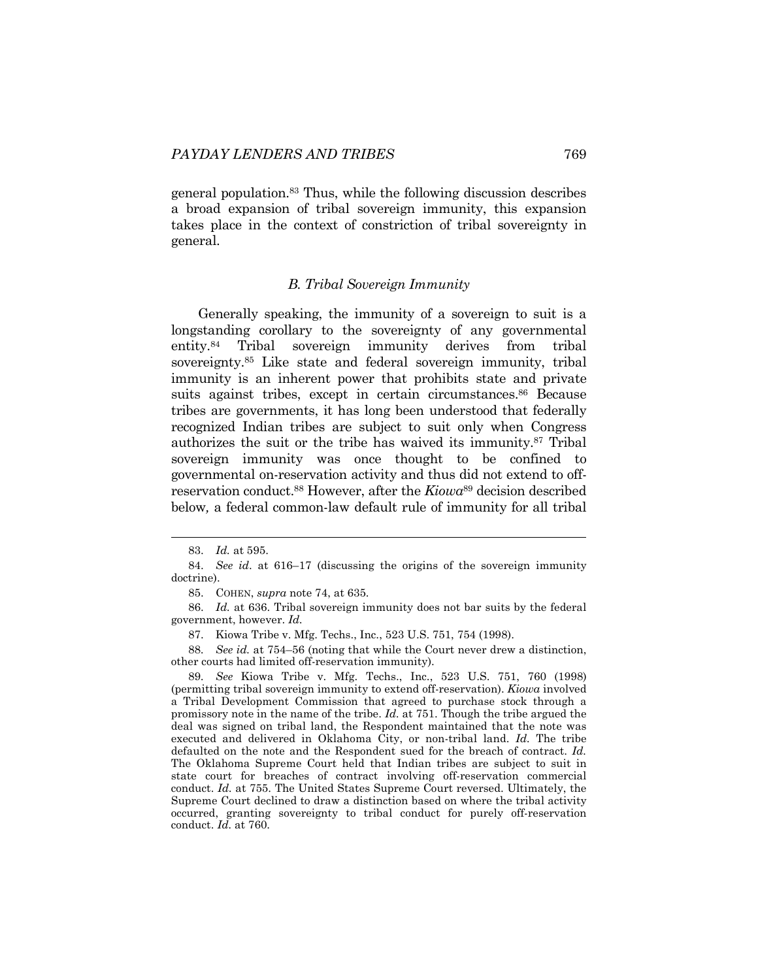general population.83 Thus, while the following discussion describes a broad expansion of tribal sovereign immunity, this expansion takes place in the context of constriction of tribal sovereignty in general.

#### *B. Tribal Sovereign Immunity*

Generally speaking, the immunity of a sovereign to suit is a longstanding corollary to the sovereignty of any governmental entity.84 Tribal sovereign immunity derives from tribal sovereignty.85 Like state and federal sovereign immunity, tribal immunity is an inherent power that prohibits state and private suits against tribes, except in certain circumstances.<sup>86</sup> Because tribes are governments, it has long been understood that federally recognized Indian tribes are subject to suit only when Congress authorizes the suit or the tribe has waived its immunity.87 Tribal sovereign immunity was once thought to be confined to governmental on-reservation activity and thus did not extend to offreservation conduct.88 However, after the *Kiowa*89 decision described below*,* a federal common-law default rule of immunity for all tribal

 <sup>83.</sup> *Id.* at 595.

 <sup>84.</sup> *See id*. at 616–17 (discussing the origins of the sovereign immunity doctrine).

 <sup>85.</sup> COHEN, *supra* note 74, at 635.

 <sup>86.</sup> *Id.* at 636. Tribal sovereign immunity does not bar suits by the federal government, however. *Id.*

 <sup>87.</sup> Kiowa Tribe v. Mfg. Techs., Inc., 523 U.S. 751, 754 (1998).

<sup>88</sup>*. See id.* at 754–56 (noting that while the Court never drew a distinction, other courts had limited off-reservation immunity).

<sup>89</sup>*. See* Kiowa Tribe v. Mfg. Techs., Inc., 523 U.S. 751, 760 (1998) (permitting tribal sovereign immunity to extend off-reservation). *Kiowa* involved a Tribal Development Commission that agreed to purchase stock through a promissory note in the name of the tribe. *Id.* at 751. Though the tribe argued the deal was signed on tribal land, the Respondent maintained that the note was executed and delivered in Oklahoma City, or non-tribal land. *Id.* The tribe defaulted on the note and the Respondent sued for the breach of contract. *Id.*  The Oklahoma Supreme Court held that Indian tribes are subject to suit in state court for breaches of contract involving off-reservation commercial conduct. *Id.* at 755. The United States Supreme Court reversed. Ultimately, the Supreme Court declined to draw a distinction based on where the tribal activity occurred, granting sovereignty to tribal conduct for purely off-reservation conduct. *Id.* at 760.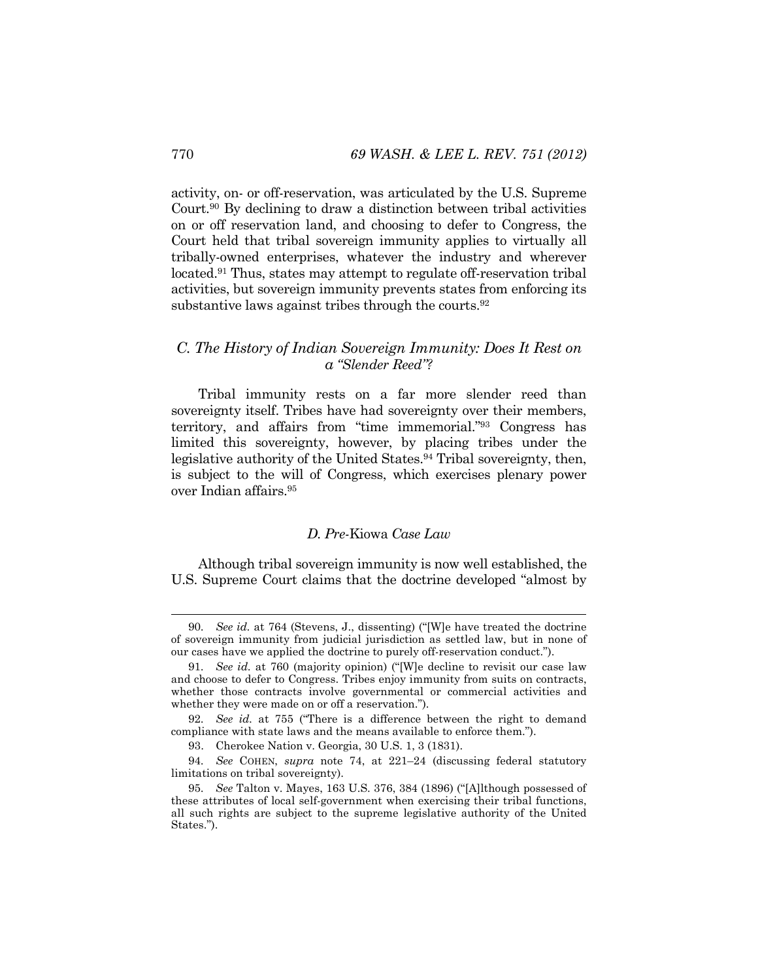activity, on- or off-reservation, was articulated by the U.S. Supreme Court.90 By declining to draw a distinction between tribal activities on or off reservation land, and choosing to defer to Congress, the Court held that tribal sovereign immunity applies to virtually all tribally-owned enterprises, whatever the industry and wherever located.91 Thus, states may attempt to regulate off-reservation tribal activities, but sovereign immunity prevents states from enforcing its substantive laws against tribes through the courts.<sup>92</sup>

# *C. The History of Indian Sovereign Immunity: Does It Rest on a "Slender Reed"?*

Tribal immunity rests on a far more slender reed than sovereignty itself. Tribes have had sovereignty over their members, territory, and affairs from "time immemorial."93 Congress has limited this sovereignty, however, by placing tribes under the legislative authority of the United States.94 Tribal sovereignty, then, is subject to the will of Congress, which exercises plenary power over Indian affairs.95

## *D. Pre-*Kiowa *Case Law*

Although tribal sovereign immunity is now well established, the U.S. Supreme Court claims that the doctrine developed "almost by

See id. at 764 (Stevens, J., dissenting) ("We have treated the doctrine" of sovereign immunity from judicial jurisdiction as settled law, but in none of our cases have we applied the doctrine to purely off-reservation conduct.").

<sup>91</sup>*. See id.* at 760 (majority opinion) ("[W]e decline to revisit our case law and choose to defer to Congress. Tribes enjoy immunity from suits on contracts, whether those contracts involve governmental or commercial activities and whether they were made on or off a reservation.").

<sup>92</sup>*. See id.* at 755 ("There is a difference between the right to demand compliance with state laws and the means available to enforce them.").

 <sup>93.</sup> Cherokee Nation v. Georgia, 30 U.S. 1, 3 (1831).

<sup>94</sup>*. See* COHEN, *supra* note 74, at 221–24 (discussing federal statutory limitations on tribal sovereignty).

<sup>95</sup>*. See* Talton v. Mayes, 163 U.S. 376, 384 (1896) ("[A]lthough possessed of these attributes of local self-government when exercising their tribal functions, all such rights are subject to the supreme legislative authority of the United States.").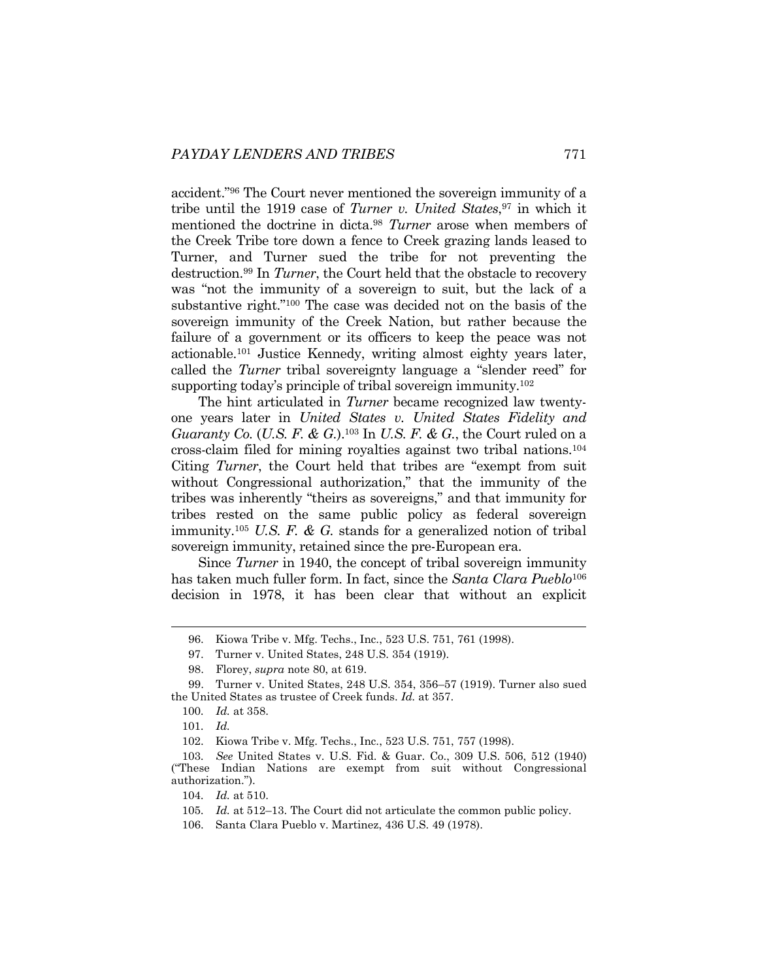accident."96 The Court never mentioned the sovereign immunity of a tribe until the 1919 case of *Turner v. United States*,<sup>97</sup> in which it mentioned the doctrine in dicta.98 *Turner* arose when members of the Creek Tribe tore down a fence to Creek grazing lands leased to Turner, and Turner sued the tribe for not preventing the destruction.99 In *Turner*, the Court held that the obstacle to recovery was "not the immunity of a sovereign to suit, but the lack of a substantive right."100 The case was decided not on the basis of the sovereign immunity of the Creek Nation, but rather because the failure of a government or its officers to keep the peace was not actionable.101 Justice Kennedy, writing almost eighty years later, called the *Turner* tribal sovereignty language a "slender reed" for supporting today's principle of tribal sovereign immunity.<sup>102</sup>

The hint articulated in *Turner* became recognized law twentyone years later in *United States v. United States Fidelity and Guaranty Co.* (*U.S. F. & G.*).103 In *U.S. F. & G.*, the Court ruled on a cross-claim filed for mining royalties against two tribal nations.104 Citing *Turner*, the Court held that tribes are "exempt from suit without Congressional authorization," that the immunity of the tribes was inherently "theirs as sovereigns," and that immunity for tribes rested on the same public policy as federal sovereign immunity.105 *U.S. F. & G.* stands for a generalized notion of tribal sovereign immunity, retained since the pre-European era.

Since *Turner* in 1940, the concept of tribal sovereign immunity has taken much fuller form. In fact, since the *Santa Clara Pueblo*<sup>106</sup> decision in 1978, it has been clear that without an explicit

 <sup>96.</sup> Kiowa Tribe v. Mfg. Techs., Inc., 523 U.S. 751, 761 (1998).

 <sup>97.</sup> Turner v. United States, 248 U.S. 354 (1919).

 <sup>98.</sup> Florey, *supra* note 80, at 619.

 <sup>99.</sup> Turner v. United States, 248 U.S. 354, 356–57 (1919). Turner also sued the United States as trustee of Creek funds. *Id.* at 357.

<sup>100</sup>*. Id.* at 358.

<sup>101</sup>*. Id.*

 <sup>102.</sup> Kiowa Tribe v. Mfg. Techs., Inc., 523 U.S. 751, 757 (1998).

<sup>103</sup>*. See* United States v. U.S. Fid. & Guar. Co., 309 U.S. 506, 512 (1940) ("These Indian Nations are exempt from suit without Congressional authorization.").

<sup>104</sup>*. Id.* at 510.

<sup>105</sup>*. Id.* at 512–13. The Court did not articulate the common public policy.

 <sup>106.</sup> Santa Clara Pueblo v. Martinez, 436 U.S. 49 (1978).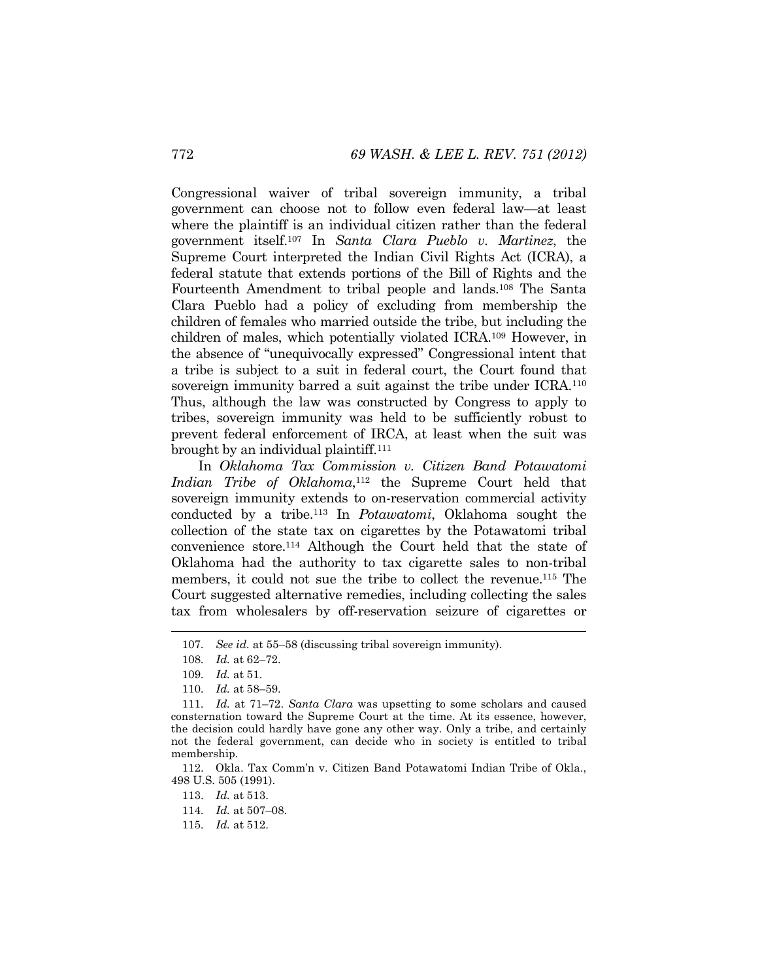Congressional waiver of tribal sovereign immunity, a tribal government can choose not to follow even federal law—at least where the plaintiff is an individual citizen rather than the federal government itself.107 In *Santa Clara Pueblo v. Martinez*, the Supreme Court interpreted the Indian Civil Rights Act (ICRA), a federal statute that extends portions of the Bill of Rights and the Fourteenth Amendment to tribal people and lands.108 The Santa Clara Pueblo had a policy of excluding from membership the children of females who married outside the tribe, but including the children of males, which potentially violated ICRA.109 However, in the absence of "unequivocally expressed" Congressional intent that a tribe is subject to a suit in federal court, the Court found that sovereign immunity barred a suit against the tribe under ICRA.<sup>110</sup> Thus, although the law was constructed by Congress to apply to tribes, sovereign immunity was held to be sufficiently robust to prevent federal enforcement of IRCA, at least when the suit was brought by an individual plaintiff.111

In *Oklahoma Tax Commission v. Citizen Band Potawatomi Indian Tribe of Oklahoma*, 112 the Supreme Court held that sovereign immunity extends to on-reservation commercial activity conducted by a tribe.113 In *Potawatomi*, Oklahoma sought the collection of the state tax on cigarettes by the Potawatomi tribal convenience store.114 Although the Court held that the state of Oklahoma had the authority to tax cigarette sales to non-tribal members, it could not sue the tribe to collect the revenue.115 The Court suggested alternative remedies, including collecting the sales tax from wholesalers by off-reservation seizure of cigarettes or

l

113. *Id.* at 513.

114*. Id.* at 507–08.

115*. Id.* at 512.

<sup>107</sup>*. See id.* at 55–58 (discussing tribal sovereign immunity).

<sup>108</sup>*. Id.* at 62–72.

<sup>109</sup>*. Id.* at 51.

<sup>110</sup>*. Id.* at 58–59.

<sup>111</sup>*. Id.* at 71–72. *Santa Clara* was upsetting to some scholars and caused consternation toward the Supreme Court at the time. At its essence, however, the decision could hardly have gone any other way. Only a tribe, and certainly not the federal government, can decide who in society is entitled to tribal membership.

 <sup>112.</sup> Okla. Tax Comm'n v. Citizen Band Potawatomi Indian Tribe of Okla., 498 U.S. 505 (1991).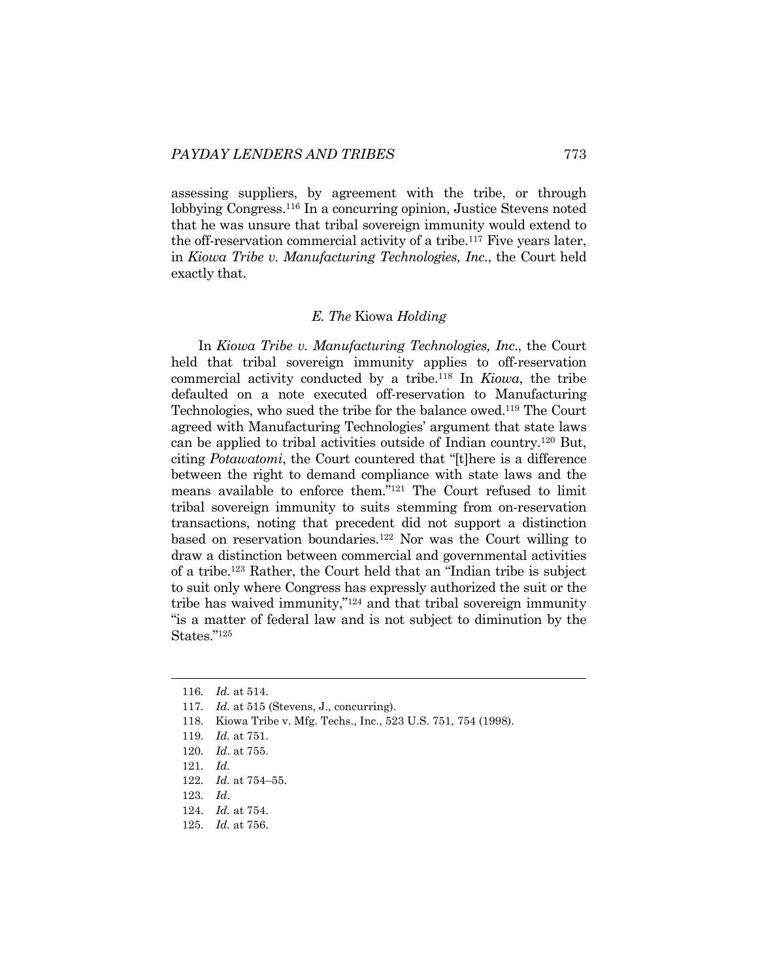assessing suppliers, by agreement with the tribe, or through lobbying Congress.116 In a concurring opinion, Justice Stevens noted that he was unsure that tribal sovereign immunity would extend to the off-reservation commercial activity of a tribe.117 Five years later, in *Kiowa Tribe v. Manufacturing Technologies, Inc*., the Court held exactly that.

#### *E. The* Kiowa *Holding*

In *Kiowa Tribe v. Manufacturing Technologies, Inc*., the Court held that tribal sovereign immunity applies to off-reservation commercial activity conducted by a tribe.118 In *Kiowa*, the tribe defaulted on a note executed off-reservation to Manufacturing Technologies, who sued the tribe for the balance owed.119 The Court agreed with Manufacturing Technologies' argument that state laws can be applied to tribal activities outside of Indian country.120 But, citing *Potawatomi*, the Court countered that "[t]here is a difference between the right to demand compliance with state laws and the means available to enforce them."121 The Court refused to limit tribal sovereign immunity to suits stemming from on-reservation transactions, noting that precedent did not support a distinction based on reservation boundaries.122 Nor was the Court willing to draw a distinction between commercial and governmental activities of a tribe.123 Rather, the Court held that an "Indian tribe is subject to suit only where Congress has expressly authorized the suit or the tribe has waived immunity,"124 and that tribal sovereign immunity "is a matter of federal law and is not subject to diminution by the States."125

<sup>116</sup>*. Id.* at 514.

<sup>117</sup>*. Id.* at 515 (Stevens, J., concurring).

 <sup>118.</sup> Kiowa Tribe v. Mfg. Techs., Inc., 523 U.S. 751, 754 (1998).

<sup>119</sup>*. Id.* at 751.

<sup>120</sup>*. Id*. at 755.

<sup>121</sup>*. Id.* 

<sup>122</sup>*. Id.* at 754–55.

<sup>123</sup>*. Id*.

<sup>124</sup>*. Id.* at 754.

<sup>125</sup>*. Id.* at 756.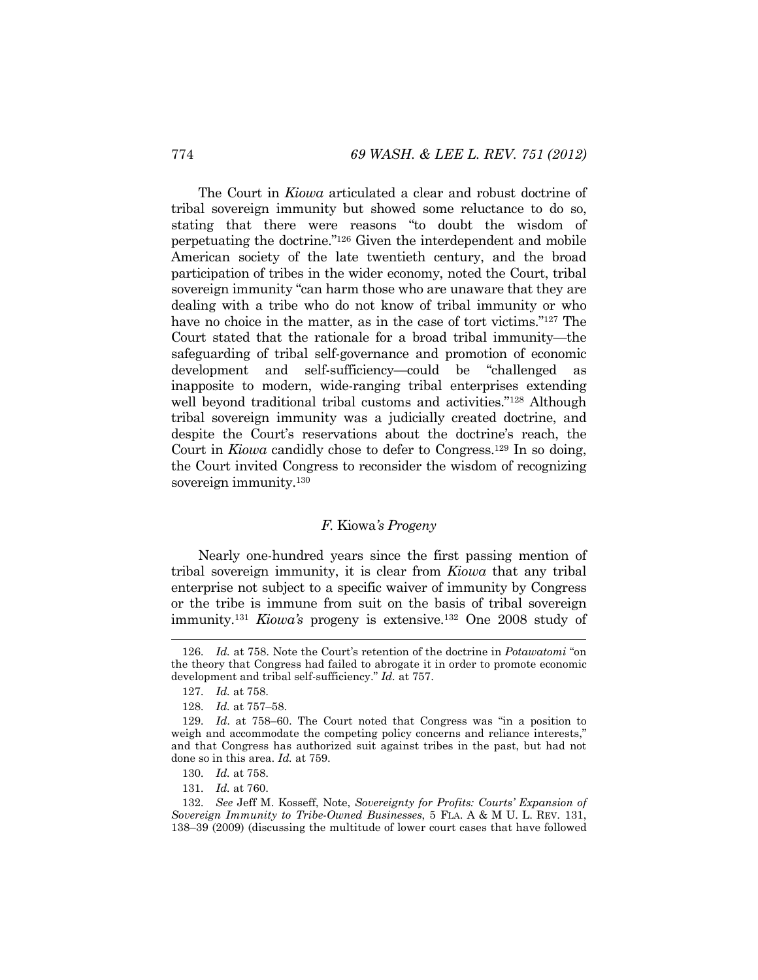The Court in *Kiowa* articulated a clear and robust doctrine of tribal sovereign immunity but showed some reluctance to do so, stating that there were reasons "to doubt the wisdom of perpetuating the doctrine."126 Given the interdependent and mobile American society of the late twentieth century, and the broad participation of tribes in the wider economy, noted the Court, tribal sovereign immunity "can harm those who are unaware that they are dealing with a tribe who do not know of tribal immunity or who have no choice in the matter, as in the case of tort victims."<sup>127</sup> The Court stated that the rationale for a broad tribal immunity—the safeguarding of tribal self-governance and promotion of economic development and self-sufficiency—could be "challenged as inapposite to modern, wide-ranging tribal enterprises extending well beyond traditional tribal customs and activities."128 Although tribal sovereign immunity was a judicially created doctrine, and despite the Court's reservations about the doctrine's reach, the Court in *Kiowa* candidly chose to defer to Congress.129 In so doing, the Court invited Congress to reconsider the wisdom of recognizing sovereign immunity.<sup>130</sup>

#### *F.* Kiowa*'s Progeny*

Nearly one-hundred years since the first passing mention of tribal sovereign immunity, it is clear from *Kiowa* that any tribal enterprise not subject to a specific waiver of immunity by Congress or the tribe is immune from suit on the basis of tribal sovereign immunity.131 *Kiowa's* progeny is extensive.132 One 2008 study of

<sup>126</sup>*. Id.* at 758. Note the Court's retention of the doctrine in *Potawatomi* "on the theory that Congress had failed to abrogate it in order to promote economic development and tribal self-sufficiency." *Id.* at 757.

<sup>127</sup>*. Id.* at 758.

<sup>128</sup>*. Id.* at 757–58.

<sup>129</sup>*. Id*. at 758–60. The Court noted that Congress was "in a position to weigh and accommodate the competing policy concerns and reliance interests," and that Congress has authorized suit against tribes in the past, but had not done so in this area. *Id.* at 759.

<sup>130</sup>*. Id.* at 758.

<sup>131</sup>*. Id.* at 760.

<sup>132</sup>*. See* Jeff M. Kosseff, Note, *Sovereignty for Profits: Courts' Expansion of Sovereign Immunity to Tribe-Owned Businesses*, 5 FLA. A & M U. L. REV. 131, 138–39 (2009) (discussing the multitude of lower court cases that have followed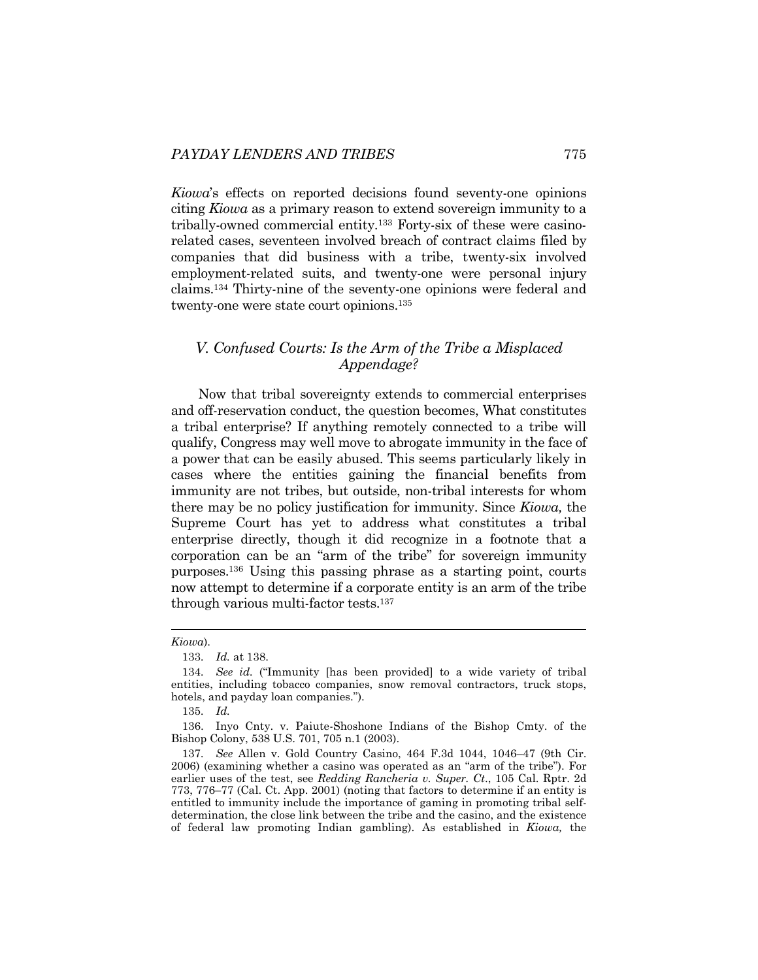*Kiowa*'s effects on reported decisions found seventy-one opinions citing *Kiowa* as a primary reason to extend sovereign immunity to a tribally-owned commercial entity.133 Forty-six of these were casinorelated cases, seventeen involved breach of contract claims filed by companies that did business with a tribe, twenty-six involved employment-related suits, and twenty-one were personal injury claims.134 Thirty-nine of the seventy-one opinions were federal and twenty-one were state court opinions.135

# *V. Confused Courts: Is the Arm of the Tribe a Misplaced Appendage?*

Now that tribal sovereignty extends to commercial enterprises and off-reservation conduct, the question becomes, What constitutes a tribal enterprise? If anything remotely connected to a tribe will qualify, Congress may well move to abrogate immunity in the face of a power that can be easily abused. This seems particularly likely in cases where the entities gaining the financial benefits from immunity are not tribes, but outside, non-tribal interests for whom there may be no policy justification for immunity. Since *Kiowa,* the Supreme Court has yet to address what constitutes a tribal enterprise directly, though it did recognize in a footnote that a corporation can be an "arm of the tribe" for sovereign immunity purposes.136 Using this passing phrase as a starting point, courts now attempt to determine if a corporate entity is an arm of the tribe through various multi-factor tests.137

*Kiowa*).

<sup>133</sup>*. Id.* at 138.

<sup>134</sup>*. See id.* ("Immunity [has been provided] to a wide variety of tribal entities, including tobacco companies, snow removal contractors, truck stops, hotels, and payday loan companies.").

<sup>135</sup>*. Id.*

 <sup>136.</sup> Inyo Cnty. v. Paiute-Shoshone Indians of the Bishop Cmty. of the Bishop Colony, 538 U.S. 701, 705 n.1 (2003).

<sup>137</sup>*. See* Allen v. Gold Country Casino, 464 F.3d 1044, 1046–47 (9th Cir. 2006) (examining whether a casino was operated as an "arm of the tribe"). For earlier uses of the test, see *Redding Rancheria v. Super. Ct*., 105 Cal. Rptr. 2d 773, 776–77 (Cal. Ct. App. 2001) (noting that factors to determine if an entity is entitled to immunity include the importance of gaming in promoting tribal selfdetermination, the close link between the tribe and the casino, and the existence of federal law promoting Indian gambling). As established in *Kiowa,* the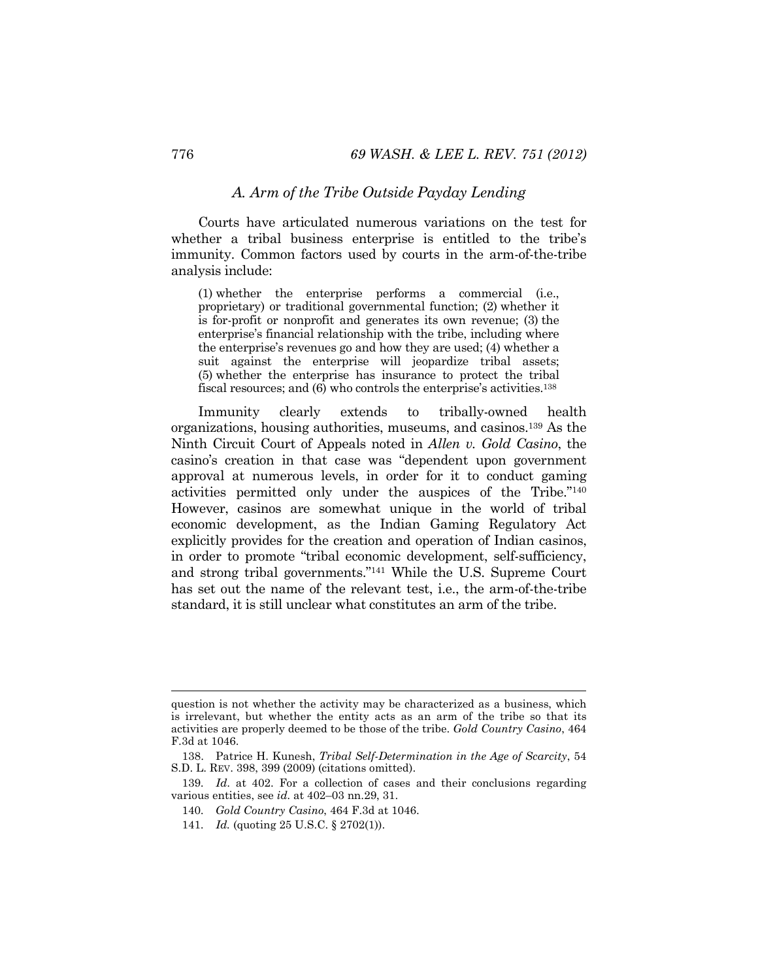# *A. Arm of the Tribe Outside Payday Lending*

Courts have articulated numerous variations on the test for whether a tribal business enterprise is entitled to the tribe's immunity. Common factors used by courts in the arm-of-the-tribe analysis include:

(1) whether the enterprise performs a commercial (i.e., proprietary) or traditional governmental function; (2) whether it is for-profit or nonprofit and generates its own revenue; (3) the enterprise's financial relationship with the tribe, including where the enterprise's revenues go and how they are used; (4) whether a suit against the enterprise will jeopardize tribal assets; (5) whether the enterprise has insurance to protect the tribal fiscal resources; and (6) who controls the enterprise's activities.<sup>138</sup>

Immunity clearly extends to tribally-owned health organizations, housing authorities, museums, and casinos.139 As the Ninth Circuit Court of Appeals noted in *Allen v. Gold Casino*, the casino's creation in that case was "dependent upon government approval at numerous levels, in order for it to conduct gaming activities permitted only under the auspices of the Tribe."140 However, casinos are somewhat unique in the world of tribal economic development, as the Indian Gaming Regulatory Act explicitly provides for the creation and operation of Indian casinos, in order to promote "tribal economic development, self-sufficiency, and strong tribal governments."141 While the U.S. Supreme Court has set out the name of the relevant test, i.e., the arm-of-the-tribe standard, it is still unclear what constitutes an arm of the tribe.

question is not whether the activity may be characterized as a business, which is irrelevant, but whether the entity acts as an arm of the tribe so that its activities are properly deemed to be those of the tribe. *Gold Country Casino*, 464 F.3d at 1046.

 <sup>138.</sup> Patrice H. Kunesh, *Tribal Self-Determination in the Age of Scarcity*, 54 S.D. L. REV. 398, 399 (2009) (citations omitted).

<sup>139</sup>*. Id*. at 402. For a collection of cases and their conclusions regarding various entities, see *id.* at 402–03 nn.29, 31.

<sup>140</sup>*. Gold Country Casino*, 464 F.3d at 1046.

<sup>141</sup>*. Id.* (quoting 25 U.S.C. § 2702(1)).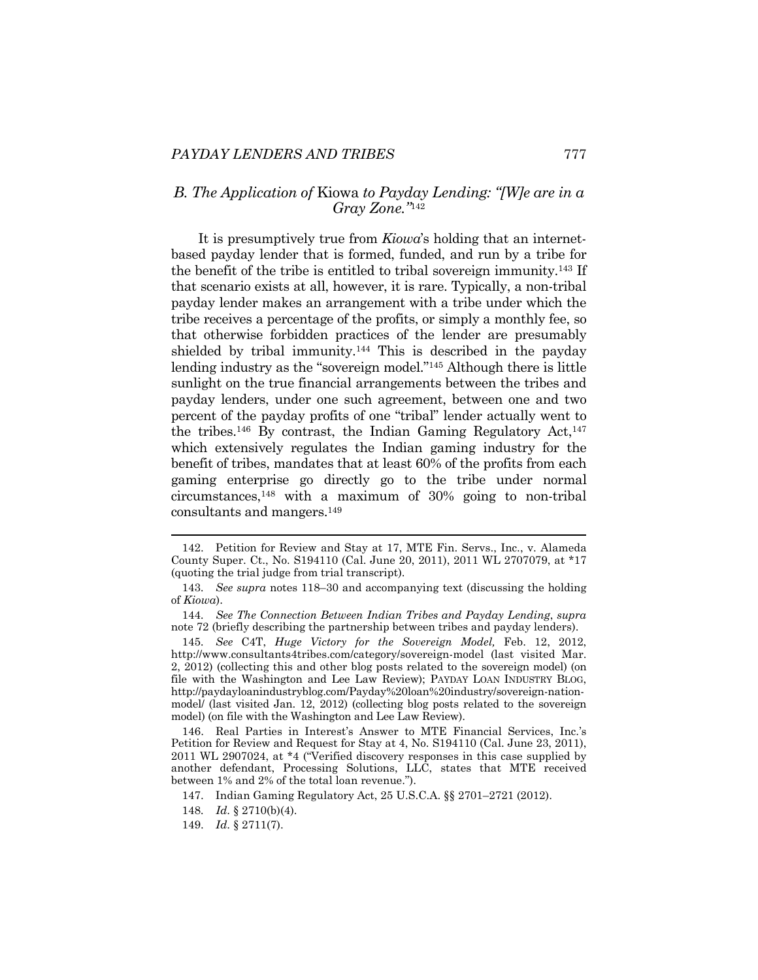# *B. The Application of* Kiowa *to Payday Lending: "[W]e are in a Gray Zone."*<sup>142</sup>

It is presumptively true from *Kiowa*'s holding that an internetbased payday lender that is formed, funded, and run by a tribe for the benefit of the tribe is entitled to tribal sovereign immunity.143 If that scenario exists at all, however, it is rare. Typically, a non-tribal payday lender makes an arrangement with a tribe under which the tribe receives a percentage of the profits, or simply a monthly fee, so that otherwise forbidden practices of the lender are presumably shielded by tribal immunity.<sup>144</sup> This is described in the payday lending industry as the "sovereign model."145 Although there is little sunlight on the true financial arrangements between the tribes and payday lenders, under one such agreement, between one and two percent of the payday profits of one "tribal" lender actually went to the tribes.<sup>146</sup> By contrast, the Indian Gaming Regulatory Act,  $147$ which extensively regulates the Indian gaming industry for the benefit of tribes, mandates that at least 60% of the profits from each gaming enterprise go directly go to the tribe under normal circumstances,148 with a maximum of 30% going to non-tribal consultants and mangers.149

 <sup>142.</sup> Petition for Review and Stay at 17, MTE Fin. Servs., Inc., v. Alameda County Super. Ct., No. S194110 (Cal. June 20, 2011), 2011 WL 2707079, at \*17 (quoting the trial judge from trial transcript).

<sup>143</sup>*. See supra* notes 118–30 and accompanying text (discussing the holding of *Kiowa*).

<sup>144</sup>*. See The Connection Between Indian Tribes and Payday Lending*, *supra* note 72 (briefly describing the partnership between tribes and payday lenders).

<sup>145</sup>*. See* C4T, *Huge Victory for the Sovereign Model,* Feb. 12, 2012, http://www.consultants4tribes.com/category/sovereign-model (last visited Mar. 2, 2012) (collecting this and other blog posts related to the sovereign model) (on file with the Washington and Lee Law Review); PAYDAY LOAN INDUSTRY BLOG, http://paydayloanindustryblog.com/Payday%20loan%20industry/sovereign-nationmodel/ (last visited Jan. 12, 2012) (collecting blog posts related to the sovereign model) (on file with the Washington and Lee Law Review).

 <sup>146.</sup> Real Parties in Interest's Answer to MTE Financial Services, Inc.'s Petition for Review and Request for Stay at 4, No. S194110 (Cal. June 23, 2011), 2011 WL 2907024, at \*4 ("Verified discovery responses in this case supplied by another defendant, Processing Solutions, LLC, states that MTE received between 1% and 2% of the total loan revenue.").

 <sup>147.</sup> Indian Gaming Regulatory Act, 25 U.S.C.A. §§ 2701–2721 (2012).

<sup>148</sup>*. Id*. § 2710(b)(4).

 <sup>149.</sup> *Id*. § 2711(7).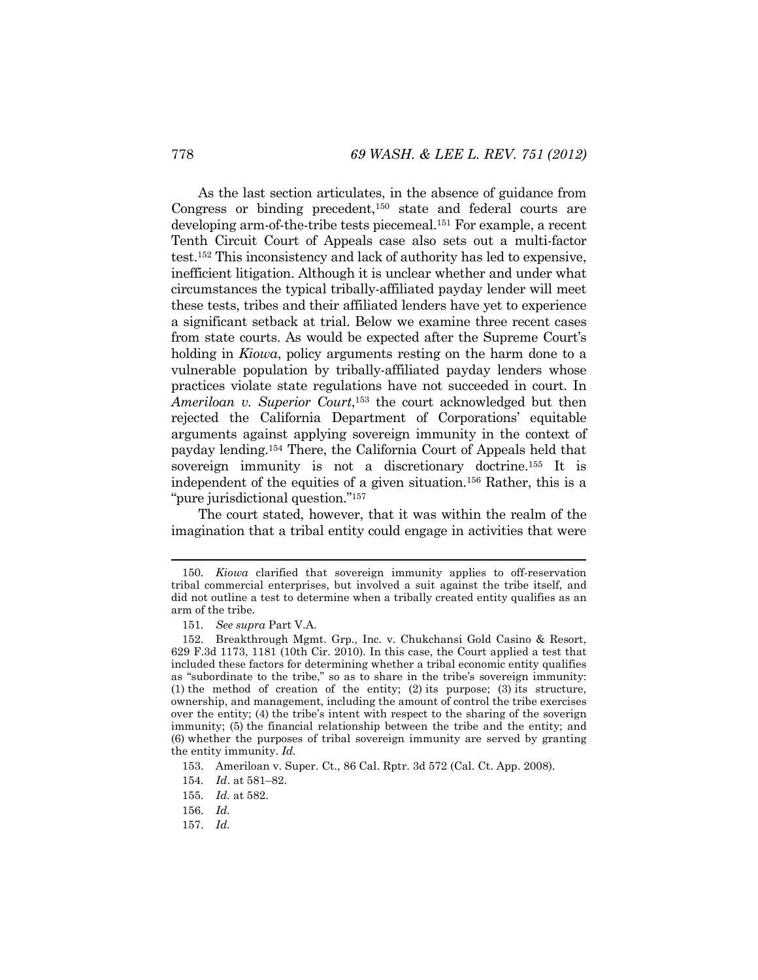As the last section articulates, in the absence of guidance from Congress or binding precedent,<sup>150</sup> state and federal courts are developing arm-of-the-tribe tests piecemeal.<sup>151</sup> For example, a recent Tenth Circuit Court of Appeals case also sets out a multi-factor test.152 This inconsistency and lack of authority has led to expensive, inefficient litigation. Although it is unclear whether and under what circumstances the typical tribally-affiliated payday lender will meet these tests, tribes and their affiliated lenders have yet to experience a significant setback at trial. Below we examine three recent cases from state courts. As would be expected after the Supreme Court's holding in *Kiowa*, policy arguments resting on the harm done to a vulnerable population by tribally-affiliated payday lenders whose practices violate state regulations have not succeeded in court. In *Ameriloan v. Superior Court*, 153 the court acknowledged but then rejected the California Department of Corporations' equitable arguments against applying sovereign immunity in the context of payday lending.154 There, the California Court of Appeals held that sovereign immunity is not a discretionary doctrine.<sup>155</sup> It is independent of the equities of a given situation.156 Rather, this is a "pure jurisdictional question."157

The court stated, however, that it was within the realm of the imagination that a tribal entity could engage in activities that were

<sup>150</sup>*. Kiowa* clarified that sovereign immunity applies to off-reservation tribal commercial enterprises, but involved a suit against the tribe itself, and did not outline a test to determine when a tribally created entity qualifies as an arm of the tribe.

<sup>151</sup>*. See supra* Part V.A.

 <sup>152.</sup> Breakthrough Mgmt. Grp., Inc. v. Chukchansi Gold Casino & Resort, 629 F.3d 1173, 1181 (10th Cir. 2010). In this case, the Court applied a test that included these factors for determining whether a tribal economic entity qualifies as "subordinate to the tribe," so as to share in the tribe's sovereign immunity: (1) the method of creation of the entity; (2) its purpose; (3) its structure, ownership, and management, including the amount of control the tribe exercises over the entity; (4) the tribe's intent with respect to the sharing of the soverign immunity; (5) the financial relationship between the tribe and the entity; and (6) whether the purposes of tribal sovereign immunity are served by granting the entity immunity. *Id.* 

 <sup>153.</sup> Ameriloan v. Super. Ct., 86 Cal. Rptr. 3d 572 (Cal. Ct. App. 2008).

<sup>154</sup>*. Id*. at 581–82.

<sup>155</sup>*. Id.* at 582.

<sup>156</sup>*. Id.* 

 <sup>157.</sup> *Id.*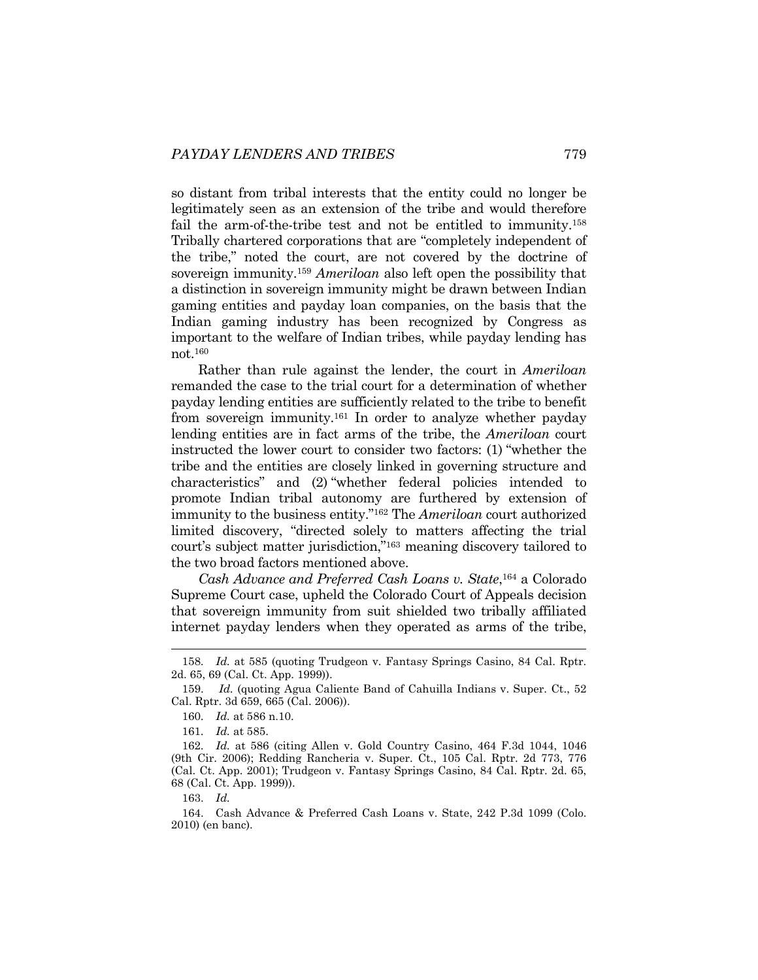so distant from tribal interests that the entity could no longer be legitimately seen as an extension of the tribe and would therefore fail the arm-of-the-tribe test and not be entitled to immunity.<sup>158</sup> Tribally chartered corporations that are "completely independent of the tribe," noted the court, are not covered by the doctrine of sovereign immunity.159 *Ameriloan* also left open the possibility that a distinction in sovereign immunity might be drawn between Indian gaming entities and payday loan companies, on the basis that the Indian gaming industry has been recognized by Congress as important to the welfare of Indian tribes, while payday lending has not.160

Rather than rule against the lender, the court in *Ameriloan*  remanded the case to the trial court for a determination of whether payday lending entities are sufficiently related to the tribe to benefit from sovereign immunity.161 In order to analyze whether payday lending entities are in fact arms of the tribe, the *Ameriloan* court instructed the lower court to consider two factors: (1) "whether the tribe and the entities are closely linked in governing structure and characteristics" and (2) "whether federal policies intended to promote Indian tribal autonomy are furthered by extension of immunity to the business entity."162 The *Ameriloan* court authorized limited discovery, "directed solely to matters affecting the trial court's subject matter jurisdiction,"163 meaning discovery tailored to the two broad factors mentioned above.

*Cash Advance and Preferred Cash Loans v. State*, 164 a Colorado Supreme Court case, upheld the Colorado Court of Appeals decision that sovereign immunity from suit shielded two tribally affiliated internet payday lenders when they operated as arms of the tribe,

<sup>158</sup>*. Id.* at 585 (quoting Trudgeon v. Fantasy Springs Casino, 84 Cal. Rptr. 2d. 65, 69 (Cal. Ct. App. 1999)).

 <sup>159.</sup> *Id.* (quoting Agua Caliente Band of Cahuilla Indians v. Super. Ct., 52 Cal. Rptr. 3d 659, 665 (Cal. 2006)).

<sup>160</sup>*. Id.* at 586 n.10.

<sup>161</sup>*. Id.* at 585.

<sup>162</sup>*. Id.* at 586 (citing Allen v. Gold Country Casino, 464 F.3d 1044, 1046 (9th Cir. 2006); Redding Rancheria v. Super. Ct., 105 Cal. Rptr. 2d 773, 776 (Cal. Ct. App. 2001); Trudgeon v. Fantasy Springs Casino, 84 Cal. Rptr. 2d. 65, 68 (Cal. Ct. App. 1999)).

 <sup>163.</sup> *Id.*

 <sup>164.</sup> Cash Advance & Preferred Cash Loans v. State, 242 P.3d 1099 (Colo. 2010) (en banc).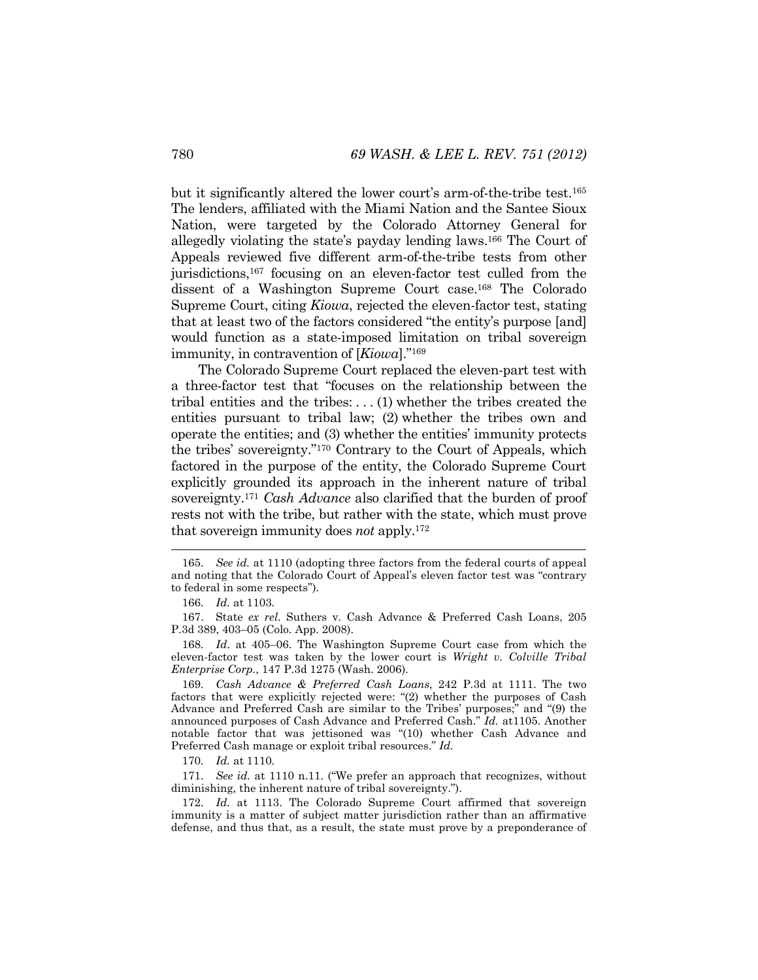but it significantly altered the lower court's arm-of-the-tribe test.165 The lenders, affiliated with the Miami Nation and the Santee Sioux Nation, were targeted by the Colorado Attorney General for allegedly violating the state's payday lending laws.166 The Court of Appeals reviewed five different arm-of-the-tribe tests from other jurisdictions,167 focusing on an eleven-factor test culled from the dissent of a Washington Supreme Court case.168 The Colorado Supreme Court, citing *Kiowa*, rejected the eleven-factor test, stating that at least two of the factors considered "the entity's purpose [and] would function as a state-imposed limitation on tribal sovereign immunity, in contravention of [*Kiowa*]."169

The Colorado Supreme Court replaced the eleven-part test with a three-factor test that "focuses on the relationship between the tribal entities and the tribes: . . . (1) whether the tribes created the entities pursuant to tribal law; (2) whether the tribes own and operate the entities; and (3) whether the entities' immunity protects the tribes' sovereignty."170 Contrary to the Court of Appeals, which factored in the purpose of the entity, the Colorado Supreme Court explicitly grounded its approach in the inherent nature of tribal sovereignty.171 *Cash Advance* also clarified that the burden of proof rests not with the tribe, but rather with the state, which must prove that sovereign immunity does *not* apply.172

l

 167. State *ex rel*. Suthers v. Cash Advance & Preferred Cash Loans, 205 P.3d 389, 403–05 (Colo. App. 2008).

168*. Id*. at 405–06. The Washington Supreme Court case from which the eleven-factor test was taken by the lower court is *Wright v. Colville Tribal Enterprise Corp.*, 147 P.3d 1275 (Wash. 2006).

169*. Cash Advance & Preferred Cash Loans*, 242 P.3d at 1111. The two factors that were explicitly rejected were: "(2) whether the purposes of Cash Advance and Preferred Cash are similar to the Tribes' purposes;" and "(9) the announced purposes of Cash Advance and Preferred Cash." *Id.* at1105. Another notable factor that was jettisoned was "(10) whether Cash Advance and Preferred Cash manage or exploit tribal resources." *Id.*

170*. Id.* at 1110.

171*. See id.* at 1110 n.11. ("We prefer an approach that recognizes, without diminishing, the inherent nature of tribal sovereignty.").

172*. Id.* at 1113. The Colorado Supreme Court affirmed that sovereign immunity is a matter of subject matter jurisdiction rather than an affirmative defense, and thus that, as a result, the state must prove by a preponderance of

<sup>165</sup>*. See id.* at 1110 (adopting three factors from the federal courts of appeal and noting that the Colorado Court of Appeal's eleven factor test was "contrary to federal in some respects").

<sup>166</sup>*. Id.* at 1103.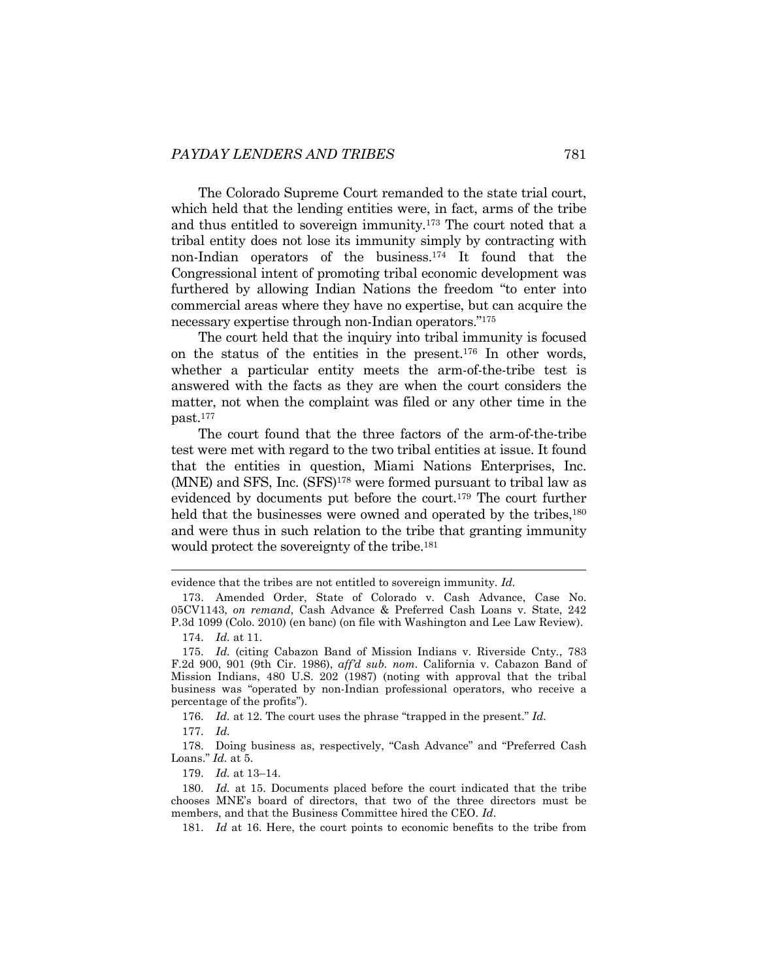The Colorado Supreme Court remanded to the state trial court, which held that the lending entities were, in fact, arms of the tribe and thus entitled to sovereign immunity.173 The court noted that a tribal entity does not lose its immunity simply by contracting with non-Indian operators of the business.174 It found that the Congressional intent of promoting tribal economic development was furthered by allowing Indian Nations the freedom "to enter into commercial areas where they have no expertise, but can acquire the necessary expertise through non-Indian operators."175

The court held that the inquiry into tribal immunity is focused on the status of the entities in the present.176 In other words, whether a particular entity meets the arm-of-the-tribe test is answered with the facts as they are when the court considers the matter, not when the complaint was filed or any other time in the past.177

The court found that the three factors of the arm-of-the-tribe test were met with regard to the two tribal entities at issue. It found that the entities in question, Miami Nations Enterprises, Inc. (MNE) and SFS, Inc. (SFS)178 were formed pursuant to tribal law as evidenced by documents put before the court.179 The court further held that the businesses were owned and operated by the tribes,<sup>180</sup> and were thus in such relation to the tribe that granting immunity would protect the sovereignty of the tribe.<sup>181</sup>

l

176. *Id.* at 12. The court uses the phrase "trapped in the present." *Id.* 

177. *Id.*

179. *Id.* at 13–14.

181. *Id* at 16. Here, the court points to economic benefits to the tribe from

evidence that the tribes are not entitled to sovereign immunity. *Id.*

 <sup>173.</sup> Amended Order, State of Colorado v. Cash Advance, Case No. 05CV1143, *on remand*, Cash Advance & Preferred Cash Loans v. State, 242 P.3d 1099 (Colo. 2010) (en banc) (on file with Washington and Lee Law Review).

 <sup>174.</sup> *Id.* at 11.

 <sup>175.</sup> *Id.* (citing Cabazon Band of Mission Indians v. Riverside Cnty*.*, 783 F.2d 900, 901 (9th Cir. 1986), *aff'd sub. nom.* California v. Cabazon Band of Mission Indians, 480 U.S. 202 (1987) (noting with approval that the tribal business was "operated by non-Indian professional operators, who receive a percentage of the profits").

 <sup>178.</sup> Doing business as, respectively, "Cash Advance" and "Preferred Cash Loans." *Id.* at 5.

 <sup>180.</sup> *Id.* at 15. Documents placed before the court indicated that the tribe chooses MNE's board of directors, that two of the three directors must be members, and that the Business Committee hired the CEO. *Id*.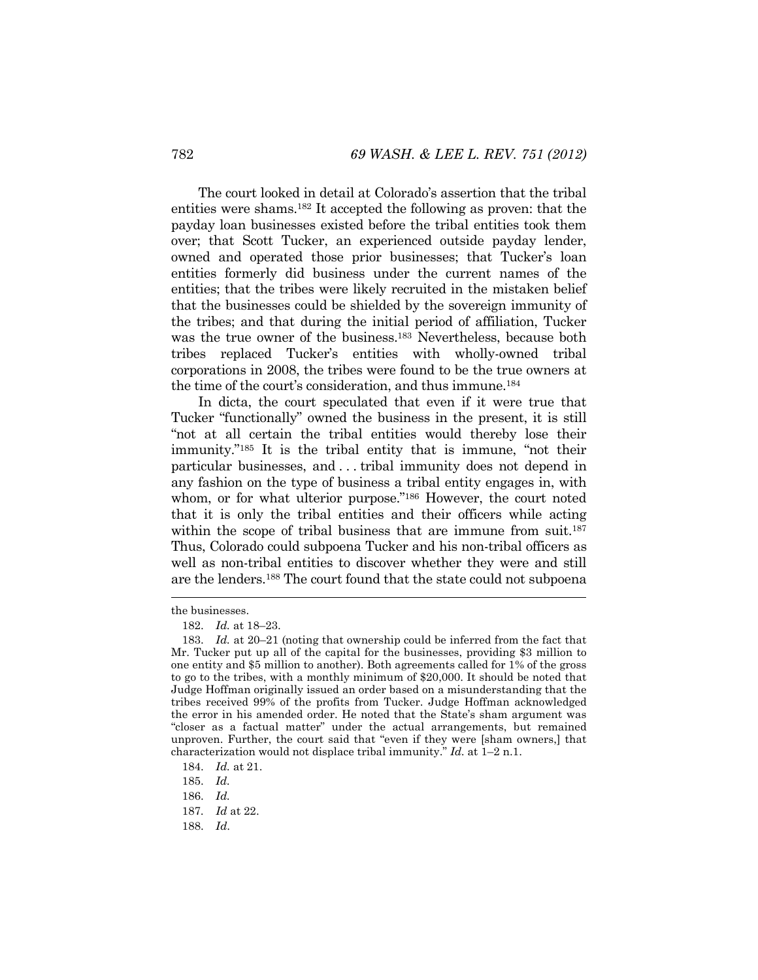The court looked in detail at Colorado's assertion that the tribal entities were shams.182 It accepted the following as proven: that the payday loan businesses existed before the tribal entities took them over; that Scott Tucker, an experienced outside payday lender, owned and operated those prior businesses; that Tucker's loan entities formerly did business under the current names of the entities; that the tribes were likely recruited in the mistaken belief that the businesses could be shielded by the sovereign immunity of the tribes; and that during the initial period of affiliation, Tucker was the true owner of the business.<sup>183</sup> Nevertheless, because both tribes replaced Tucker's entities with wholly-owned tribal corporations in 2008, the tribes were found to be the true owners at the time of the court's consideration, and thus immune.184

In dicta, the court speculated that even if it were true that Tucker "functionally" owned the business in the present, it is still "not at all certain the tribal entities would thereby lose their immunity."185 It is the tribal entity that is immune, "not their particular businesses, and . . . tribal immunity does not depend in any fashion on the type of business a tribal entity engages in, with whom, or for what ulterior purpose."<sup>186</sup> However, the court noted that it is only the tribal entities and their officers while acting within the scope of tribal business that are immune from suit.<sup>187</sup> Thus, Colorado could subpoena Tucker and his non-tribal officers as well as non-tribal entities to discover whether they were and still are the lenders.<sup>188</sup> The court found that the state could not subpoena

the businesses.

 <sup>182.</sup> *Id.* at 18–23.

 <sup>183.</sup> *Id.* at 20–21 (noting that ownership could be inferred from the fact that Mr. Tucker put up all of the capital for the businesses, providing \$3 million to one entity and \$5 million to another). Both agreements called for 1% of the gross to go to the tribes, with a monthly minimum of \$20,000. It should be noted that Judge Hoffman originally issued an order based on a misunderstanding that the tribes received 99% of the profits from Tucker. Judge Hoffman acknowledged the error in his amended order. He noted that the State's sham argument was "closer as a factual matter" under the actual arrangements, but remained unproven. Further, the court said that "even if they were [sham owners,] that characterization would not displace tribal immunity." *Id.* at 1–2 n.1.

 <sup>184.</sup> *Id.* at 21.

 <sup>185.</sup> *Id.* 

 <sup>186.</sup> *Id.*

<sup>187</sup>*. Id* at 22.

 <sup>188.</sup> *Id*.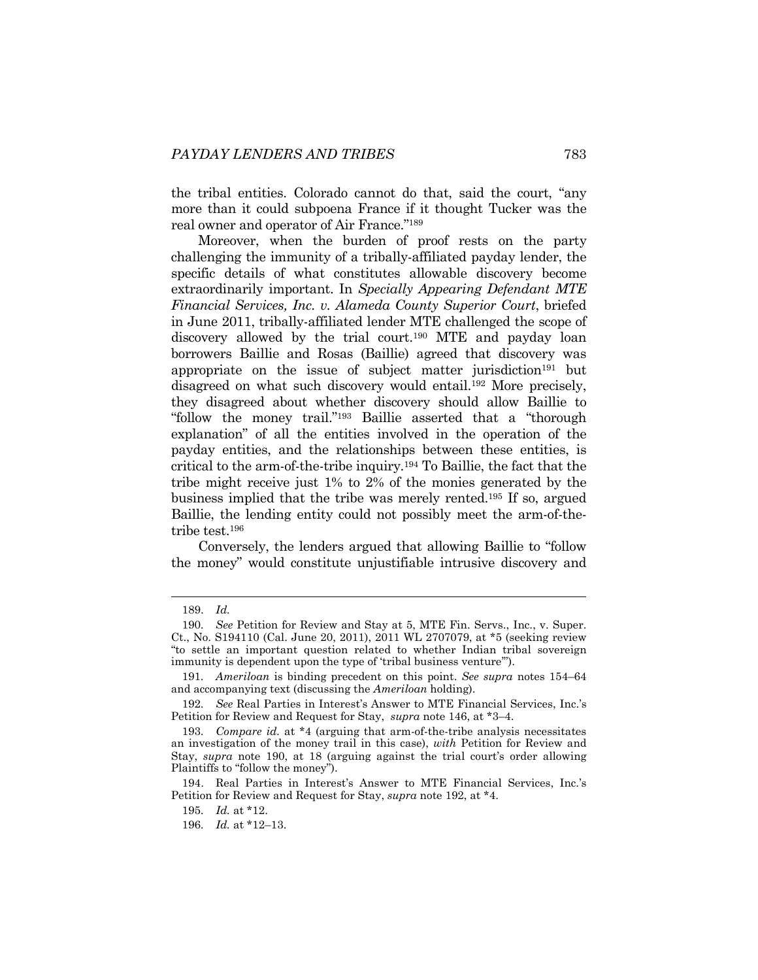the tribal entities. Colorado cannot do that, said the court, "any more than it could subpoena France if it thought Tucker was the real owner and operator of Air France."189

Moreover, when the burden of proof rests on the party challenging the immunity of a tribally-affiliated payday lender, the specific details of what constitutes allowable discovery become extraordinarily important. In *Specially Appearing Defendant MTE Financial Services, Inc. v. Alameda County Superior Court*, briefed in June 2011, tribally-affiliated lender MTE challenged the scope of discovery allowed by the trial court.190 MTE and payday loan borrowers Baillie and Rosas (Baillie) agreed that discovery was appropriate on the issue of subject matter jurisdiction<sup>191</sup> but disagreed on what such discovery would entail.192 More precisely, they disagreed about whether discovery should allow Baillie to "follow the money trail."193 Baillie asserted that a "thorough explanation" of all the entities involved in the operation of the payday entities, and the relationships between these entities, is critical to the arm-of-the-tribe inquiry.194 To Baillie, the fact that the tribe might receive just 1% to 2% of the monies generated by the business implied that the tribe was merely rented.195 If so, argued Baillie, the lending entity could not possibly meet the arm-of-thetribe test.196

Conversely, the lenders argued that allowing Baillie to "follow the money" would constitute unjustifiable intrusive discovery and

 <sup>189.</sup> *Id.*

<sup>190</sup>*. See* Petition for Review and Stay at 5, MTE Fin. Servs., Inc., v. Super. Ct., No. S194110 (Cal. June 20, 2011), 2011 WL 2707079, at \*5 (seeking review "to settle an important question related to whether Indian tribal sovereign immunity is dependent upon the type of 'tribal business venture'").

<sup>191</sup>*. Ameriloan* is binding precedent on this point. *See supra* notes 154–64 and accompanying text (discussing the *Ameriloan* holding).

<sup>192</sup>*. See* Real Parties in Interest's Answer to MTE Financial Services, Inc.'s Petition for Review and Request for Stay, *supra* note 146, at \*3–4.

<sup>193</sup>*. Compare id.* at \*4 (arguing that arm-of-the-tribe analysis necessitates an investigation of the money trail in this case), *with* Petition for Review and Stay, *supra* note 190, at 18 (arguing against the trial court's order allowing Plaintiffs to "follow the money").

 <sup>194.</sup> Real Parties in Interest's Answer to MTE Financial Services, Inc.'s Petition for Review and Request for Stay, *supra* note 192, at \*4.

<sup>195</sup>*. Id.* at \*12.

<sup>196</sup>*. Id.* at \*12–13.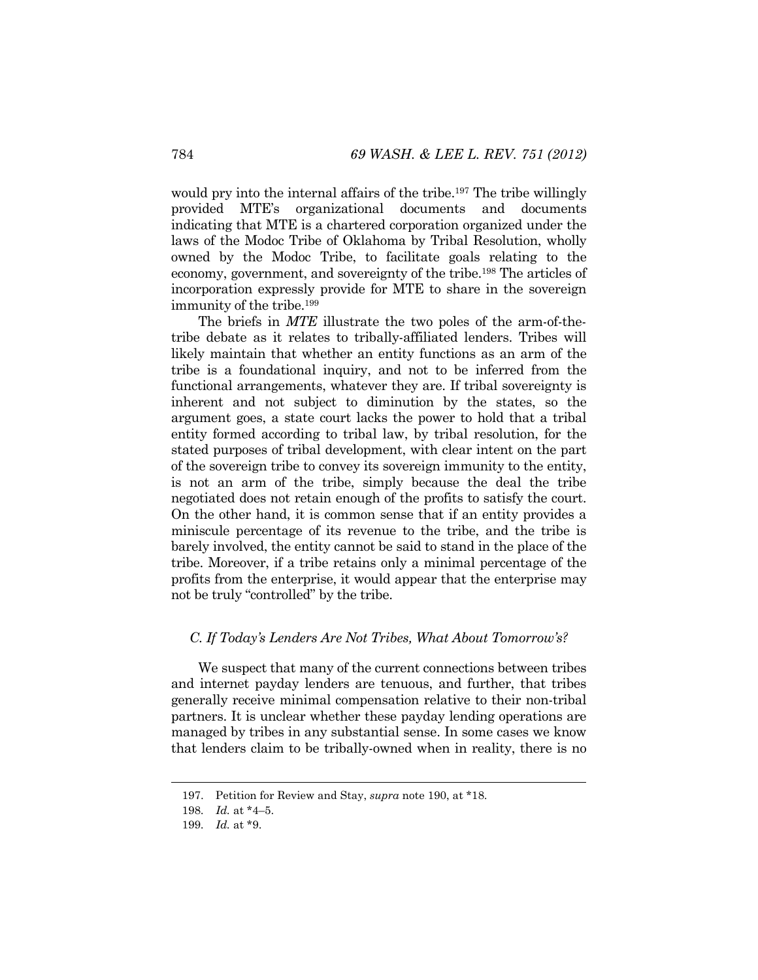would pry into the internal affairs of the tribe.<sup>197</sup> The tribe willingly provided MTE's organizational documents and documents indicating that MTE is a chartered corporation organized under the laws of the Modoc Tribe of Oklahoma by Tribal Resolution, wholly owned by the Modoc Tribe, to facilitate goals relating to the economy, government, and sovereignty of the tribe.198 The articles of incorporation expressly provide for MTE to share in the sovereign immunity of the tribe.199

The briefs in *MTE* illustrate the two poles of the arm-of-thetribe debate as it relates to tribally-affiliated lenders. Tribes will likely maintain that whether an entity functions as an arm of the tribe is a foundational inquiry, and not to be inferred from the functional arrangements, whatever they are. If tribal sovereignty is inherent and not subject to diminution by the states, so the argument goes, a state court lacks the power to hold that a tribal entity formed according to tribal law, by tribal resolution, for the stated purposes of tribal development, with clear intent on the part of the sovereign tribe to convey its sovereign immunity to the entity, is not an arm of the tribe, simply because the deal the tribe negotiated does not retain enough of the profits to satisfy the court. On the other hand, it is common sense that if an entity provides a miniscule percentage of its revenue to the tribe, and the tribe is barely involved, the entity cannot be said to stand in the place of the tribe. Moreover, if a tribe retains only a minimal percentage of the profits from the enterprise, it would appear that the enterprise may not be truly "controlled" by the tribe.

## *C. If Today's Lenders Are Not Tribes, What About Tomorrow's?*

We suspect that many of the current connections between tribes and internet payday lenders are tenuous, and further, that tribes generally receive minimal compensation relative to their non-tribal partners. It is unclear whether these payday lending operations are managed by tribes in any substantial sense. In some cases we know that lenders claim to be tribally-owned when in reality, there is no

 <sup>197.</sup> Petition for Review and Stay, *supra* note 190, at \*18.

<sup>198</sup>*. Id.* at \*4–5.

<sup>199</sup>*. Id.* at \*9.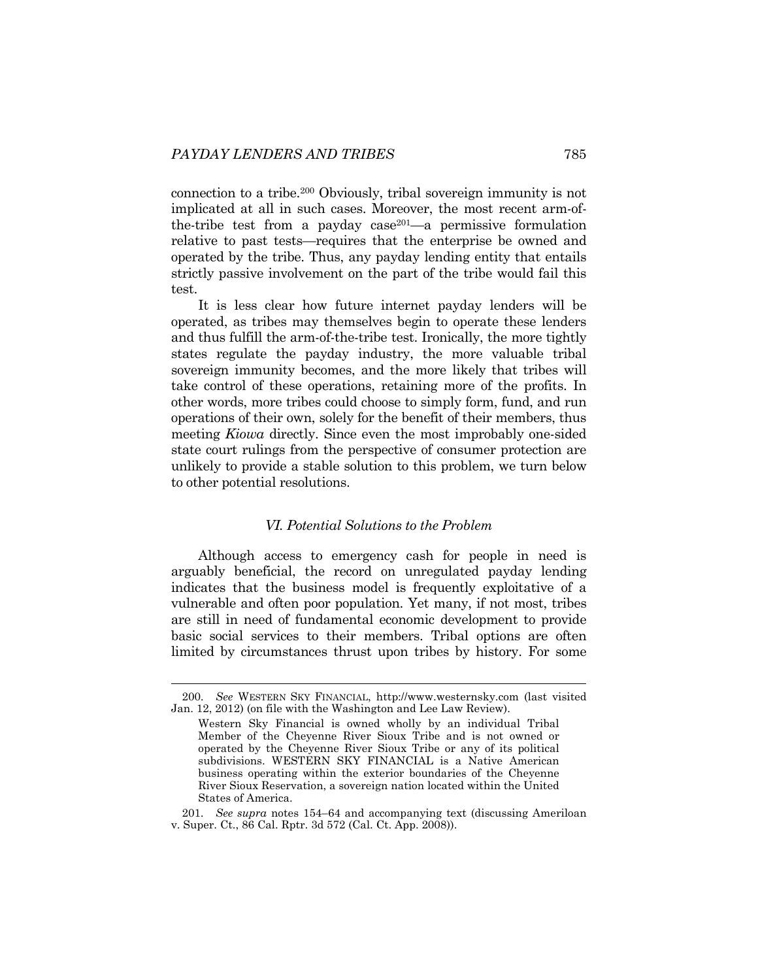connection to a tribe.200 Obviously, tribal sovereign immunity is not implicated at all in such cases. Moreover, the most recent arm-ofthe-tribe test from a payday case $201$ —a permissive formulation relative to past tests—requires that the enterprise be owned and operated by the tribe. Thus, any payday lending entity that entails strictly passive involvement on the part of the tribe would fail this test.

It is less clear how future internet payday lenders will be operated, as tribes may themselves begin to operate these lenders and thus fulfill the arm-of-the-tribe test. Ironically, the more tightly states regulate the payday industry, the more valuable tribal sovereign immunity becomes, and the more likely that tribes will take control of these operations, retaining more of the profits. In other words, more tribes could choose to simply form, fund, and run operations of their own, solely for the benefit of their members, thus meeting *Kiowa* directly. Since even the most improbably one-sided state court rulings from the perspective of consumer protection are unlikely to provide a stable solution to this problem, we turn below to other potential resolutions.

# *VI. Potential Solutions to the Problem*

Although access to emergency cash for people in need is arguably beneficial, the record on unregulated payday lending indicates that the business model is frequently exploitative of a vulnerable and often poor population. Yet many, if not most, tribes are still in need of fundamental economic development to provide basic social services to their members. Tribal options are often limited by circumstances thrust upon tribes by history. For some

<sup>200</sup>*. See* WESTERN SKY FINANCIAL, http://www.westernsky.com (last visited Jan. 12, 2012) (on file with the Washington and Lee Law Review).

Western Sky Financial is owned wholly by an individual Tribal Member of the Cheyenne River Sioux Tribe and is not owned or operated by the Cheyenne River Sioux Tribe or any of its political subdivisions. WESTERN SKY FINANCIAL is a Native American business operating within the exterior boundaries of the Cheyenne River Sioux Reservation, a sovereign nation located within the United States of America.

<sup>201</sup>*. See supra* notes 154–64 and accompanying text (discussing Ameriloan v. Super. Ct., 86 Cal. Rptr. 3d 572 (Cal. Ct. App. 2008)).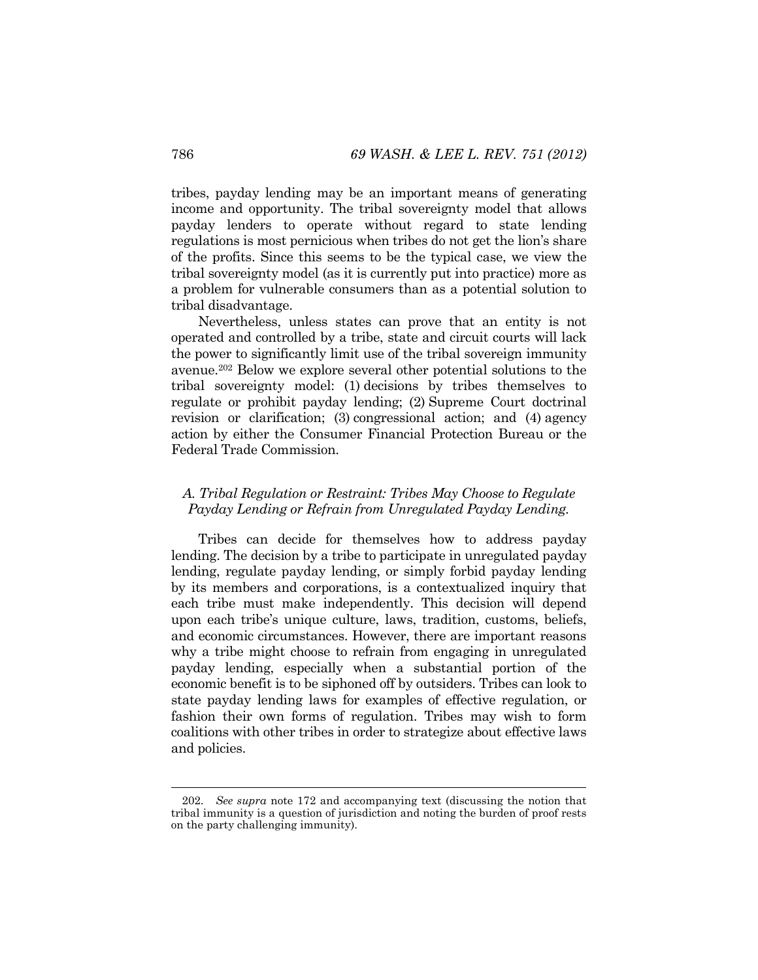tribes, payday lending may be an important means of generating income and opportunity. The tribal sovereignty model that allows payday lenders to operate without regard to state lending regulations is most pernicious when tribes do not get the lion's share of the profits. Since this seems to be the typical case, we view the tribal sovereignty model (as it is currently put into practice) more as a problem for vulnerable consumers than as a potential solution to tribal disadvantage.

Nevertheless, unless states can prove that an entity is not operated and controlled by a tribe, state and circuit courts will lack the power to significantly limit use of the tribal sovereign immunity avenue.202 Below we explore several other potential solutions to the tribal sovereignty model: (1) decisions by tribes themselves to regulate or prohibit payday lending; (2) Supreme Court doctrinal revision or clarification; (3) congressional action; and (4) agency action by either the Consumer Financial Protection Bureau or the Federal Trade Commission.

# *A. Tribal Regulation or Restraint: Tribes May Choose to Regulate Payday Lending or Refrain from Unregulated Payday Lending.*

Tribes can decide for themselves how to address payday lending. The decision by a tribe to participate in unregulated payday lending, regulate payday lending, or simply forbid payday lending by its members and corporations, is a contextualized inquiry that each tribe must make independently. This decision will depend upon each tribe's unique culture, laws, tradition, customs, beliefs, and economic circumstances. However, there are important reasons why a tribe might choose to refrain from engaging in unregulated payday lending, especially when a substantial portion of the economic benefit is to be siphoned off by outsiders. Tribes can look to state payday lending laws for examples of effective regulation, or fashion their own forms of regulation. Tribes may wish to form coalitions with other tribes in order to strategize about effective laws and policies.

<sup>202</sup>*. See supra* note 172 and accompanying text (discussing the notion that tribal immunity is a question of jurisdiction and noting the burden of proof rests on the party challenging immunity).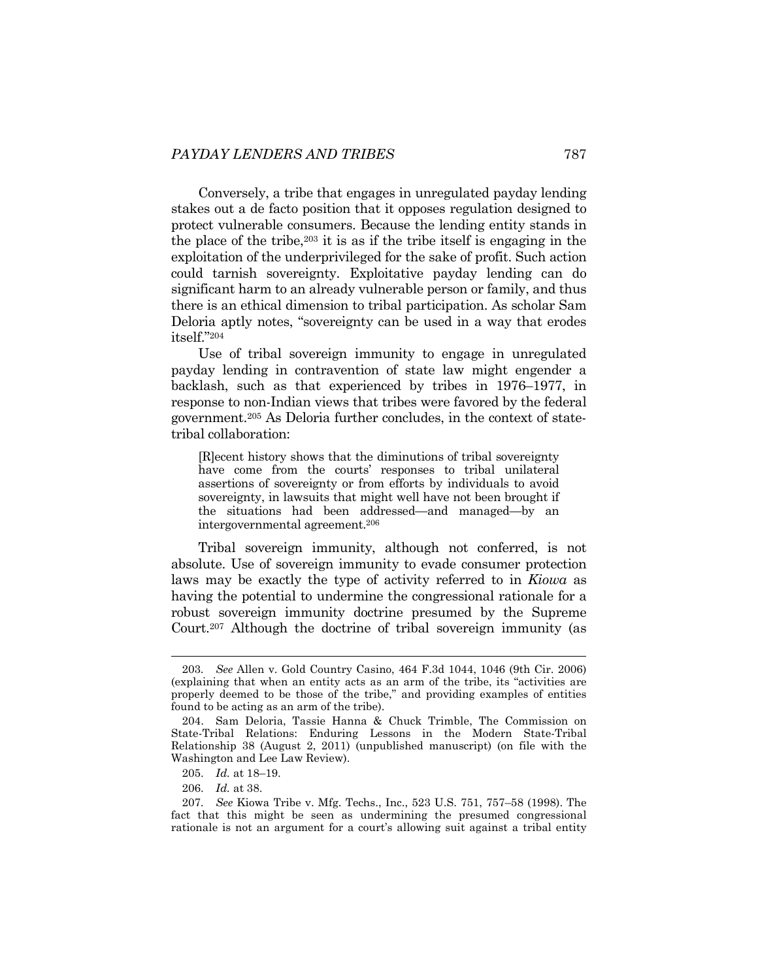Conversely, a tribe that engages in unregulated payday lending stakes out a de facto position that it opposes regulation designed to protect vulnerable consumers. Because the lending entity stands in the place of the tribe,203 it is as if the tribe itself is engaging in the exploitation of the underprivileged for the sake of profit. Such action could tarnish sovereignty. Exploitative payday lending can do significant harm to an already vulnerable person or family, and thus there is an ethical dimension to tribal participation. As scholar Sam Deloria aptly notes, "sovereignty can be used in a way that erodes itself."204

Use of tribal sovereign immunity to engage in unregulated payday lending in contravention of state law might engender a backlash, such as that experienced by tribes in 1976–1977, in response to non-Indian views that tribes were favored by the federal government.205 As Deloria further concludes, in the context of statetribal collaboration:

[R]ecent history shows that the diminutions of tribal sovereignty have come from the courts' responses to tribal unilateral assertions of sovereignty or from efforts by individuals to avoid sovereignty, in lawsuits that might well have not been brought if the situations had been addressed—and managed—by an intergovernmental agreement.206

Tribal sovereign immunity, although not conferred, is not absolute. Use of sovereign immunity to evade consumer protection laws may be exactly the type of activity referred to in *Kiowa* as having the potential to undermine the congressional rationale for a robust sovereign immunity doctrine presumed by the Supreme Court.207 Although the doctrine of tribal sovereign immunity (as

<sup>203</sup>*. See* Allen v. Gold Country Casino, 464 F.3d 1044, 1046 (9th Cir. 2006) (explaining that when an entity acts as an arm of the tribe, its "activities are properly deemed to be those of the tribe," and providing examples of entities found to be acting as an arm of the tribe).

 <sup>204.</sup> Sam Deloria, Tassie Hanna & Chuck Trimble, The Commission on State-Tribal Relations: Enduring Lessons in the Modern State-Tribal Relationship 38 (August 2, 2011) (unpublished manuscript) (on file with the Washington and Lee Law Review).

 <sup>205.</sup> *Id.* at 18–19.

 <sup>206.</sup> *Id.* at 38.

<sup>207</sup>*. See* Kiowa Tribe v. Mfg. Techs., Inc., 523 U.S. 751, 757–58 (1998). The fact that this might be seen as undermining the presumed congressional rationale is not an argument for a court's allowing suit against a tribal entity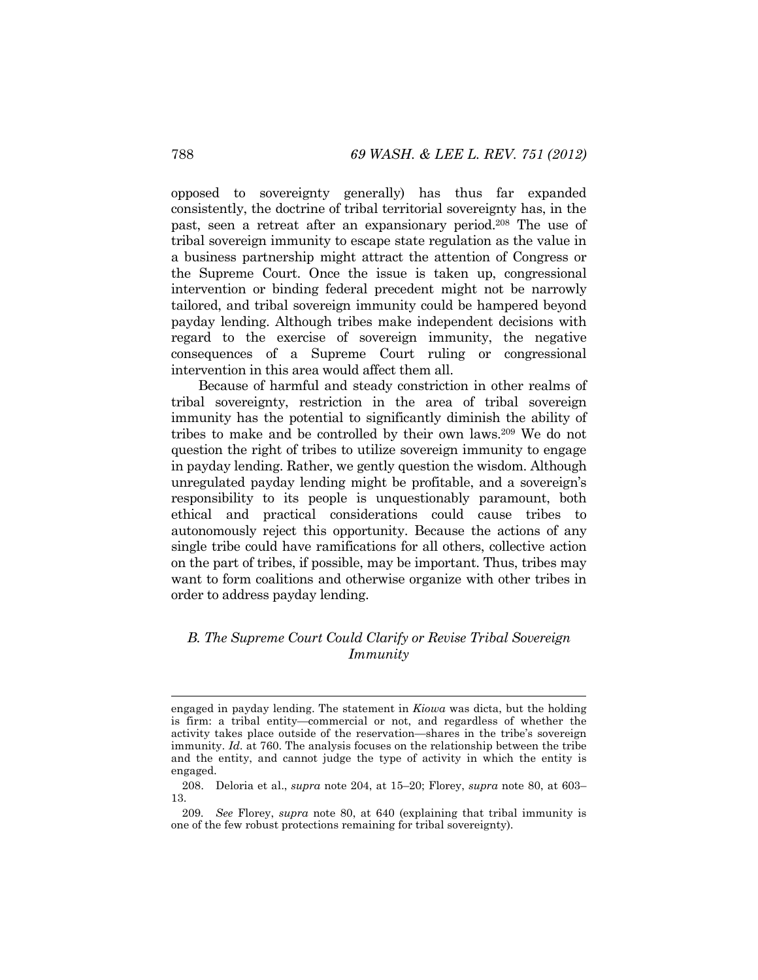opposed to sovereignty generally) has thus far expanded consistently, the doctrine of tribal territorial sovereignty has, in the past, seen a retreat after an expansionary period.208 The use of tribal sovereign immunity to escape state regulation as the value in a business partnership might attract the attention of Congress or the Supreme Court. Once the issue is taken up, congressional intervention or binding federal precedent might not be narrowly tailored, and tribal sovereign immunity could be hampered beyond payday lending. Although tribes make independent decisions with regard to the exercise of sovereign immunity, the negative consequences of a Supreme Court ruling or congressional intervention in this area would affect them all.

Because of harmful and steady constriction in other realms of tribal sovereignty, restriction in the area of tribal sovereign immunity has the potential to significantly diminish the ability of tribes to make and be controlled by their own laws.209 We do not question the right of tribes to utilize sovereign immunity to engage in payday lending. Rather, we gently question the wisdom. Although unregulated payday lending might be profitable, and a sovereign's responsibility to its people is unquestionably paramount, both ethical and practical considerations could cause tribes to autonomously reject this opportunity. Because the actions of any single tribe could have ramifications for all others, collective action on the part of tribes, if possible, may be important. Thus, tribes may want to form coalitions and otherwise organize with other tribes in order to address payday lending.

# *B. The Supreme Court Could Clarify or Revise Tribal Sovereign Immunity*

engaged in payday lending. The statement in *Kiowa* was dicta, but the holding is firm: a tribal entity—commercial or not, and regardless of whether the activity takes place outside of the reservation—shares in the tribe's sovereign immunity. *Id*. at 760. The analysis focuses on the relationship between the tribe and the entity, and cannot judge the type of activity in which the entity is engaged.

 <sup>208.</sup> Deloria et al., *supra* note 204, at 15–20; Florey, *supra* note 80, at 603– 13.

<sup>209</sup>*. See* Florey, *supra* note 80, at 640 (explaining that tribal immunity is one of the few robust protections remaining for tribal sovereignty).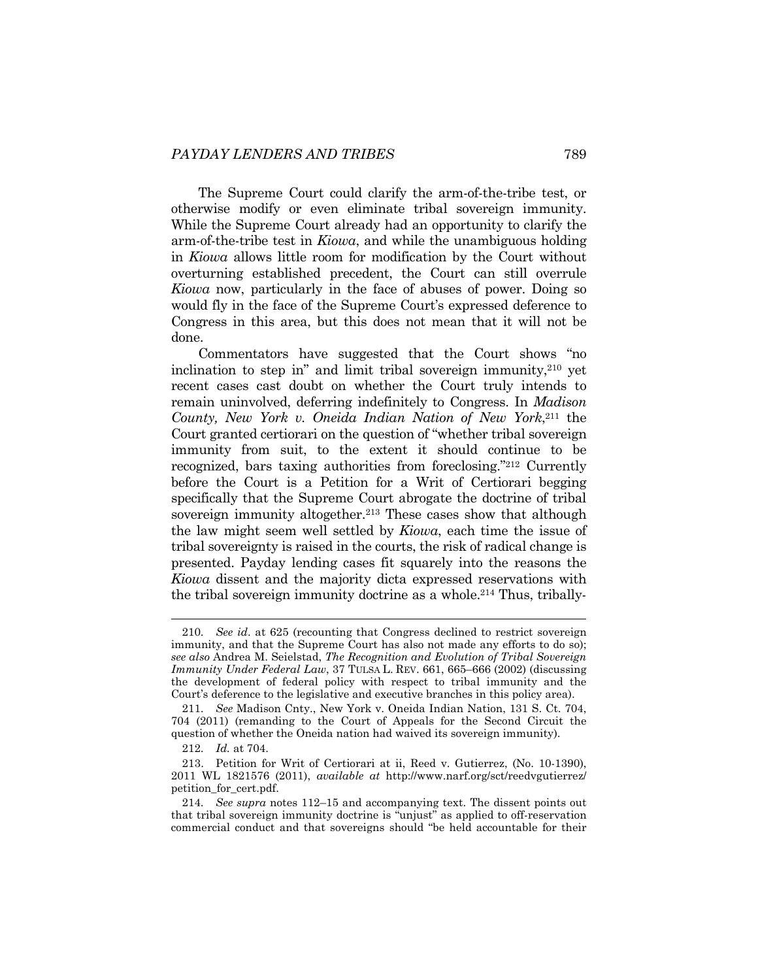The Supreme Court could clarify the arm-of-the-tribe test, or otherwise modify or even eliminate tribal sovereign immunity. While the Supreme Court already had an opportunity to clarify the arm-of-the-tribe test in *Kiowa*, and while the unambiguous holding in *Kiowa* allows little room for modification by the Court without overturning established precedent, the Court can still overrule *Kiowa* now, particularly in the face of abuses of power. Doing so would fly in the face of the Supreme Court's expressed deference to Congress in this area, but this does not mean that it will not be done.

Commentators have suggested that the Court shows "no inclination to step in" and limit tribal sovereign immunity, $2^{10}$  yet recent cases cast doubt on whether the Court truly intends to remain uninvolved, deferring indefinitely to Congress. In *Madison County, New York v. Oneida Indian Nation of New York*, 211 the Court granted certiorari on the question of "whether tribal sovereign immunity from suit, to the extent it should continue to be recognized, bars taxing authorities from foreclosing."212 Currently before the Court is a Petition for a Writ of Certiorari begging specifically that the Supreme Court abrogate the doctrine of tribal sovereign immunity altogether.<sup>213</sup> These cases show that although the law might seem well settled by *Kiowa*, each time the issue of tribal sovereignty is raised in the courts, the risk of radical change is presented. Payday lending cases fit squarely into the reasons the *Kiowa* dissent and the majority dicta expressed reservations with the tribal sovereign immunity doctrine as a whole.214 Thus, tribally-

<sup>210</sup>*. See id*. at 625 (recounting that Congress declined to restrict sovereign immunity, and that the Supreme Court has also not made any efforts to do so); *see also* Andrea M. Seielstad, *The Recognition and Evolution of Tribal Sovereign Immunity Under Federal Law*, 37 TULSA L. REV. 661, 665–666 (2002) (discussing the development of federal policy with respect to tribal immunity and the Court's deference to the legislative and executive branches in this policy area).

<sup>211</sup>*. See* Madison Cnty., New York v. Oneida Indian Nation, 131 S. Ct. 704, 704 (2011) (remanding to the Court of Appeals for the Second Circuit the question of whether the Oneida nation had waived its sovereign immunity).

<sup>212</sup>*. Id.* at 704.

 <sup>213.</sup> Petition for Writ of Certiorari at ii, Reed v. Gutierrez, (No. 10-1390), 2011 WL 1821576 (2011), *available at* http://www.narf.org/sct/reedvgutierrez/ petition\_for\_cert.pdf.

<sup>214</sup>*. See supra* notes 112–15 and accompanying text. The dissent points out that tribal sovereign immunity doctrine is "unjust" as applied to off-reservation commercial conduct and that sovereigns should "be held accountable for their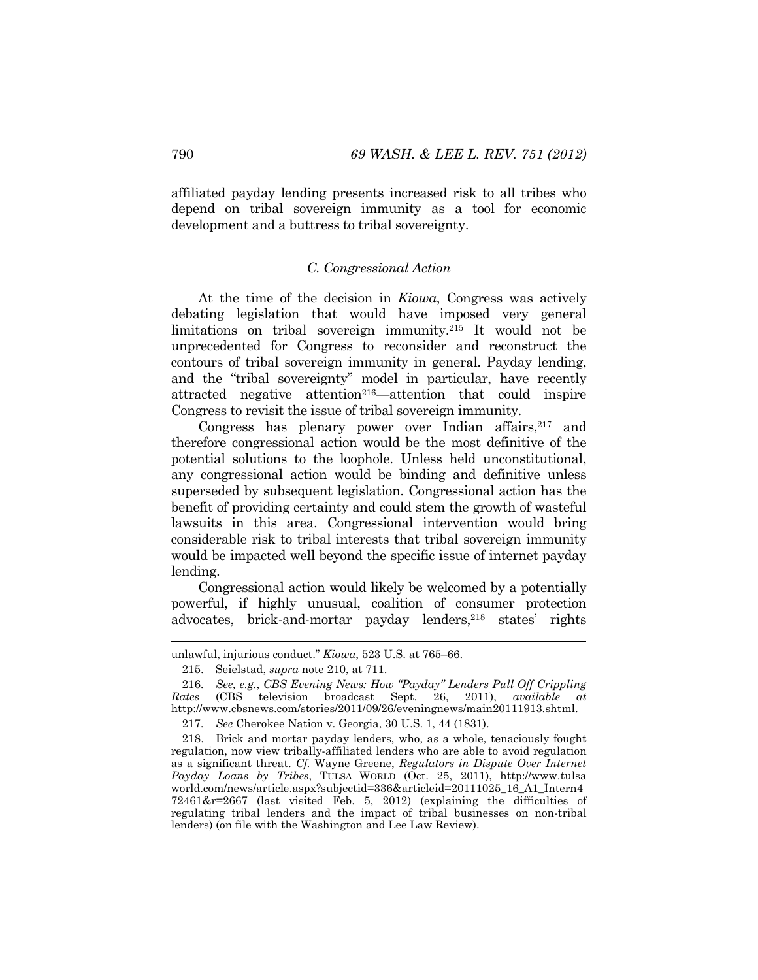affiliated payday lending presents increased risk to all tribes who depend on tribal sovereign immunity as a tool for economic development and a buttress to tribal sovereignty.

#### *C. Congressional Action*

At the time of the decision in *Kiowa*, Congress was actively debating legislation that would have imposed very general limitations on tribal sovereign immunity.215 It would not be unprecedented for Congress to reconsider and reconstruct the contours of tribal sovereign immunity in general. Payday lending, and the "tribal sovereignty" model in particular, have recently attracted negative attention<sup>216</sup>—attention that could inspire Congress to revisit the issue of tribal sovereign immunity.

Congress has plenary power over Indian affairs,  $2^{17}$  and therefore congressional action would be the most definitive of the potential solutions to the loophole. Unless held unconstitutional, any congressional action would be binding and definitive unless superseded by subsequent legislation. Congressional action has the benefit of providing certainty and could stem the growth of wasteful lawsuits in this area. Congressional intervention would bring considerable risk to tribal interests that tribal sovereign immunity would be impacted well beyond the specific issue of internet payday lending.

Congressional action would likely be welcomed by a potentially powerful, if highly unusual, coalition of consumer protection advocates, brick-and-mortar payday lenders,<sup>218</sup> states' rights

unlawful, injurious conduct." *Kiowa*, 523 U.S. at 765–66.

 <sup>215.</sup> Seielstad, *supra* note 210, at 711.

<sup>216</sup>*. See, e.g.*, *CBS Evening News: How "Payday" Lenders Pull Off Crippling Rates* (CBS television broadcast Sept. 26, 2011), *available at* http://www.cbsnews.com/stories/2011/09/26/eveningnews/main20111913.shtml.

<sup>217</sup>*. See* Cherokee Nation v. Georgia, 30 U.S. 1, 44 (1831).

 <sup>218.</sup> Brick and mortar payday lenders, who, as a whole, tenaciously fought regulation, now view tribally-affiliated lenders who are able to avoid regulation as a significant threat. *Cf.* Wayne Greene, *Regulators in Dispute Over Internet Payday Loans by Tribes*, TULSA WORLD (Oct. 25, 2011), http://www.tulsa world.com/news/article.aspx?subjectid=336&articleid=20111025\_16\_A1\_Intern4 72461&r=2667 (last visited Feb. 5, 2012) (explaining the difficulties of regulating tribal lenders and the impact of tribal businesses on non-tribal lenders) (on file with the Washington and Lee Law Review).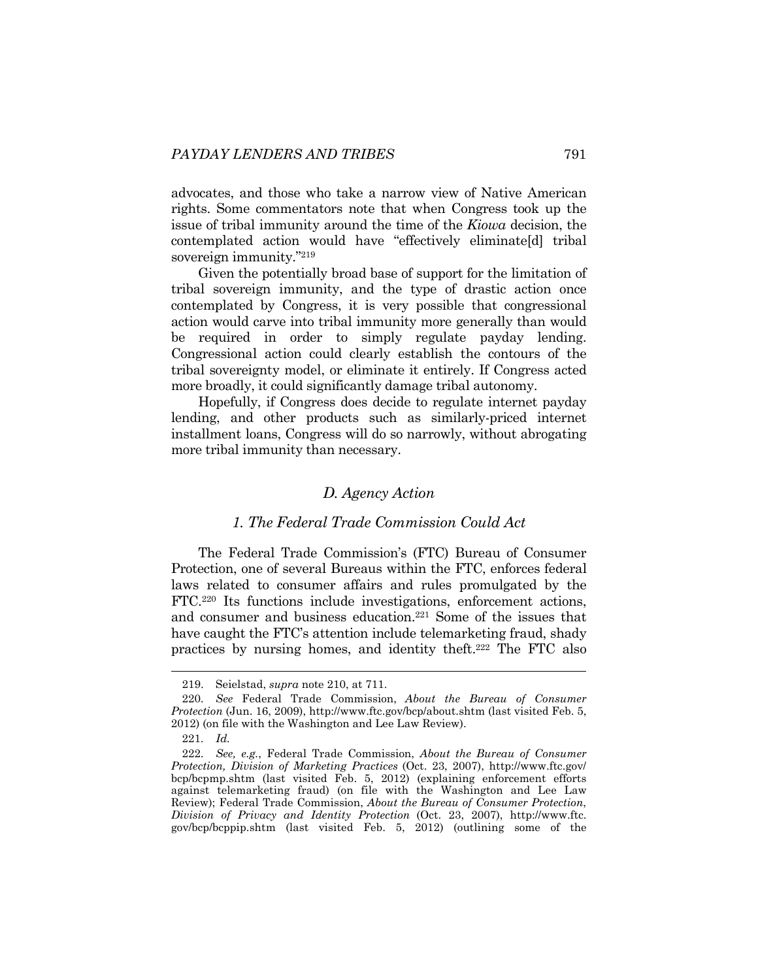advocates, and those who take a narrow view of Native American rights. Some commentators note that when Congress took up the issue of tribal immunity around the time of the *Kiowa* decision, the contemplated action would have "effectively eliminate[d] tribal sovereign immunity."219

Given the potentially broad base of support for the limitation of tribal sovereign immunity, and the type of drastic action once contemplated by Congress, it is very possible that congressional action would carve into tribal immunity more generally than would be required in order to simply regulate payday lending. Congressional action could clearly establish the contours of the tribal sovereignty model, or eliminate it entirely. If Congress acted more broadly, it could significantly damage tribal autonomy.

Hopefully, if Congress does decide to regulate internet payday lending, and other products such as similarly-priced internet installment loans, Congress will do so narrowly, without abrogating more tribal immunity than necessary.

# *D. Agency Action*

# *1. The Federal Trade Commission Could Act*

The Federal Trade Commission's (FTC) Bureau of Consumer Protection, one of several Bureaus within the FTC, enforces federal laws related to consumer affairs and rules promulgated by the FTC.220 Its functions include investigations, enforcement actions, and consumer and business education.221 Some of the issues that have caught the FTC's attention include telemarketing fraud, shady practices by nursing homes, and identity theft.222 The FTC also

 <sup>219.</sup> Seielstad, *supra* note 210, at 711.

<sup>220</sup>*. See* Federal Trade Commission, *About the Bureau of Consumer Protection* (Jun. 16, 2009), http://www.ftc.gov/bcp/about.shtm (last visited Feb. 5, 2012) (on file with the Washington and Lee Law Review).

<sup>221</sup>*. Id.*

<sup>222</sup>*. See, e.g.*, Federal Trade Commission, *About the Bureau of Consumer Protection, Division of Marketing Practices* (Oct. 23, 2007), http://www.ftc.gov/ bcp/bcpmp.shtm (last visited Feb. 5, 2012) (explaining enforcement efforts against telemarketing fraud) (on file with the Washington and Lee Law Review); Federal Trade Commission, *About the Bureau of Consumer Protection*, *Division of Privacy and Identity Protection* (Oct. 23, 2007), http://www.ftc. gov/bcp/bcppip.shtm (last visited Feb. 5, 2012) (outlining some of the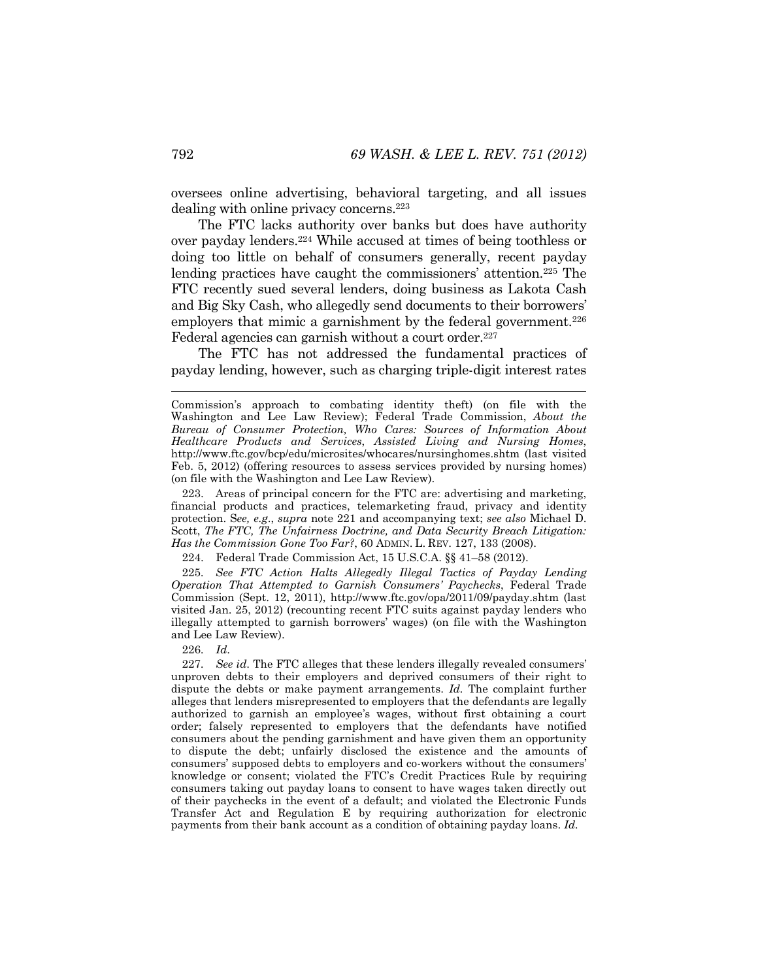oversees online advertising, behavioral targeting, and all issues dealing with online privacy concerns.223

The FTC lacks authority over banks but does have authority over payday lenders.224 While accused at times of being toothless or doing too little on behalf of consumers generally, recent payday lending practices have caught the commissioners' attention.225 The FTC recently sued several lenders, doing business as Lakota Cash and Big Sky Cash, who allegedly send documents to their borrowers' employers that mimic a garnishment by the federal government.<sup>226</sup> Federal agencies can garnish without a court order.<sup>227</sup>

The FTC has not addressed the fundamental practices of payday lending, however, such as charging triple-digit interest rates

 223. Areas of principal concern for the FTC are: advertising and marketing, financial products and practices, telemarketing fraud, privacy and identity protection. S*ee, e.g*., *supra* note 221 and accompanying text; *see also* Michael D. Scott, *The FTC, The Unfairness Doctrine, and Data Security Breach Litigation: Has the Commission Gone Too Far?*, 60 ADMIN. L. REV. 127, 133 (2008).

224. Federal Trade Commission Act, 15 U.S.C.A. §§ 41–58 (2012).

225*. See FTC Action Halts Allegedly Illegal Tactics of Payday Lending Operation That Attempted to Garnish Consumers' Paychecks*, Federal Trade Commission (Sept. 12, 2011), http://www.ftc.gov/opa/2011/09/payday.shtm (last visited Jan. 25, 2012) (recounting recent FTC suits against payday lenders who illegally attempted to garnish borrowers' wages) (on file with the Washington and Lee Law Review).

226*. Id*.

227*. See id*. The FTC alleges that these lenders illegally revealed consumers' unproven debts to their employers and deprived consumers of their right to dispute the debts or make payment arrangements. *Id.* The complaint further alleges that lenders misrepresented to employers that the defendants are legally authorized to garnish an employee's wages, without first obtaining a court order; falsely represented to employers that the defendants have notified consumers about the pending garnishment and have given them an opportunity to dispute the debt; unfairly disclosed the existence and the amounts of consumers' supposed debts to employers and co-workers without the consumers' knowledge or consent; violated the FTC's Credit Practices Rule by requiring consumers taking out payday loans to consent to have wages taken directly out of their paychecks in the event of a default; and violated the Electronic Funds Transfer Act and Regulation E by requiring authorization for electronic payments from their bank account as a condition of obtaining payday loans. *Id.* 

Commission's approach to combating identity theft) (on file with the Washington and Lee Law Review); Federal Trade Commission, *About the Bureau of Consumer Protection, Who Cares: Sources of Information About Healthcare Products and Services*, *Assisted Living and Nursing Homes*, http://www.ftc.gov/bcp/edu/microsites/whocares/nursinghomes.shtm (last visited Feb. 5, 2012) (offering resources to assess services provided by nursing homes) (on file with the Washington and Lee Law Review).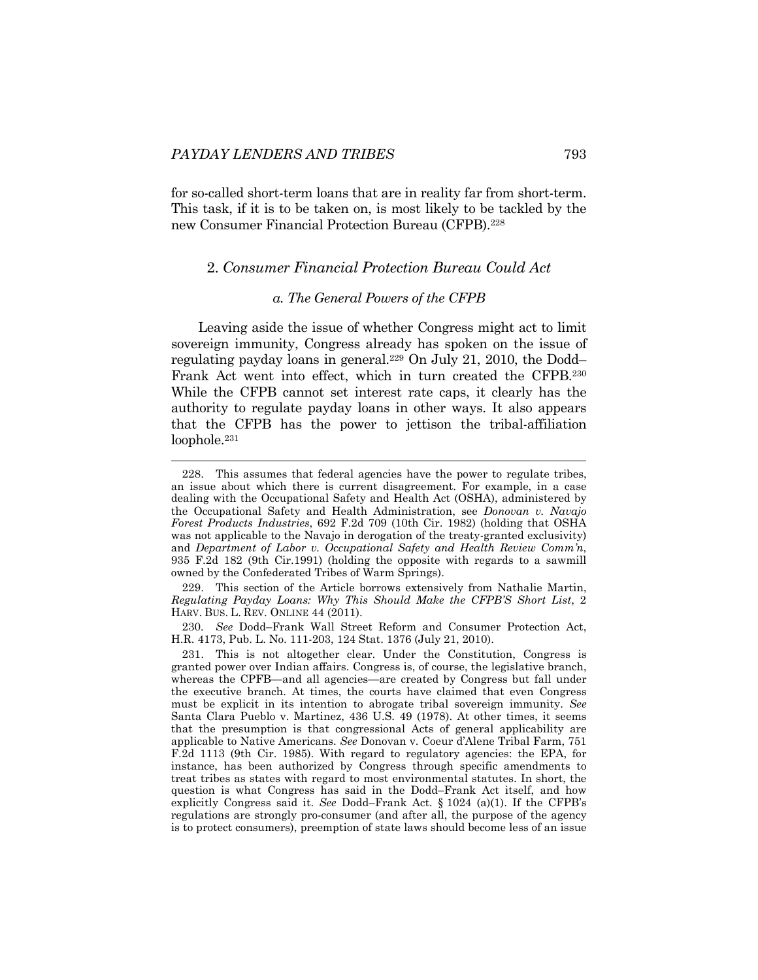l

for so-called short-term loans that are in reality far from short-term. This task, if it is to be taken on, is most likely to be tackled by the new Consumer Financial Protection Bureau (CFPB).228

## 2. *Consumer Financial Protection Bureau Could Act*

#### *a. The General Powers of the CFPB*

Leaving aside the issue of whether Congress might act to limit sovereign immunity, Congress already has spoken on the issue of regulating payday loans in general.229 On July 21, 2010, the Dodd– Frank Act went into effect, which in turn created the CFPB.230 While the CFPB cannot set interest rate caps, it clearly has the authority to regulate payday loans in other ways. It also appears that the CFPB has the power to jettison the tribal-affiliation loophole.<sup>231</sup>

 229. This section of the Article borrows extensively from Nathalie Martin, *Regulating Payday Loans: Why This Should Make the CFPB'S Short List*, 2 HARV. BUS. L. REV. ONLINE 44 (2011).

230*. See* Dodd–Frank Wall Street Reform and Consumer Protection Act, H.R. 4173, Pub. L. No. 111-203, 124 Stat. 1376 (July 21, 2010).

 231. This is not altogether clear. Under the Constitution, Congress is granted power over Indian affairs. Congress is, of course, the legislative branch, whereas the CPFB—and all agencies—are created by Congress but fall under the executive branch. At times, the courts have claimed that even Congress must be explicit in its intention to abrogate tribal sovereign immunity. *See* Santa Clara Pueblo v. Martinez, 436 U.S. 49 (1978). At other times, it seems that the presumption is that congressional Acts of general applicability are applicable to Native Americans. *See* Donovan v. Coeur d'Alene Tribal Farm, 751 F.2d 1113 (9th Cir. 1985). With regard to regulatory agencies: the EPA, for instance, has been authorized by Congress through specific amendments to treat tribes as states with regard to most environmental statutes. In short, the question is what Congress has said in the Dodd–Frank Act itself, and how explicitly Congress said it. *See* Dodd–Frank Act*.* § 1024 (a)(1). If the CFPB's regulations are strongly pro-consumer (and after all, the purpose of the agency is to protect consumers), preemption of state laws should become less of an issue

 <sup>228.</sup> This assumes that federal agencies have the power to regulate tribes, an issue about which there is current disagreement. For example, in a case dealing with the Occupational Safety and Health Act (OSHA), administered by the Occupational Safety and Health Administration, see *Donovan v. Navajo Forest Products Industries*, 692 F.2d 709 (10th Cir. 1982) (holding that OSHA was not applicable to the Navajo in derogation of the treaty-granted exclusivity) and *Department of Labor v. Occupational Safety and Health Review Comm'n*, 935 F.2d 182 (9th Cir.1991) (holding the opposite with regards to a sawmill owned by the Confederated Tribes of Warm Springs).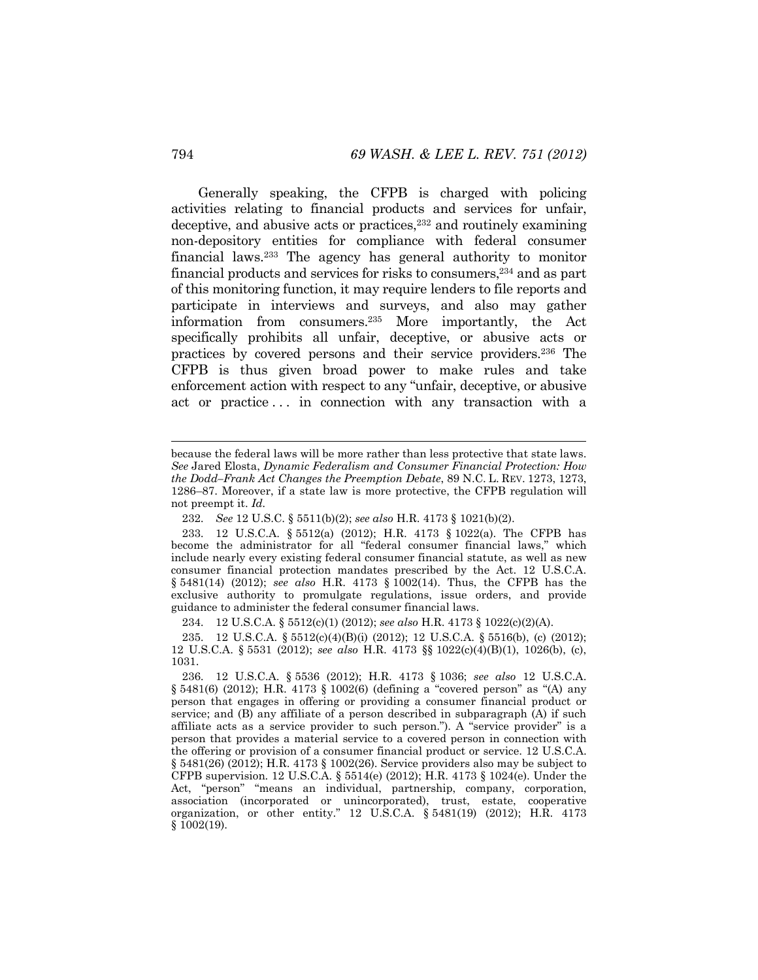Generally speaking, the CFPB is charged with policing activities relating to financial products and services for unfair, deceptive, and abusive acts or practices,  $232$  and routinely examining non-depository entities for compliance with federal consumer financial laws.233 The agency has general authority to monitor financial products and services for risks to consumers,234 and as part of this monitoring function, it may require lenders to file reports and participate in interviews and surveys, and also may gather information from consumers.235 More importantly, the Act specifically prohibits all unfair, deceptive, or abusive acts or practices by covered persons and their service providers.236 The CFPB is thus given broad power to make rules and take enforcement action with respect to any "unfair, deceptive, or abusive act or practice ... in connection with any transaction with a

234*.* 12 U.S.C.A. § 5512(c)(1) (2012); *see also* H.R. 4173 § 1022(c)(2)(A).

235*.* 12 U.S.C.A. § 5512(c)(4)(B)(i) (2012); 12 U.S.C.A. § 5516(b), (c) (2012); 12 U.S.C.A. § 5531 (2012); *see also* H.R. 4173 §§ 1022(c)(4)(B)(1), 1026(b), (c), 1031.

because the federal laws will be more rather than less protective that state laws. *See* Jared Elosta, *Dynamic Federalism and Consumer Financial Protection: How the Dodd–Frank Act Changes the Preemption Debate*, 89 N.C. L. REV. 1273, 1273, 1286–87. Moreover, if a state law is more protective, the CFPB regulation will not preempt it. *Id.*

<sup>232</sup>*. See* 12 U.S.C. § 5511(b)(2); *see also* H.R. 4173 § 1021(b)(2).

<sup>233</sup>*.* 12 U.S.C.A. § 5512(a) (2012); H.R. 4173 § 1022(a). The CFPB has become the administrator for all "federal consumer financial laws," which include nearly every existing federal consumer financial statute, as well as new consumer financial protection mandates prescribed by the Act. 12 U.S.C.A. § 5481(14) (2012); *see also* H.R. 4173 § 1002(14). Thus, the CFPB has the exclusive authority to promulgate regulations, issue orders, and provide guidance to administer the federal consumer financial laws.

<sup>236</sup>*.* 12 U.S.C.A. § 5536 (2012); H.R. 4173 § 1036; *see also* 12 U.S.C.A. § 5481(6) (2012); H.R. 4173 § 1002(6) (defining a "covered person" as "(A) any person that engages in offering or providing a consumer financial product or service; and (B) any affiliate of a person described in subparagraph (A) if such affiliate acts as a service provider to such person."). A "service provider" is a person that provides a material service to a covered person in connection with the offering or provision of a consumer financial product or service. 12 U.S.C.A. § 5481(26) (2012); H.R. 4173 § 1002(26). Service providers also may be subject to CFPB supervision. 12 U.S.C.A. § 5514(e) (2012); H.R. 4173 § 1024(e). Under the Act, "person" "means an individual, partnership, company, corporation, association (incorporated or unincorporated), trust, estate, cooperative organization, or other entity." 12 U.S.C.A. § 5481(19) (2012); H.R. 4173 § 1002(19).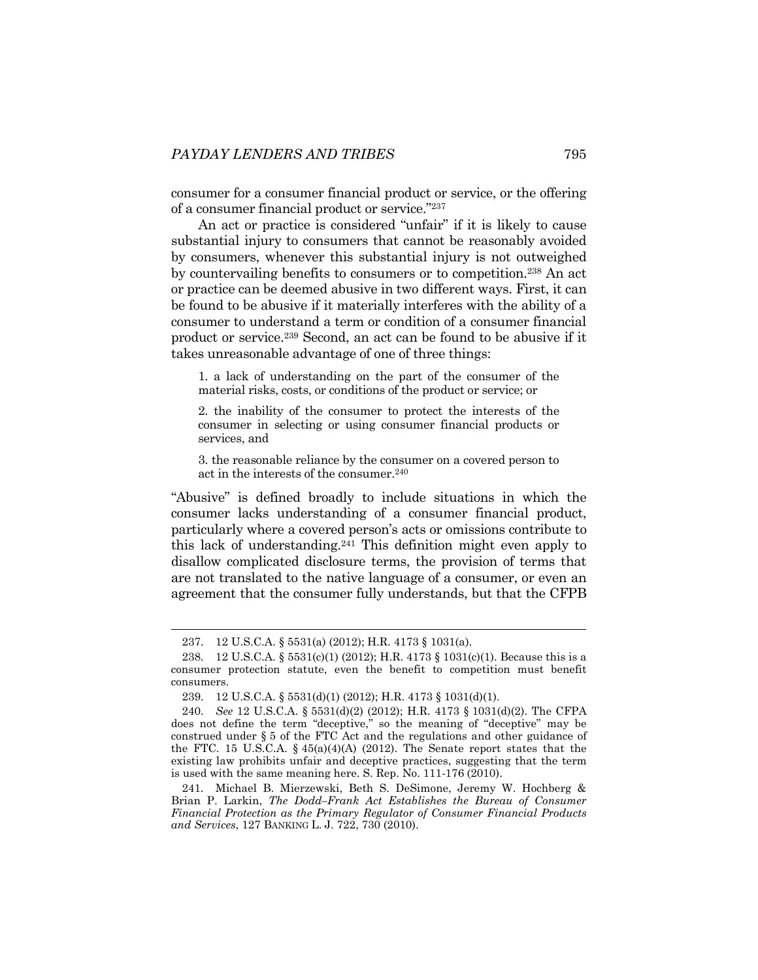consumer for a consumer financial product or service, or the offering of a consumer financial product or service."237

An act or practice is considered "unfair" if it is likely to cause substantial injury to consumers that cannot be reasonably avoided by consumers, whenever this substantial injury is not outweighed by countervailing benefits to consumers or to competition.238 An act or practice can be deemed abusive in two different ways. First, it can be found to be abusive if it materially interferes with the ability of a consumer to understand a term or condition of a consumer financial product or service.239 Second, an act can be found to be abusive if it takes unreasonable advantage of one of three things:

1. a lack of understanding on the part of the consumer of the material risks, costs, or conditions of the product or service; or

2. the inability of the consumer to protect the interests of the consumer in selecting or using consumer financial products or services, and

3. the reasonable reliance by the consumer on a covered person to act in the interests of the consumer.240

"Abusive" is defined broadly to include situations in which the consumer lacks understanding of a consumer financial product, particularly where a covered person's acts or omissions contribute to this lack of understanding.241 This definition might even apply to disallow complicated disclosure terms, the provision of terms that are not translated to the native language of a consumer, or even an agreement that the consumer fully understands, but that the CFPB

l

241*.* Michael B. Mierzewski, Beth S. DeSimone, Jeremy W. Hochberg & Brian P. Larkin, *The Dodd–Frank Act Establishes the Bureau of Consumer Financial Protection as the Primary Regulator of Consumer Financial Products and Services*, 127 BANKING L. J. 722, 730 (2010).

<sup>237</sup>*.* 12 U.S.C.A. § 5531(a) (2012); H.R. 4173 § 1031(a).

<sup>238</sup>*.* 12 U.S.C.A. § 5531(c)(1) (2012); H.R. 4173 § 1031(c)(1). Because this is a consumer protection statute, even the benefit to competition must benefit consumers.

<sup>239</sup>*.* 12 U.S.C.A. § 5531(d)(1) (2012); H.R. 4173 § 1031(d)(1).

<sup>240</sup>*. See* 12 U.S.C.A. § 5531(d)(2) (2012); H.R. 4173 § 1031(d)(2). The CFPA does not define the term "deceptive," so the meaning of "deceptive" may be construed under § 5 of the FTC Act and the regulations and other guidance of the FTC. 15 U.S.C.A.  $\S$  45(a)(4)(A) (2012). The Senate report states that the existing law prohibits unfair and deceptive practices, suggesting that the term is used with the same meaning here. S. Rep. No. 111-176 (2010).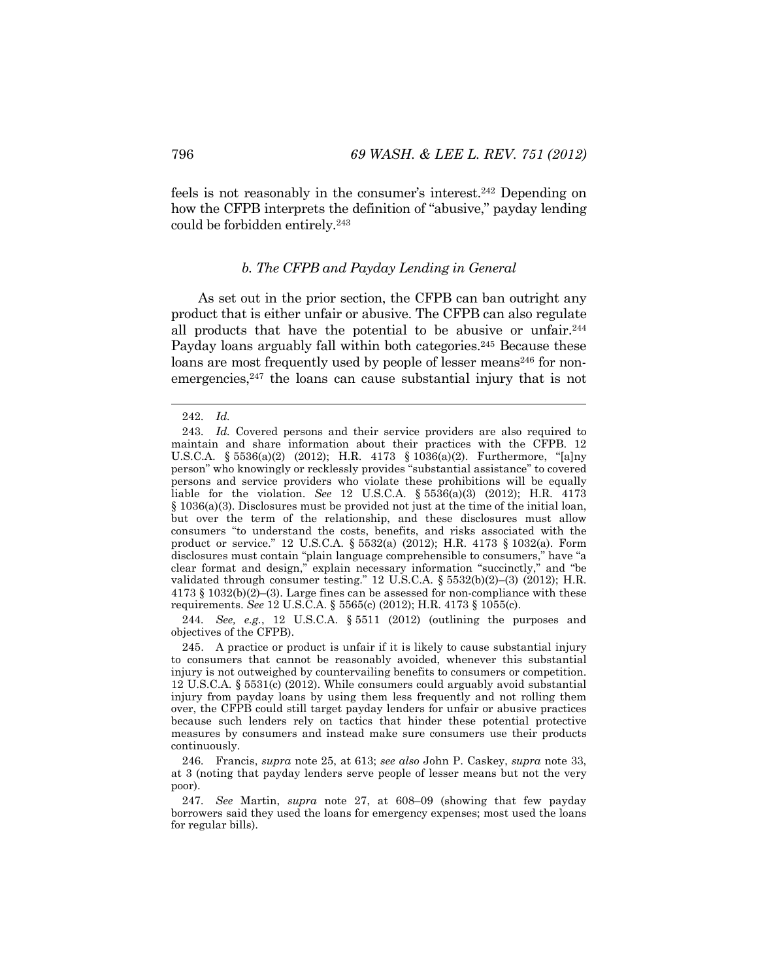feels is not reasonably in the consumer's interest.242 Depending on how the CFPB interprets the definition of "abusive," payday lending could be forbidden entirely.243

#### *b. The CFPB and Payday Lending in General*

As set out in the prior section, the CFPB can ban outright any product that is either unfair or abusive. The CFPB can also regulate all products that have the potential to be abusive or unfair.<sup>244</sup> Payday loans arguably fall within both categories.<sup>245</sup> Because these loans are most frequently used by people of lesser means<sup>246</sup> for nonemergencies,<sup>247</sup> the loans can cause substantial injury that is not

244*. See, e.g.*, 12 U.S.C.A. § 5511 (2012) (outlining the purposes and objectives of the CFPB).

 245. A practice or product is unfair if it is likely to cause substantial injury to consumers that cannot be reasonably avoided, whenever this substantial injury is not outweighed by countervailing benefits to consumers or competition. 12 U.S.C.A. § 5531(c) (2012). While consumers could arguably avoid substantial injury from payday loans by using them less frequently and not rolling them over, the CFPB could still target payday lenders for unfair or abusive practices because such lenders rely on tactics that hinder these potential protective measures by consumers and instead make sure consumers use their products continuously.

<sup>242</sup>*. Id.*

<sup>243</sup>*. Id.* Covered persons and their service providers are also required to maintain and share information about their practices with the CFPB. 12 U.S.C.A. § 5536(a)(2) (2012); H.R. 4173 § 1036(a)(2). Furthermore, "[a]ny person" who knowingly or recklessly provides "substantial assistance" to covered persons and service providers who violate these prohibitions will be equally liable for the violation. *See* 12 U.S.C.A. § 5536(a)(3) (2012); H.R. 4173 § 1036(a)(3). Disclosures must be provided not just at the time of the initial loan, but over the term of the relationship, and these disclosures must allow consumers "to understand the costs, benefits, and risks associated with the product or service." 12 U.S.C.A. § 5532(a) (2012); H.R. 4173 § 1032(a). Form disclosures must contain "plain language comprehensible to consumers," have "a clear format and design," explain necessary information "succinctly," and "be validated through consumer testing." 12 U.S.C.A. § 5532(b)(2)–(3) (2012); H.R.  $4173 \text{ }\frac{\text{S}}{2} 1032 \text{ (b)} (2) - (3)$ . Large fines can be assessed for non-compliance with these requirements. *See* 12 U.S.C.A. § 5565(c) (2012); H.R. 4173 § 1055(c).

<sup>246</sup>*.* Francis, *supra* note 25, at 613; *see also* John P. Caskey, *supra* note 33, at 3 (noting that payday lenders serve people of lesser means but not the very poor).

<sup>247</sup>*. See* Martin, *supra* note 27, at 608–09 (showing that few payday borrowers said they used the loans for emergency expenses; most used the loans for regular bills).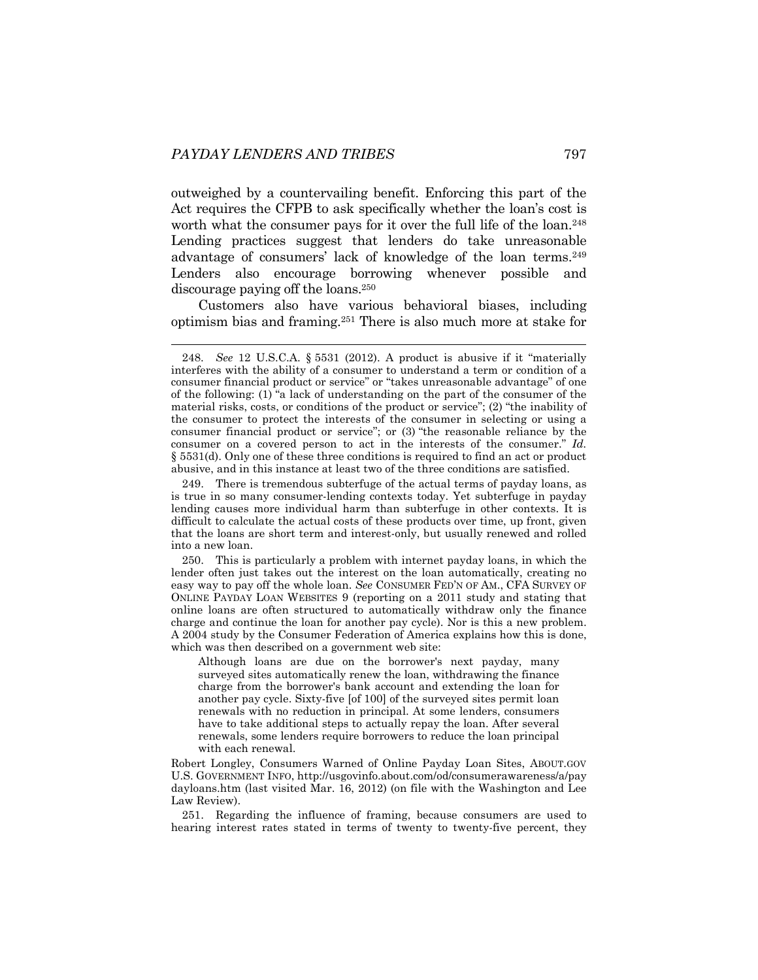outweighed by a countervailing benefit. Enforcing this part of the Act requires the CFPB to ask specifically whether the loan's cost is worth what the consumer pays for it over the full life of the loan.<sup>248</sup> Lending practices suggest that lenders do take unreasonable advantage of consumers' lack of knowledge of the loan terms.249 Lenders also encourage borrowing whenever possible and discourage paying off the loans.250

Customers also have various behavioral biases, including optimism bias and framing.251 There is also much more at stake for

 250. This is particularly a problem with internet payday loans, in which the lender often just takes out the interest on the loan automatically, creating no easy way to pay off the whole loan. *See* CONSUMER FED'N OF AM., CFA SURVEY OF ONLINE PAYDAY LOAN WEBSITES 9 (reporting on a 2011 study and stating that online loans are often structured to automatically withdraw only the finance charge and continue the loan for another pay cycle). Nor is this a new problem. A 2004 study by the Consumer Federation of America explains how this is done, which was then described on a government web site:

Although loans are due on the borrower's next payday, many surveyed sites automatically renew the loan, withdrawing the finance charge from the borrower's bank account and extending the loan for another pay cycle. Sixty-five [of 100] of the surveyed sites permit loan renewals with no reduction in principal. At some lenders, consumers have to take additional steps to actually repay the loan. After several renewals, some lenders require borrowers to reduce the loan principal with each renewal.

Robert Longley, Consumers Warned of Online Payday Loan Sites, ABOUT.GOV U.S. GOVERNMENT INFO, http://usgovinfo.about.com/od/consumerawareness/a/pay dayloans.htm (last visited Mar. 16, 2012) (on file with the Washington and Lee Law Review).

 251. Regarding the influence of framing, because consumers are used to hearing interest rates stated in terms of twenty to twenty-five percent, they

 <sup>248.</sup> *See* 12 U.S.C.A. § 5531 (2012). A product is abusive if it "materially interferes with the ability of a consumer to understand a term or condition of a consumer financial product or service" or "takes unreasonable advantage" of one of the following: (1) "a lack of understanding on the part of the consumer of the material risks, costs, or conditions of the product or service"; (2) "the inability of the consumer to protect the interests of the consumer in selecting or using a consumer financial product or service"; or (3) "the reasonable reliance by the consumer on a covered person to act in the interests of the consumer." *Id.* § 5531(d). Only one of these three conditions is required to find an act or product abusive, and in this instance at least two of the three conditions are satisfied.

 <sup>249.</sup> There is tremendous subterfuge of the actual terms of payday loans, as is true in so many consumer-lending contexts today. Yet subterfuge in payday lending causes more individual harm than subterfuge in other contexts. It is difficult to calculate the actual costs of these products over time, up front, given that the loans are short term and interest-only, but usually renewed and rolled into a new loan.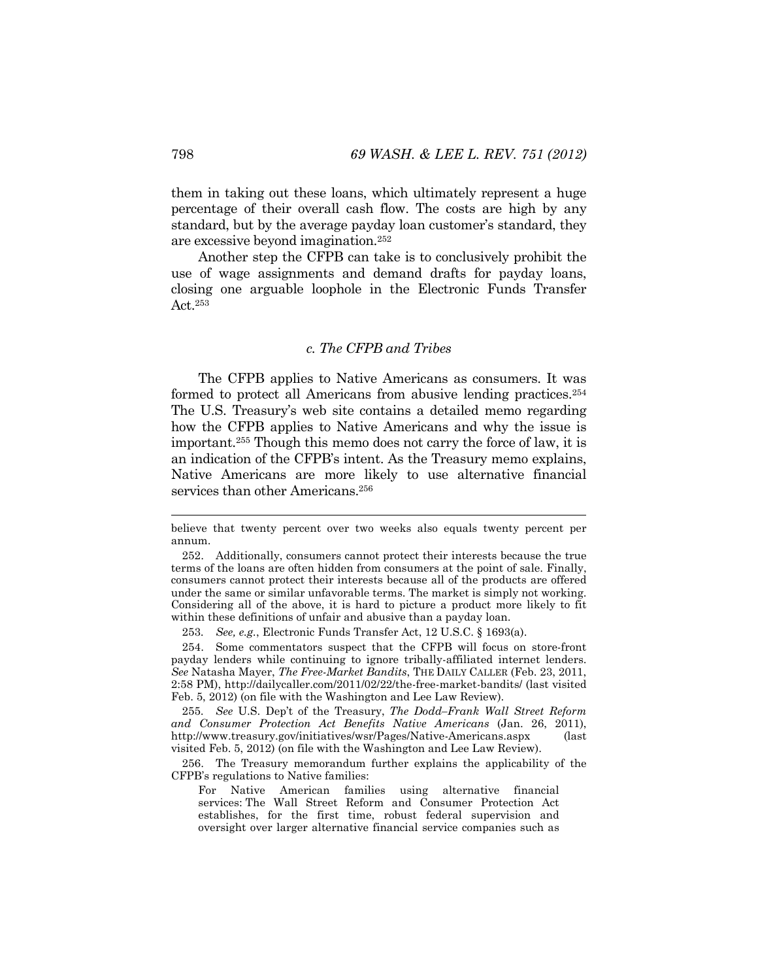them in taking out these loans, which ultimately represent a huge percentage of their overall cash flow. The costs are high by any standard, but by the average payday loan customer's standard, they are excessive beyond imagination.252

Another step the CFPB can take is to conclusively prohibit the use of wage assignments and demand drafts for payday loans, closing one arguable loophole in the Electronic Funds Transfer Act.253

## *c. The CFPB and Tribes*

The CFPB applies to Native Americans as consumers. It was formed to protect all Americans from abusive lending practices.254 The U.S. Treasury's web site contains a detailed memo regarding how the CFPB applies to Native Americans and why the issue is important.255 Though this memo does not carry the force of law, it is an indication of the CFPB's intent. As the Treasury memo explains, Native Americans are more likely to use alternative financial services than other Americans.<sup>256</sup>

253*. See, e.g.*, Electronic Funds Transfer Act, 12 U.S.C. § 1693(a).

 254. Some commentators suspect that the CFPB will focus on store-front payday lenders while continuing to ignore tribally-affiliated internet lenders. *See* Natasha Mayer, *The Free-Market Bandits*, THE DAILY CALLER (Feb. 23, 2011, 2:58 PM), http://dailycaller.com/2011/02/22/the-free-market-bandits/ (last visited Feb. 5, 2012) (on file with the Washington and Lee Law Review).

255*. See* U.S. Dep't of the Treasury, *The Dodd–Frank Wall Street Reform and Consumer Protection Act Benefits Native Americans* (Jan. 26, 2011), http://www.treasury.gov/initiatives/wsr/Pages/Native-Americans.aspx (last visited Feb. 5, 2012) (on file with the Washington and Lee Law Review).

 256. The Treasury memorandum further explains the applicability of the CFPB's regulations to Native families:

For Native American families using alternative financial services: The Wall Street Reform and Consumer Protection Act establishes, for the first time, robust federal supervision and oversight over larger alternative financial service companies such as

believe that twenty percent over two weeks also equals twenty percent per annum.

 <sup>252.</sup> Additionally, consumers cannot protect their interests because the true terms of the loans are often hidden from consumers at the point of sale. Finally, consumers cannot protect their interests because all of the products are offered under the same or similar unfavorable terms. The market is simply not working. Considering all of the above, it is hard to picture a product more likely to fit within these definitions of unfair and abusive than a payday loan.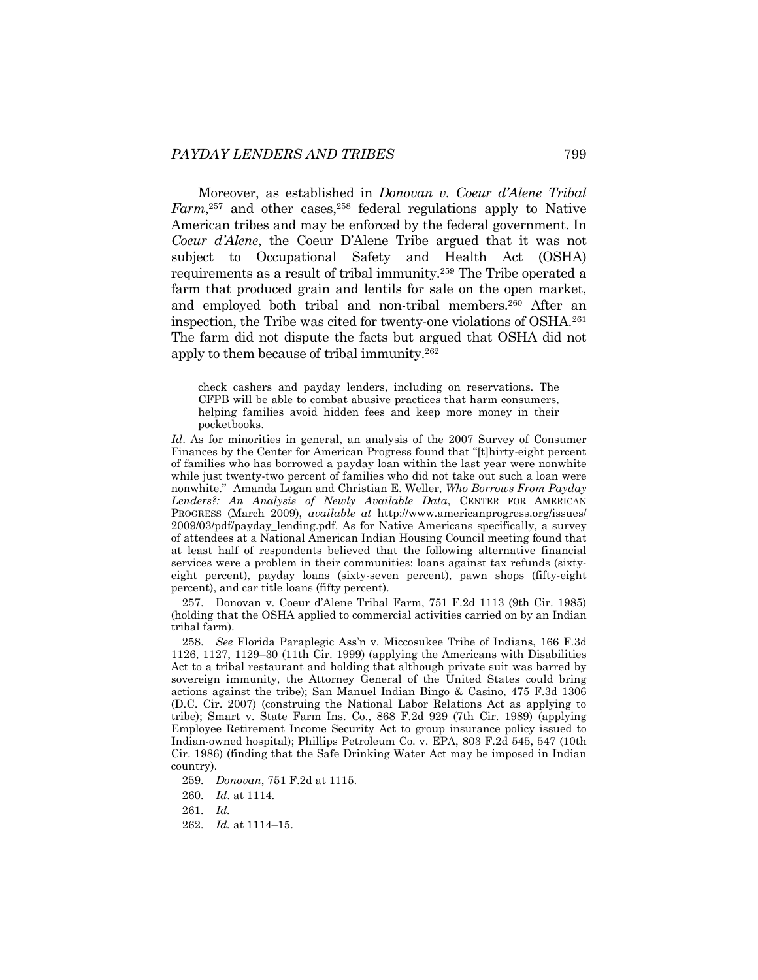Moreover, as established in *Donovan v. Coeur d'Alene Tribal*  Farm,<sup>257</sup> and other cases,<sup>258</sup> federal regulations apply to Native American tribes and may be enforced by the federal government. In *Coeur d'Alene*, the Coeur D'Alene Tribe argued that it was not subject to Occupational Safety and Health Act (OSHA) requirements as a result of tribal immunity.259 The Tribe operated a farm that produced grain and lentils for sale on the open market, and employed both tribal and non-tribal members.260 After an inspection, the Tribe was cited for twenty-one violations of OSHA.261 The farm did not dispute the facts but argued that OSHA did not apply to them because of tribal immunity.262

 257. Donovan v. Coeur d'Alene Tribal Farm, 751 F.2d 1113 (9th Cir. 1985) (holding that the OSHA applied to commercial activities carried on by an Indian tribal farm).

 258. *See* Florida Paraplegic Ass'n v. Miccosukee Tribe of Indians, 166 F.3d 1126, 1127, 1129–30 (11th Cir. 1999) (applying the Americans with Disabilities Act to a tribal restaurant and holding that although private suit was barred by sovereign immunity, the Attorney General of the United States could bring actions against the tribe); San Manuel Indian Bingo & Casino, 475 F.3d 1306 (D.C. Cir. 2007) (construing the National Labor Relations Act as applying to tribe); Smart v. State Farm Ins. Co., 868 F.2d 929 (7th Cir. 1989) (applying Employee Retirement Income Security Act to group insurance policy issued to Indian-owned hospital); Phillips Petroleum Co. v. EPA, 803 F.2d 545, 547 (10th Cir. 1986) (finding that the Safe Drinking Water Act may be imposed in Indian country).

- 259*. Donovan*, 751 F.2d at 1115.
- 260*. Id*. at 1114.

262*. Id.* at 1114–15.

check cashers and payday lenders, including on reservations. The CFPB will be able to combat abusive practices that harm consumers, helping families avoid hidden fees and keep more money in their pocketbooks.

*Id*. As for minorities in general, an analysis of the 2007 Survey of Consumer Finances by the Center for American Progress found that "[t]hirty-eight percent of families who has borrowed a payday loan within the last year were nonwhite while just twenty-two percent of families who did not take out such a loan were nonwhite." Amanda Logan and Christian E. Weller, *Who Borrows From Payday Lenders?: An Analysis of Newly Available Data*, CENTER FOR AMERICAN PROGRESS (March 2009), *available at* http://www.americanprogress.org/issues/ 2009/03/pdf/payday\_lending.pdf. As for Native Americans specifically, a survey of attendees at a National American Indian Housing Council meeting found that at least half of respondents believed that the following alternative financial services were a problem in their communities: loans against tax refunds (sixtyeight percent), payday loans (sixty-seven percent), pawn shops (fifty-eight percent), and car title loans (fifty percent).

<sup>261</sup>*. Id.*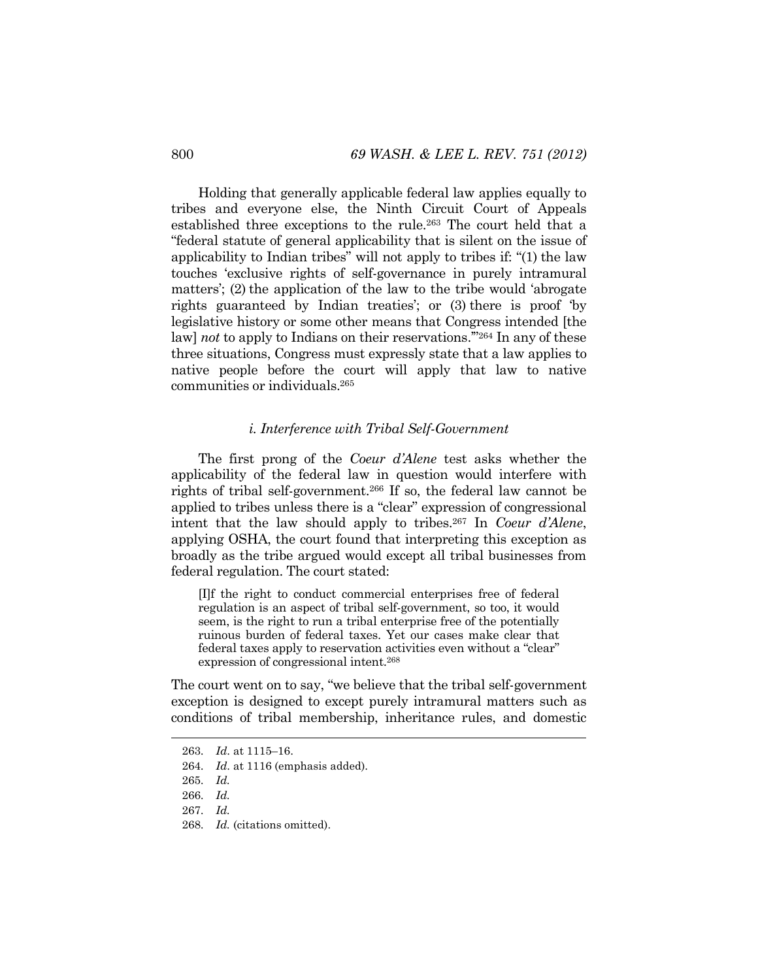Holding that generally applicable federal law applies equally to tribes and everyone else, the Ninth Circuit Court of Appeals established three exceptions to the rule.263 The court held that a "federal statute of general applicability that is silent on the issue of applicability to Indian tribes" will not apply to tribes if: "(1) the law touches 'exclusive rights of self-governance in purely intramural matters'; (2) the application of the law to the tribe would 'abrogate rights guaranteed by Indian treaties'; or (3) there is proof 'by legislative history or some other means that Congress intended [the law] *not* to apply to Indians on their reservations.'"264 In any of these three situations, Congress must expressly state that a law applies to native people before the court will apply that law to native communities or individuals.265

#### *i. Interference with Tribal Self-Government*

The first prong of the *Coeur d'Alene* test asks whether the applicability of the federal law in question would interfere with rights of tribal self-government.266 If so, the federal law cannot be applied to tribes unless there is a "clear" expression of congressional intent that the law should apply to tribes.267 In *Coeur d'Alene*, applying OSHA, the court found that interpreting this exception as broadly as the tribe argued would except all tribal businesses from federal regulation. The court stated:

[I]f the right to conduct commercial enterprises free of federal regulation is an aspect of tribal self-government, so too, it would seem, is the right to run a tribal enterprise free of the potentially ruinous burden of federal taxes. Yet our cases make clear that federal taxes apply to reservation activities even without a "clear" expression of congressional intent.268

The court went on to say, "we believe that the tribal self-government exception is designed to except purely intramural matters such as conditions of tribal membership, inheritance rules, and domestic

<sup>263</sup>*. Id*. at 1115–16.

<sup>264</sup>*. Id*. at 1116 (emphasis added).

<sup>265</sup>*. Id.*

<sup>266</sup>*. Id.* 

<sup>267</sup>*. Id.*

<sup>268</sup>*. Id.* (citations omitted).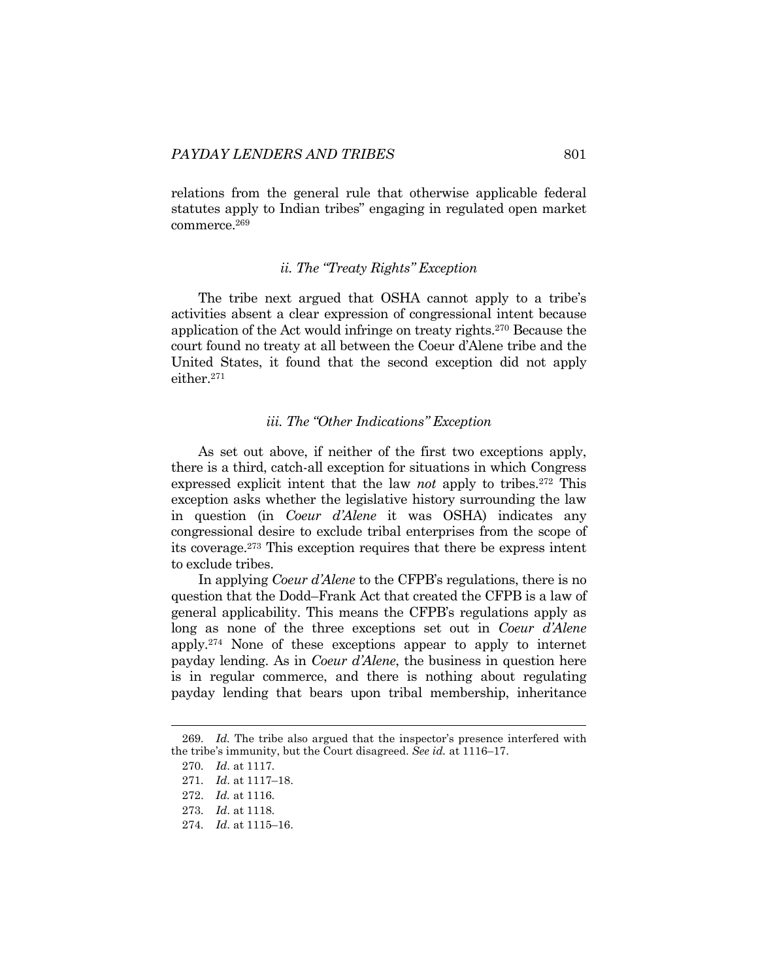relations from the general rule that otherwise applicable federal statutes apply to Indian tribes" engaging in regulated open market commerce.269

#### *ii. The "Treaty Rights" Exception*

The tribe next argued that OSHA cannot apply to a tribe's activities absent a clear expression of congressional intent because application of the Act would infringe on treaty rights.270 Because the court found no treaty at all between the Coeur d'Alene tribe and the United States, it found that the second exception did not apply either.271

#### *iii. The "Other Indications" Exception*

As set out above, if neither of the first two exceptions apply, there is a third, catch-all exception for situations in which Congress expressed explicit intent that the law *not* apply to tribes.272 This exception asks whether the legislative history surrounding the law in question (in *Coeur d'Alene* it was OSHA) indicates any congressional desire to exclude tribal enterprises from the scope of its coverage.273 This exception requires that there be express intent to exclude tribes.

In applying *Coeur d'Alene* to the CFPB's regulations, there is no question that the Dodd–Frank Act that created the CFPB is a law of general applicability. This means the CFPB's regulations apply as long as none of the three exceptions set out in *Coeur d'Alene* apply.274 None of these exceptions appear to apply to internet payday lending. As in *Coeur d'Alene*, the business in question here is in regular commerce, and there is nothing about regulating payday lending that bears upon tribal membership, inheritance

<sup>269</sup>*. Id.* The tribe also argued that the inspector's presence interfered with the tribe's immunity, but the Court disagreed. *See id.* at 1116–17.

<sup>270</sup>*. Id*. at 1117.

<sup>271</sup>*. Id*. at 1117–18.

 <sup>272.</sup> *Id.* at 1116.

<sup>273</sup>*. Id*. at 1118.

<sup>274</sup>*. Id*. at 1115–16.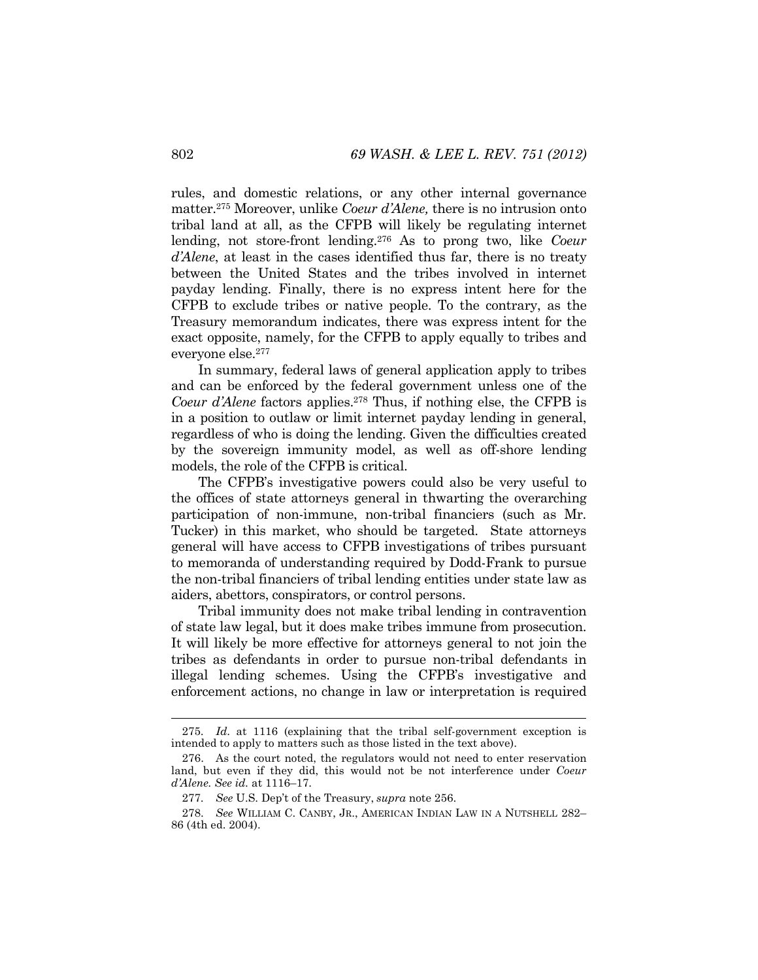rules, and domestic relations, or any other internal governance matter.275 Moreover, unlike *Coeur d'Alene,* there is no intrusion onto tribal land at all, as the CFPB will likely be regulating internet lending, not store-front lending.276 As to prong two, like *Coeur d'Alene*, at least in the cases identified thus far, there is no treaty between the United States and the tribes involved in internet payday lending. Finally, there is no express intent here for the CFPB to exclude tribes or native people. To the contrary, as the Treasury memorandum indicates, there was express intent for the exact opposite, namely, for the CFPB to apply equally to tribes and everyone else.277

In summary, federal laws of general application apply to tribes and can be enforced by the federal government unless one of the *Coeur d'Alene* factors applies.278 Thus, if nothing else, the CFPB is in a position to outlaw or limit internet payday lending in general, regardless of who is doing the lending. Given the difficulties created by the sovereign immunity model, as well as off-shore lending models, the role of the CFPB is critical.

The CFPB's investigative powers could also be very useful to the offices of state attorneys general in thwarting the overarching participation of non-immune, non-tribal financiers (such as Mr. Tucker) in this market, who should be targeted. State attorneys general will have access to CFPB investigations of tribes pursuant to memoranda of understanding required by Dodd-Frank to pursue the non-tribal financiers of tribal lending entities under state law as aiders, abettors, conspirators, or control persons.

Tribal immunity does not make tribal lending in contravention of state law legal, but it does make tribes immune from prosecution. It will likely be more effective for attorneys general to not join the tribes as defendants in order to pursue non-tribal defendants in illegal lending schemes. Using the CFPB's investigative and enforcement actions, no change in law or interpretation is required

<sup>275</sup>*. Id*. at 1116 (explaining that the tribal self-government exception is intended to apply to matters such as those listed in the text above).

 <sup>276.</sup> As the court noted, the regulators would not need to enter reservation land, but even if they did, this would not be not interference under *Coeur d'Alene. See id.* at 1116–17.

<sup>277</sup>*. See* U.S. Dep't of the Treasury, *supra* note 256.

 <sup>278.</sup> *See* WILLIAM C. CANBY, JR., AMERICAN INDIAN LAW IN A NUTSHELL 282– 86 (4th ed. 2004).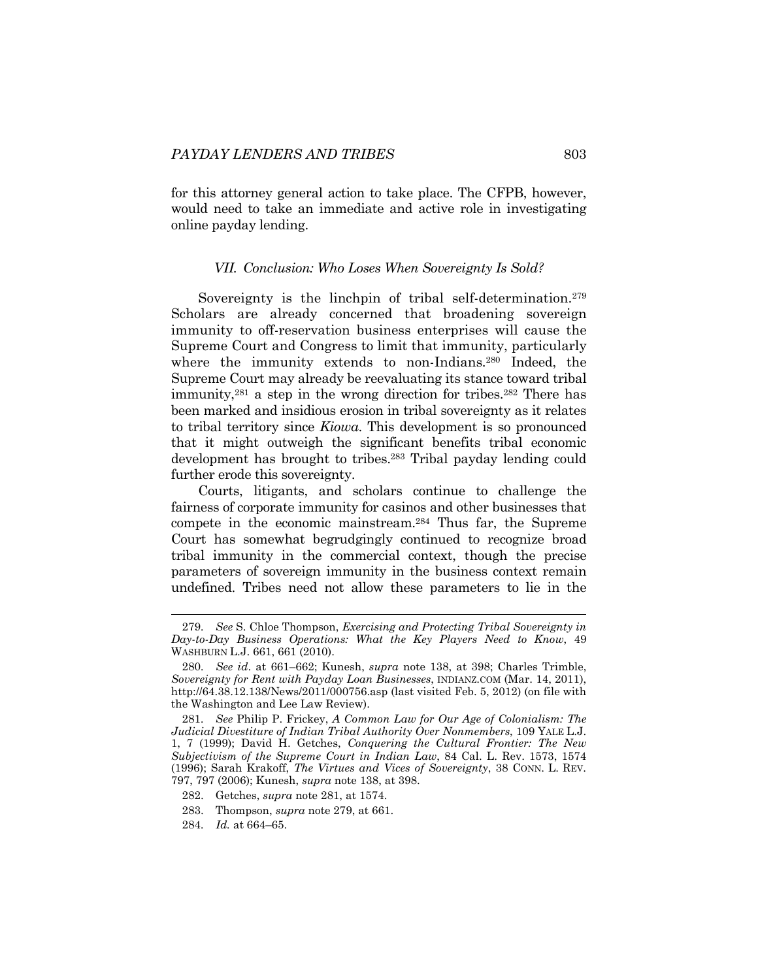for this attorney general action to take place. The CFPB, however, would need to take an immediate and active role in investigating online payday lending.

#### *VII. Conclusion: Who Loses When Sovereignty Is Sold?*

Sovereignty is the linchpin of tribal self-determination.<sup>279</sup> Scholars are already concerned that broadening sovereign immunity to off-reservation business enterprises will cause the Supreme Court and Congress to limit that immunity, particularly where the immunity extends to non-Indians*.* <sup>280</sup> Indeed, the Supreme Court may already be reevaluating its stance toward tribal immunity,281 a step in the wrong direction for tribes.282 There has been marked and insidious erosion in tribal sovereignty as it relates to tribal territory since *Kiowa*. This development is so pronounced that it might outweigh the significant benefits tribal economic development has brought to tribes.283 Tribal payday lending could further erode this sovereignty.

Courts, litigants, and scholars continue to challenge the fairness of corporate immunity for casinos and other businesses that compete in the economic mainstream.284 Thus far, the Supreme Court has somewhat begrudgingly continued to recognize broad tribal immunity in the commercial context, though the precise parameters of sovereign immunity in the business context remain undefined. Tribes need not allow these parameters to lie in the

<sup>279</sup>*. See* S. Chloe Thompson, *Exercising and Protecting Tribal Sovereignty in Day-to-Day Business Operations: What the Key Players Need to Know*, 49 WASHBURN L.J. 661, 661 (2010).

<sup>280</sup>*. See id*. at 661–662; Kunesh, *supra* note 138, at 398; Charles Trimble, *Sovereignty for Rent with Payday Loan Businesses*, INDIANZ.COM (Mar. 14, 2011), http://64.38.12.138/News/2011/000756.asp (last visited Feb. 5, 2012) (on file with the Washington and Lee Law Review).

<sup>281</sup>*. See* Philip P. Frickey, *A Common Law for Our Age of Colonialism: The Judicial Divestiture of Indian Tribal Authority Over Nonmembers*, 109 YALE L.J. 1, 7 (1999); David H. Getches, *Conquering the Cultural Frontier: The New Subjectivism of the Supreme Court in Indian Law*, 84 Cal. L. Rev. 1573, 1574 (1996); Sarah Krakoff, *The Virtues and Vices of Sovereignty*, 38 CONN. L. REV. 797, 797 (2006); Kunesh, *supra* note 138, at 398.

 <sup>282.</sup> Getches, *supra* note 281, at 1574.

 <sup>283.</sup> Thompson, *supra* note 279, at 661.

<sup>284</sup>*. Id.* at 664–65.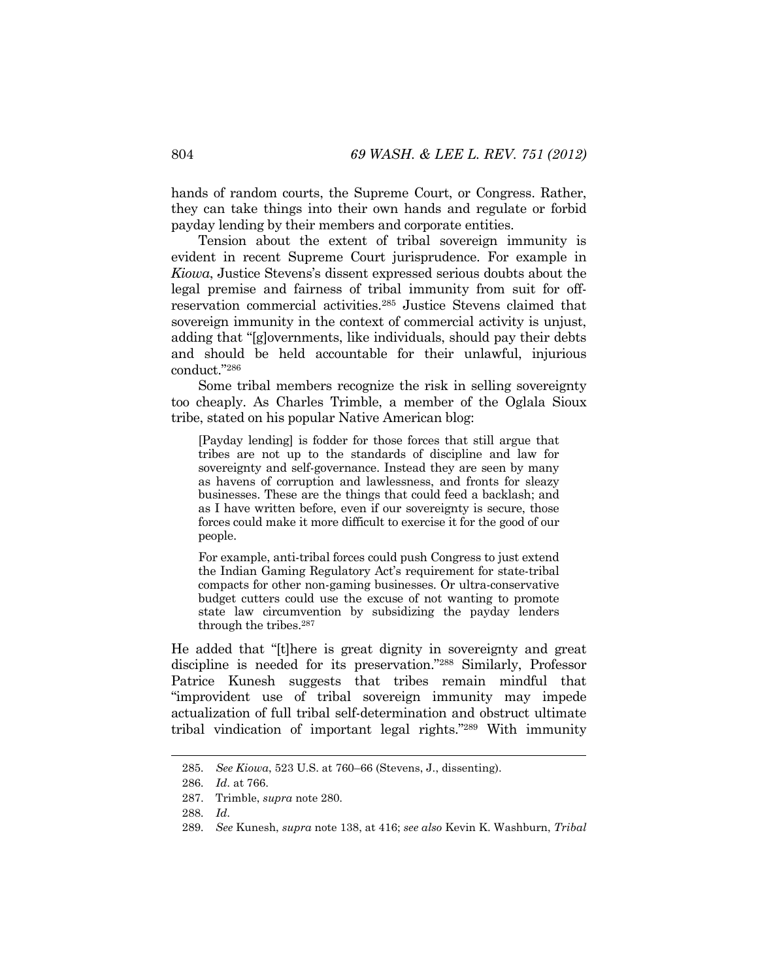hands of random courts, the Supreme Court, or Congress. Rather, they can take things into their own hands and regulate or forbid payday lending by their members and corporate entities.

Tension about the extent of tribal sovereign immunity is evident in recent Supreme Court jurisprudence. For example in *Kiowa*, Justice Stevens's dissent expressed serious doubts about the legal premise and fairness of tribal immunity from suit for offreservation commercial activities.285 Justice Stevens claimed that sovereign immunity in the context of commercial activity is unjust, adding that "[g]overnments, like individuals, should pay their debts and should be held accountable for their unlawful, injurious conduct."286

Some tribal members recognize the risk in selling sovereignty too cheaply. As Charles Trimble, a member of the Oglala Sioux tribe, stated on his popular Native American blog:

[Payday lending] is fodder for those forces that still argue that tribes are not up to the standards of discipline and law for sovereignty and self-governance. Instead they are seen by many as havens of corruption and lawlessness, and fronts for sleazy businesses. These are the things that could feed a backlash; and as I have written before, even if our sovereignty is secure, those forces could make it more difficult to exercise it for the good of our people.

For example, anti-tribal forces could push Congress to just extend the Indian Gaming Regulatory Act's requirement for state-tribal compacts for other non-gaming businesses. Or ultra-conservative budget cutters could use the excuse of not wanting to promote state law circumvention by subsidizing the payday lenders through the tribes.287

He added that "[t]here is great dignity in sovereignty and great discipline is needed for its preservation."288 Similarly, Professor Patrice Kunesh suggests that tribes remain mindful that "improvident use of tribal sovereign immunity may impede actualization of full tribal self-determination and obstruct ultimate tribal vindication of important legal rights."289 With immunity

<sup>285</sup>*. See Kiowa*, 523 U.S. at 760–66 (Stevens, J., dissenting).

<sup>286</sup>*. Id*. at 766.

 <sup>287.</sup> Trimble, *supra* note 280.

<sup>288</sup>*. Id*.

<sup>289</sup>*. See* Kunesh, *supra* note 138, at 416; *see also* Kevin K. Washburn, *Tribal*